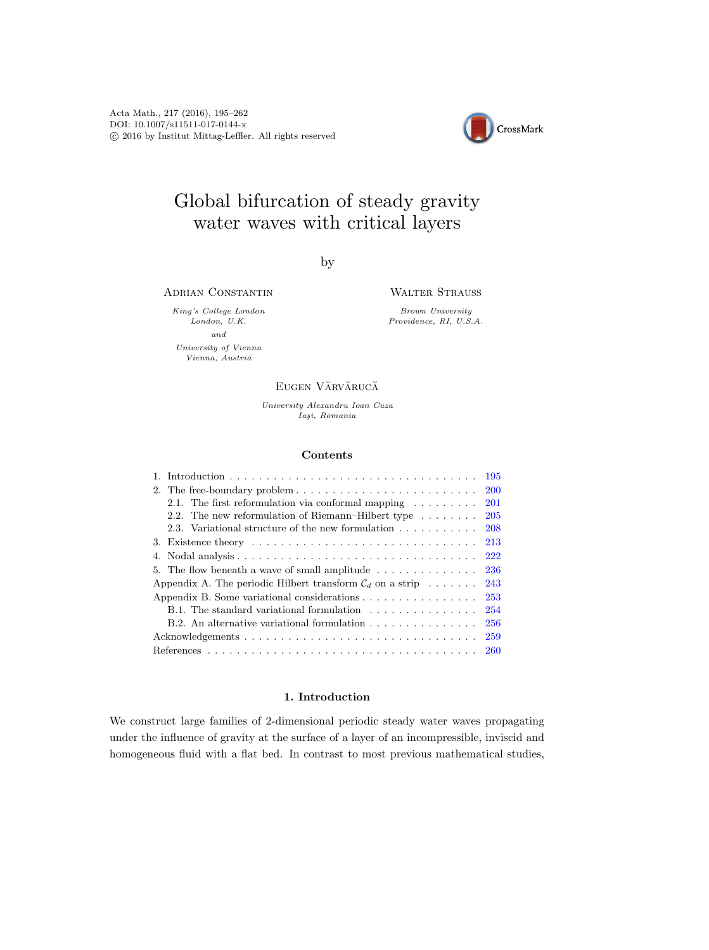Acta Math., 217 (2016), 195–262 DOI: 10.1007/s11511-017-0144-x c 2016 by Institut Mittag-Leffler. All rights reserved



# Global bifurcation of steady gravity water waves with critical layers

by

ADRIAN CONSTANTIN

King's College London London, U.K. and University of Vienna Vienna, Austria

#### WALTER STRAUSS

Brown University Providence, RI, U.S.A.

## EUGEN VĂRVĂRUCĂ

University Alexandru Ioan Cuza Iaşi, Romania

#### Contents

|                                                                                                 | 195        |
|-------------------------------------------------------------------------------------------------|------------|
|                                                                                                 | <b>200</b> |
| 2.1. The first reformulation via conformal mapping $\dots \dots$                                | <b>201</b> |
| 2.2. The new reformulation of Riemann–Hilbert type $\dots \dots$                                | -205       |
|                                                                                                 |            |
| 3. Existence theory $\ldots \ldots \ldots \ldots \ldots \ldots \ldots \ldots \ldots \ldots 213$ |            |
|                                                                                                 |            |
| 5. The flow beneath a wave of small amplitude $\ldots \ldots \ldots \ldots \ldots$ 236          |            |
| Appendix A. The periodic Hilbert transform $\mathcal{C}_d$ on a strip                           | 243        |
| Appendix B. Some variational considerations                                                     | 253        |
| B.1. The standard variational formulation                                                       | 254        |
| B.2. An alternative variational formulation                                                     | <b>256</b> |
|                                                                                                 | 259        |
|                                                                                                 |            |

## 1. Introduction

<span id="page-0-0"></span>We construct large families of 2-dimensional periodic steady water waves propagating under the influence of gravity at the surface of a layer of an incompressible, inviscid and homogeneous fluid with a flat bed. In contrast to most previous mathematical studies,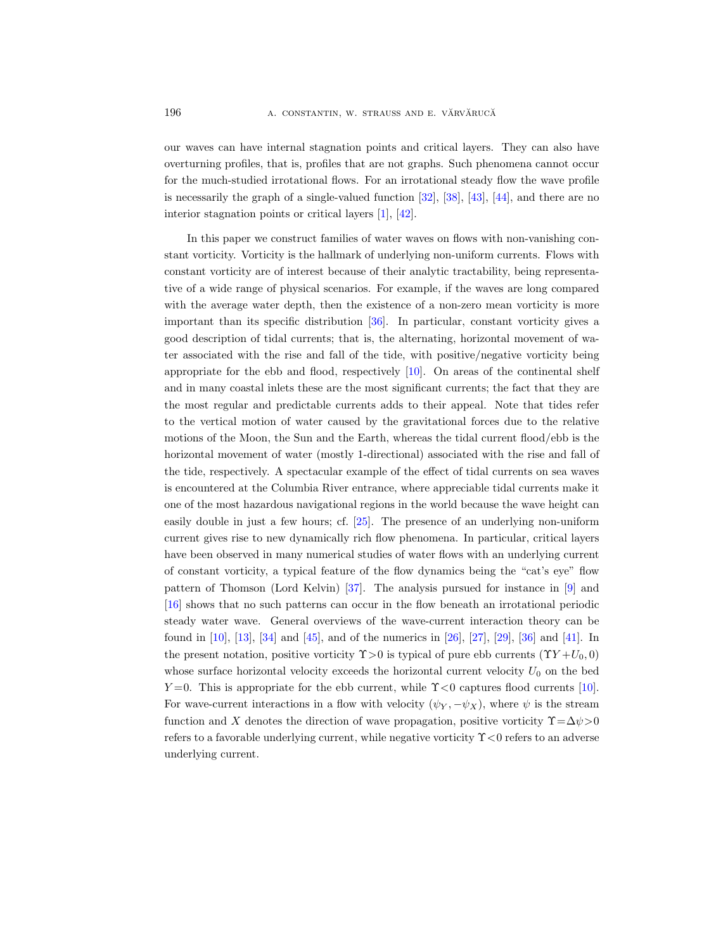our waves can have internal stagnation points and critical layers. They can also have overturning profiles, that is, profiles that are not graphs. Such phenomena cannot occur for the much-studied irrotational flows. For an irrotational steady flow the wave profile is necessarily the graph of a single-valued function  $[32]$ ,  $[38]$ ,  $[43]$ ,  $[44]$ , and there are no interior stagnation points or critical layers [\[1\]](#page-65-0), [\[42\]](#page-66-4).

In this paper we construct families of water waves on flows with non-vanishing constant vorticity. Vorticity is the hallmark of underlying non-uniform currents. Flows with constant vorticity are of interest because of their analytic tractability, being representative of a wide range of physical scenarios. For example, if the waves are long compared with the average water depth, then the existence of a non-zero mean vorticity is more important than its specific distribution [\[36\]](#page-66-5). In particular, constant vorticity gives a good description of tidal currents; that is, the alternating, horizontal movement of water associated with the rise and fall of the tide, with positive/negative vorticity being appropriate for the ebb and flood, respectively  $[10]$ . On areas of the continental shelf and in many coastal inlets these are the most significant currents; the fact that they are the most regular and predictable currents adds to their appeal. Note that tides refer to the vertical motion of water caused by the gravitational forces due to the relative motions of the Moon, the Sun and the Earth, whereas the tidal current flood/ebb is the horizontal movement of water (mostly 1-directional) associated with the rise and fall of the tide, respectively. A spectacular example of the effect of tidal currents on sea waves is encountered at the Columbia River entrance, where appreciable tidal currents make it one of the most hazardous navigational regions in the world because the wave height can easily double in just a few hours; cf. [\[25\]](#page-66-6). The presence of an underlying non-uniform current gives rise to new dynamically rich flow phenomena. In particular, critical layers have been observed in many numerical studies of water flows with an underlying current of constant vorticity, a typical feature of the flow dynamics being the "cat's eye" flow pattern of Thomson (Lord Kelvin) [\[37\]](#page-66-7). The analysis pursued for instance in [\[9\]](#page-65-2) and [\[16\]](#page-65-3) shows that no such patterns can occur in the flow beneath an irrotational periodic steady water wave. General overviews of the wave-current interaction theory can be found in [\[10\]](#page-65-1), [\[13\]](#page-65-4), [\[34\]](#page-66-8) and [\[45\]](#page-66-9), and of the numerics in [\[26\]](#page-66-10), [\[27\]](#page-66-11), [\[29\]](#page-66-12), [\[36\]](#page-66-5) and [\[41\]](#page-66-13). In the present notation, positive vorticity  $\Upsilon > 0$  is typical of pure ebb currents  $(\Upsilon Y + U_0, 0)$ whose surface horizontal velocity exceeds the horizontal current velocity  $U_0$  on the bed  $Y=0$ . This is appropriate for the ebb current, while  $\Upsilon$  < 0 captures flood currents [\[10\]](#page-65-1). For wave-current interactions in a flow with velocity  $(\psi_Y, -\psi_X)$ , where  $\psi$  is the stream function and X denotes the direction of wave propagation, positive vorticity  $\Upsilon = \Delta \psi > 0$ refers to a favorable underlying current, while negative vorticity  $\Upsilon < 0$  refers to an adverse underlying current.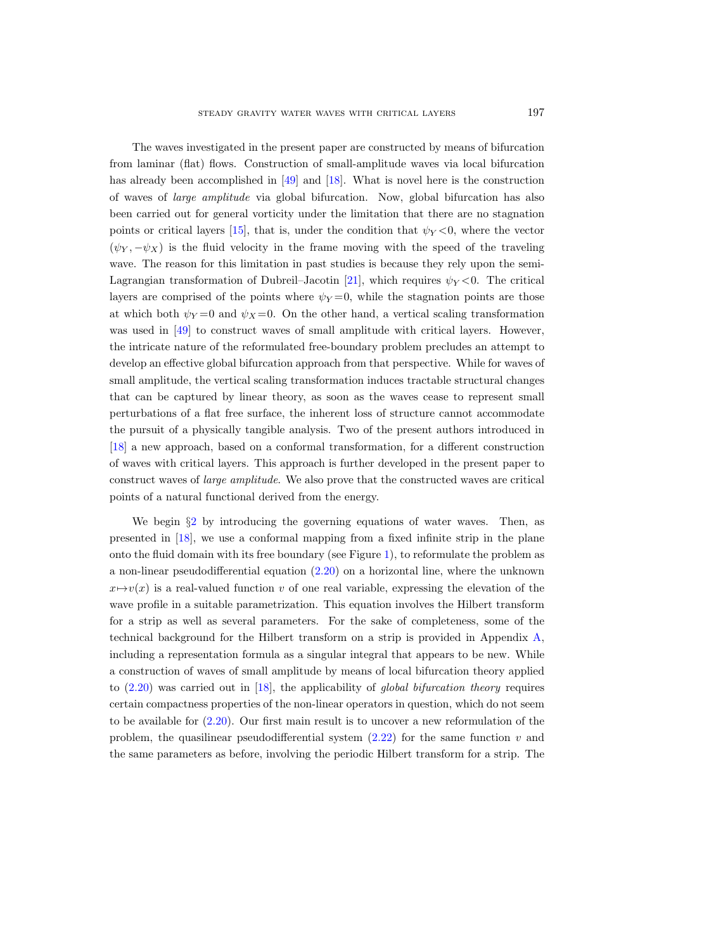The waves investigated in the present paper are constructed by means of bifurcation from laminar (flat) flows. Construction of small-amplitude waves via local bifurcation has already been accomplished in [\[49\]](#page-67-0) and [\[18\]](#page-65-5). What is novel here is the construction of waves of large amplitude via global bifurcation. Now, global bifurcation has also been carried out for general vorticity under the limitation that there are no stagnation points or critical layers [\[15\]](#page-65-6), that is, under the condition that  $\psi_Y < 0$ , where the vector  $(\psi_Y, -\psi_X)$  is the fluid velocity in the frame moving with the speed of the traveling wave. The reason for this limitation in past studies is because they rely upon the semi-Lagrangian transformation of Dubreil–Jacotin [\[21\]](#page-65-7), which requires  $\psi_Y < 0$ . The critical layers are comprised of the points where  $\psi_Y = 0$ , while the stagnation points are those at which both  $\psi_Y = 0$  and  $\psi_X = 0$ . On the other hand, a vertical scaling transformation was used in [\[49\]](#page-67-0) to construct waves of small amplitude with critical layers. However, the intricate nature of the reformulated free-boundary problem precludes an attempt to develop an effective global bifurcation approach from that perspective. While for waves of small amplitude, the vertical scaling transformation induces tractable structural changes that can be captured by linear theory, as soon as the waves cease to represent small perturbations of a flat free surface, the inherent loss of structure cannot accommodate the pursuit of a physically tangible analysis. Two of the present authors introduced in [\[18\]](#page-65-5) a new approach, based on a conformal transformation, for a different construction of waves with critical layers. This approach is further developed in the present paper to construct waves of large amplitude. We also prove that the constructed waves are critical points of a natural functional derived from the energy.

We begin  $\S2$  $\S2$  by introducing the governing equations of water waves. Then, as presented in [\[18\]](#page-65-5), we use a conformal mapping from a fixed infinite strip in the plane onto the fluid domain with its free boundary (see Figure [1\)](#page-6-1), to reformulate the problem as a non-linear pseudodifferential equation [\(2.20\)](#page-9-0) on a horizontal line, where the unknown  $x \mapsto v(x)$  is a real-valued function v of one real variable, expressing the elevation of the wave profile in a suitable parametrization. This equation involves the Hilbert transform for a strip as well as several parameters. For the sake of completeness, some of the technical background for the Hilbert transform on a strip is provided in Appendix [A,](#page-48-0) including a representation formula as a singular integral that appears to be new. While a construction of waves of small amplitude by means of local bifurcation theory applied to  $(2.20)$  was carried out in [\[18\]](#page-65-5), the applicability of global bifurcation theory requires certain compactness properties of the non-linear operators in question, which do not seem to be available for [\(2.20\)](#page-9-0). Our first main result is to uncover a new reformulation of the problem, the quasilinear pseudodifferential system  $(2.22)$  for the same function v and the same parameters as before, involving the periodic Hilbert transform for a strip. The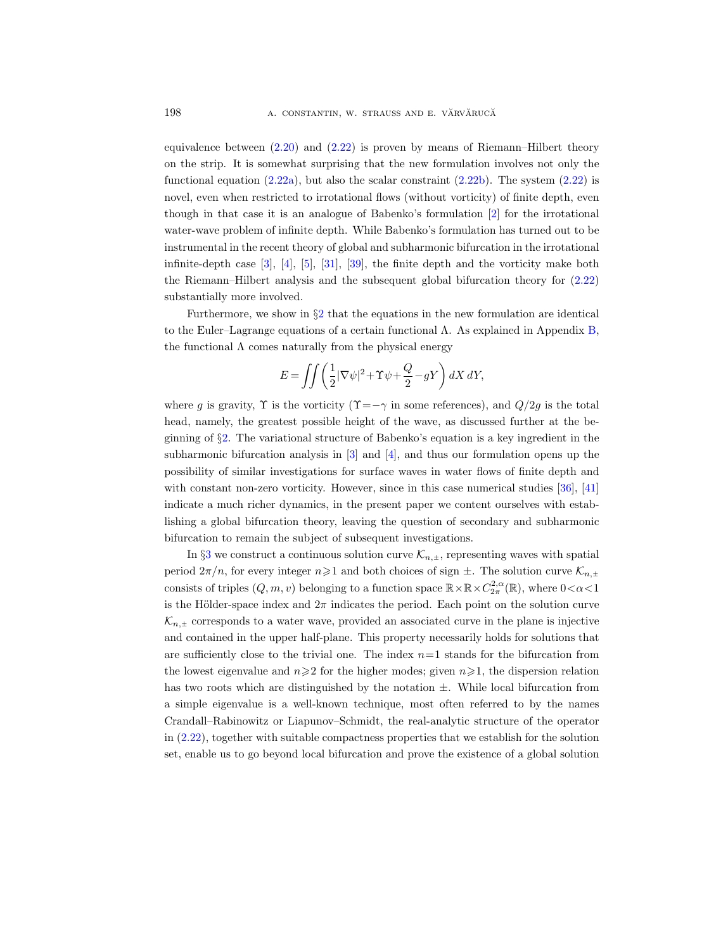equivalence between [\(2.20\)](#page-9-0) and [\(2.22\)](#page-10-1) is proven by means of Riemann–Hilbert theory on the strip. It is somewhat surprising that the new formulation involves not only the functional equation  $(2.22a)$ , but also the scalar constraint  $(2.22b)$ . The system  $(2.22)$  is novel, even when restricted to irrotational flows (without vorticity) of finite depth, even though in that case it is an analogue of Babenko's formulation [\[2\]](#page-65-8) for the irrotational water-wave problem of infinite depth. While Babenko's formulation has turned out to be instrumental in the recent theory of global and subharmonic bifurcation in the irrotational infinite-depth case [\[3\]](#page-65-9), [\[4\]](#page-65-10), [\[5\]](#page-65-11), [\[31\]](#page-66-14), [\[39\]](#page-66-15), the finite depth and the vorticity make both the Riemann–Hilbert analysis and the subsequent global bifurcation theory for [\(2.22\)](#page-10-1) substantially more involved.

Furthermore, we show in  $\S2$  $\S2$  that the equations in the new formulation are identical to the Euler–Lagrange equations of a certain functional Λ. As explained in Appendix [B,](#page-58-0) the functional  $\Lambda$  comes naturally from the physical energy

$$
E = \iint \left( \frac{1}{2} |\nabla \psi|^2 + \Upsilon \psi + \frac{Q}{2} - gY \right) dX dY,
$$

where g is gravity,  $\Upsilon$  is the vorticity  $(\Upsilon = -\gamma)$  in some references), and  $Q/2g$  is the total head, namely, the greatest possible height of the wave, as discussed further at the beginning of §[2.](#page-5-0) The variational structure of Babenko's equation is a key ingredient in the subharmonic bifurcation analysis in  $[3]$  and  $[4]$ , and thus our formulation opens up the possibility of similar investigations for surface waves in water flows of finite depth and with constant non-zero vorticity. However, since in this case numerical studies [\[36\]](#page-66-5), [\[41\]](#page-66-13) indicate a much richer dynamics, in the present paper we content ourselves with establishing a global bifurcation theory, leaving the question of secondary and subharmonic bifurcation to remain the subject of subsequent investigations.

In §[3](#page-18-0) we construct a continuous solution curve  $\mathcal{K}_{n,\pm}$ , representing waves with spatial period  $2\pi/n$ , for every integer  $n\geqslant1$  and both choices of sign  $\pm$ . The solution curve  $\mathcal{K}_{n,\pm}$ consists of triples  $(Q, m, v)$  belonging to a function space  $\mathbb{R} \times \mathbb{R} \times C_{2\pi}^{2,\alpha}(\mathbb{R})$ , where  $0 < \alpha < 1$ is the Hölder-space index and  $2\pi$  indicates the period. Each point on the solution curve  $\mathcal{K}_{n,\pm}$  corresponds to a water wave, provided an associated curve in the plane is injective and contained in the upper half-plane. This property necessarily holds for solutions that are sufficiently close to the trivial one. The index  $n=1$  stands for the bifurcation from the lowest eigenvalue and  $n\geqslant 2$  for the higher modes; given  $n\geqslant 1$ , the dispersion relation has two roots which are distinguished by the notation  $\pm$ . While local bifurcation from a simple eigenvalue is a well-known technique, most often referred to by the names Crandall–Rabinowitz or Liapunov–Schmidt, the real-analytic structure of the operator in [\(2.22\)](#page-10-1), together with suitable compactness properties that we establish for the solution set, enable us to go beyond local bifurcation and prove the existence of a global solution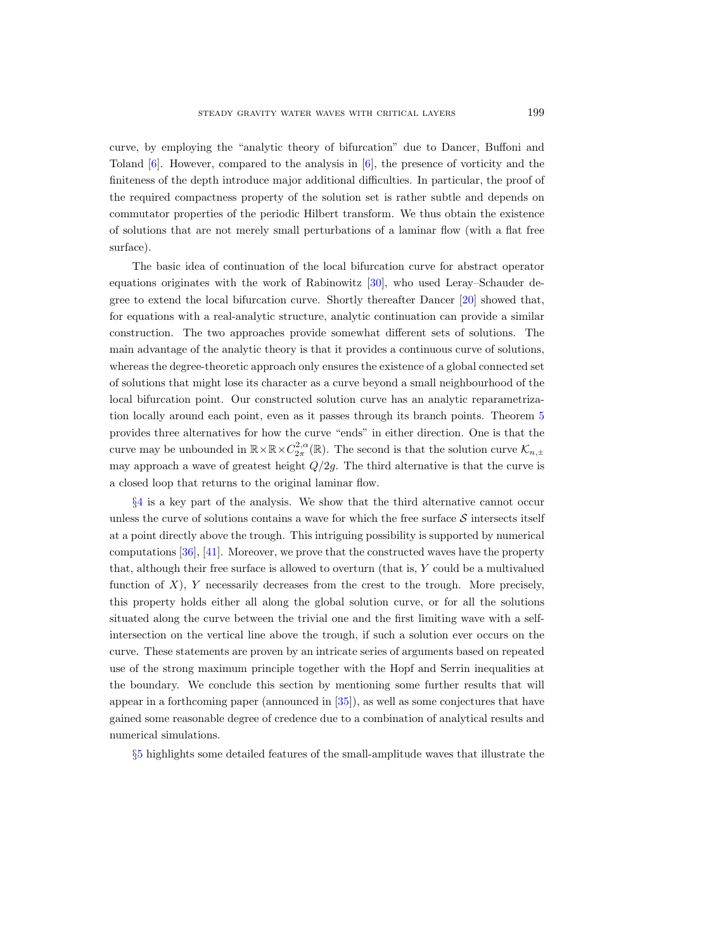curve, by employing the "analytic theory of bifurcation" due to Dancer, Buffoni and Toland  $[6]$ . However, compared to the analysis in  $[6]$ , the presence of vorticity and the finiteness of the depth introduce major additional difficulties. In particular, the proof of the required compactness property of the solution set is rather subtle and depends on commutator properties of the periodic Hilbert transform. We thus obtain the existence of solutions that are not merely small perturbations of a laminar flow (with a flat free surface).

The basic idea of continuation of the local bifurcation curve for abstract operator equations originates with the work of Rabinowitz [\[30\]](#page-66-16), who used Leray–Schauder degree to extend the local bifurcation curve. Shortly thereafter Dancer [\[20\]](#page-65-13) showed that, for equations with a real-analytic structure, analytic continuation can provide a similar construction. The two approaches provide somewhat different sets of solutions. The main advantage of the analytic theory is that it provides a continuous curve of solutions, whereas the degree-theoretic approach only ensures the existence of a global connected set of solutions that might lose its character as a curve beyond a small neighbourhood of the local bifurcation point. Our constructed solution curve has an analytic reparametrization locally around each point, even as it passes through its branch points. Theorem [5](#page-19-0) provides three alternatives for how the curve "ends" in either direction. One is that the curve may be unbounded in  $\mathbb{R}\times\mathbb{R}\times C^{2,\alpha}_{2\pi}(\mathbb{R})$ . The second is that the solution curve  $\mathcal{K}_{n,\pm}$ may approach a wave of greatest height  $Q/2g$ . The third alternative is that the curve is a closed loop that returns to the original laminar flow.

§[4](#page-27-0) is a key part of the analysis. We show that the third alternative cannot occur unless the curve of solutions contains a wave for which the free surface  $\mathcal S$  intersects itself at a point directly above the trough. This intriguing possibility is supported by numerical computations [\[36\]](#page-66-5), [\[41\]](#page-66-13). Moreover, we prove that the constructed waves have the property that, although their free surface is allowed to overturn (that is, Y could be a multivalued function of  $X$ ),  $Y$  necessarily decreases from the crest to the trough. More precisely, this property holds either all along the global solution curve, or for all the solutions situated along the curve between the trivial one and the first limiting wave with a selfintersection on the vertical line above the trough, if such a solution ever occurs on the curve. These statements are proven by an intricate series of arguments based on repeated use of the strong maximum principle together with the Hopf and Serrin inequalities at the boundary. We conclude this section by mentioning some further results that will appear in a forthcoming paper (announced in [\[35\]](#page-66-17)), as well as some conjectures that have gained some reasonable degree of credence due to a combination of analytical results and numerical simulations.

§[5](#page-41-0) highlights some detailed features of the small-amplitude waves that illustrate the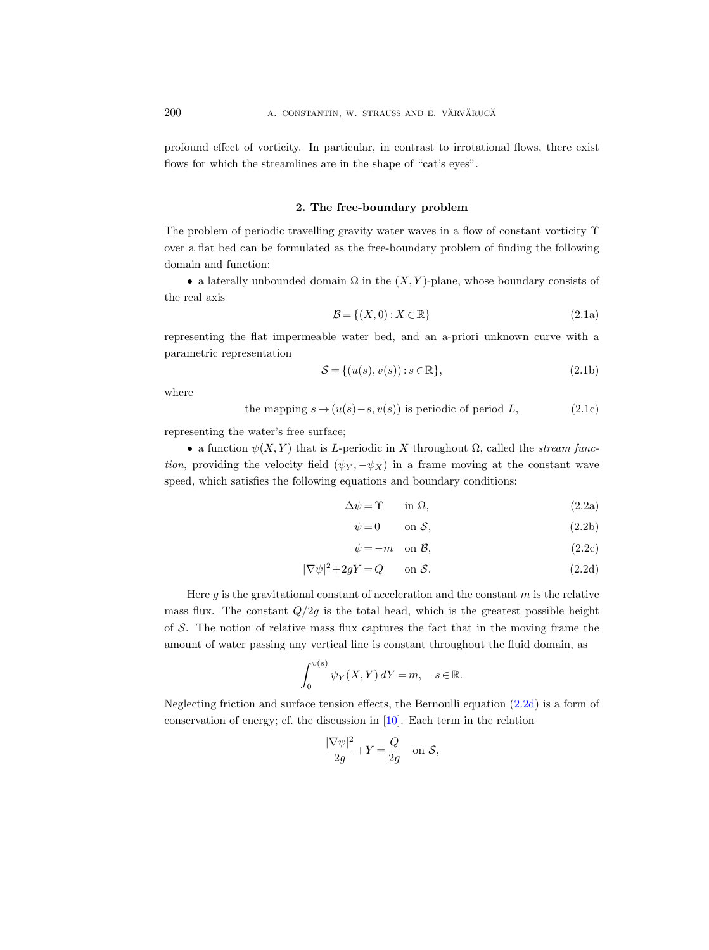profound effect of vorticity. In particular, in contrast to irrotational flows, there exist flows for which the streamlines are in the shape of "cat's eyes".

#### 2. The free-boundary problem

<span id="page-5-0"></span>The problem of periodic travelling gravity water waves in a flow of constant vorticity  $\Upsilon$ over a flat bed can be formulated as the free-boundary problem of finding the following domain and function:

<span id="page-5-2"></span>• a laterally unbounded domain  $\Omega$  in the  $(X, Y)$ -plane, whose boundary consists of the real axis

$$
\mathcal{B} = \{(X, 0) : X \in \mathbb{R}\}\tag{2.1a}
$$

representing the flat impermeable water bed, and an a-priori unknown curve with a parametric representation

<span id="page-5-4"></span>
$$
\mathcal{S} = \{ (u(s), v(s)) : s \in \mathbb{R} \},\tag{2.1b}
$$

where

<span id="page-5-5"></span>the mapping 
$$
s \mapsto (u(s) - s, v(s))
$$
 is periodic of period *L*, (2.1c)

representing the water's free surface;

• a function  $\psi(X, Y)$  that is *L*-periodic in X throughout  $\Omega$ , called the *stream func*tion, providing the velocity field  $(\psi_Y, -\psi_X)$  in a frame moving at the constant wave speed, which satisfies the following equations and boundary conditions:

$$
\Delta \psi = \Upsilon \qquad \text{in } \Omega,\tag{2.2a}
$$

<span id="page-5-8"></span><span id="page-5-7"></span><span id="page-5-6"></span><span id="page-5-3"></span><span id="page-5-1"></span>
$$
\psi = 0 \qquad \text{on } \mathcal{S}, \tag{2.2b}
$$

$$
\psi = -m \quad \text{on } \mathcal{B},\tag{2.2c}
$$

$$
|\nabla \psi|^2 + 2gY = Q \qquad \text{on } \mathcal{S}.
$$
 (2.2d)

Here  $g$  is the gravitational constant of acceleration and the constant  $m$  is the relative mass flux. The constant  $Q/2g$  is the total head, which is the greatest possible height of  $S$ . The notion of relative mass flux captures the fact that in the moving frame the amount of water passing any vertical line is constant throughout the fluid domain, as

$$
\int_0^{v(s)} \psi_Y(X, Y) dY = m, \quad s \in \mathbb{R}.
$$

Neglecting friction and surface tension effects, the Bernoulli equation [\(2.2d\)](#page-5-1) is a form of conservation of energy; cf. the discussion in [\[10\]](#page-65-1). Each term in the relation

$$
\frac{|\nabla \psi|^2}{2g} + Y = \frac{Q}{2g} \quad \text{on } \mathcal{S},
$$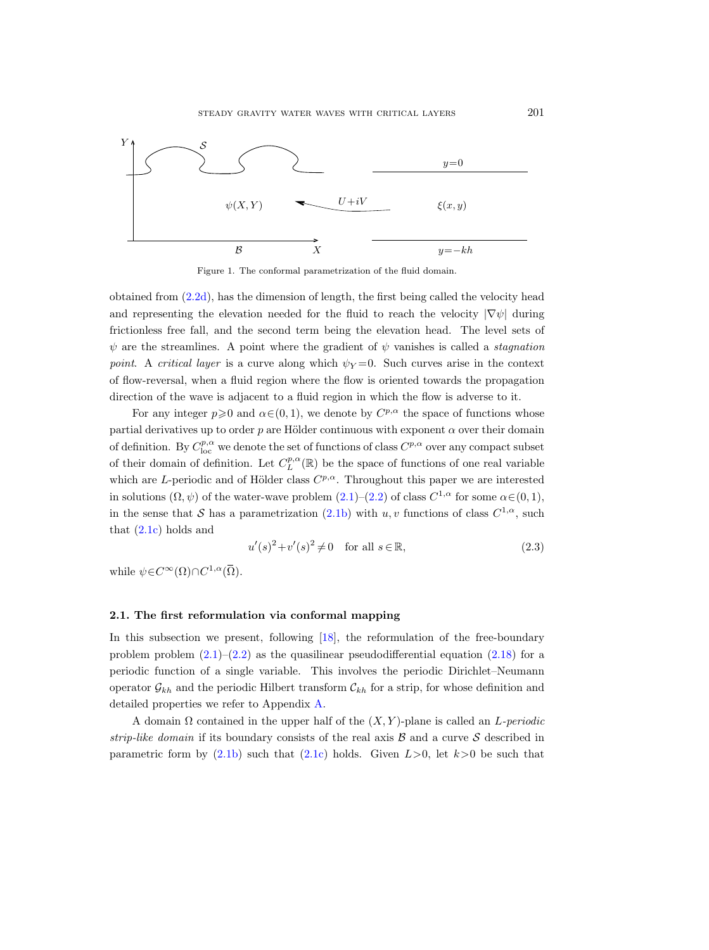

<span id="page-6-1"></span>Figure 1. The conformal parametrization of the fluid domain.

obtained from  $(2.2d)$ , has the dimension of length, the first being called the velocity head and representing the elevation needed for the fluid to reach the velocity  $|\nabla \psi|$  during frictionless free fall, and the second term being the elevation head. The level sets of  $\psi$  are the streamlines. A point where the gradient of  $\psi$  vanishes is called a *stagnation* point. A critical layer is a curve along which  $\psi_Y = 0$ . Such curves arise in the context of flow-reversal, when a fluid region where the flow is oriented towards the propagation direction of the wave is adjacent to a fluid region in which the flow is adverse to it.

For any integer  $p \ge 0$  and  $\alpha \in (0, 1)$ , we denote by  $C^{p, \alpha}$  the space of functions whose partial derivatives up to order p are Hölder continuous with exponent  $\alpha$  over their domain of definition. By  $C^{p,\alpha}_{loc}$  we denote the set of functions of class  $C^{p,\alpha}$  over any compact subset of their domain of definition. Let  $C_L^{p,\alpha}(\mathbb{R})$  be the space of functions of one real variable which are L-periodic and of Hölder class  $C^{p,\alpha}$ . Throughout this paper we are interested in solutions  $(\Omega, \psi)$  of the water-wave problem  $(2.1)$ – $(2.2)$  of class  $C^{1,\alpha}$  for some  $\alpha \in (0,1)$ , in the sense that S has a parametrization  $(2.1b)$  with u, v functions of class  $C^{1,\alpha}$ , such that  $(2.1c)$  holds and

$$
u'(s)^2 + v'(s)^2 \neq 0 \quad \text{for all } s \in \mathbb{R}, \tag{2.3}
$$

while  $\psi \in C^{\infty}(\Omega) \cap C^{1,\alpha}(\overline{\Omega})$ .

## <span id="page-6-0"></span>2.1. The first reformulation via conformal mapping

In this subsection we present, following [\[18\]](#page-65-5), the reformulation of the free-boundary problem problem  $(2.1)$ – $(2.2)$  as the quasilinear pseudodifferential equation  $(2.18)$  for a periodic function of a single variable. This involves the periodic Dirichlet–Neumann operator  $\mathcal{G}_{kh}$  and the periodic Hilbert transform  $\mathcal{C}_{kh}$  for a strip, for whose definition and detailed properties we refer to Appendix [A.](#page-48-0)

A domain  $\Omega$  contained in the upper half of the  $(X, Y)$ -plane is called an L-periodic strip-like domain if its boundary consists of the real axis  $\beta$  and a curve  $\delta$  described in parametric form by  $(2.1b)$  such that  $(2.1c)$  holds. Given  $L>0$ , let  $k>0$  be such that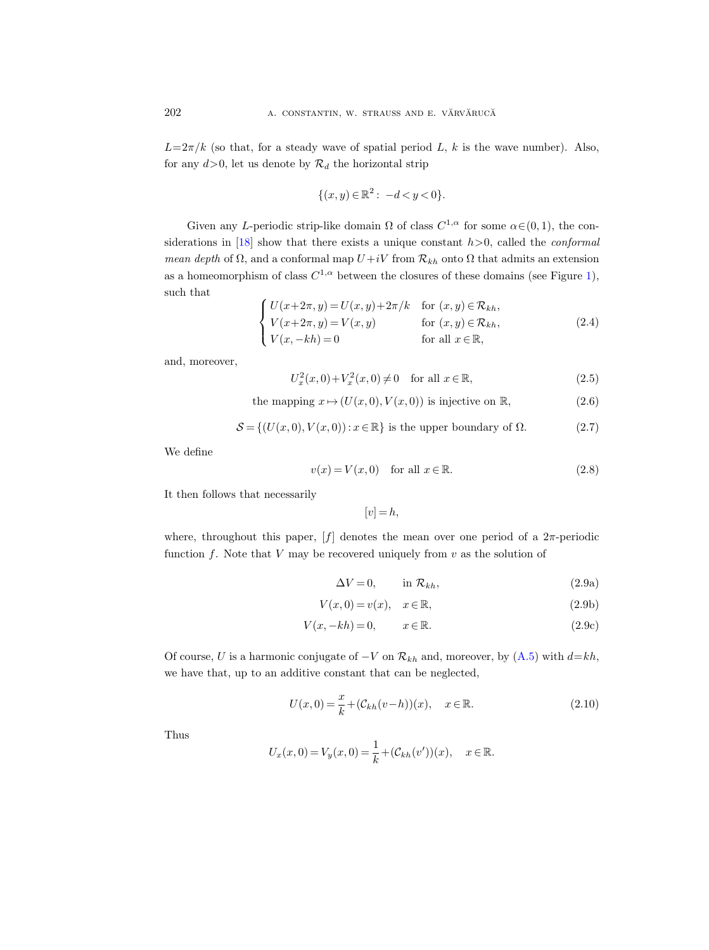$L=2\pi/k$  (so that, for a steady wave of spatial period L, k is the wave number). Also, for any  $d > 0$ , let us denote by  $\mathcal{R}_d$  the horizontal strip

$$
\{(x, y) \in \mathbb{R}^2 : -d < y < 0\}.
$$

Given any L-periodic strip-like domain  $\Omega$  of class  $C^{1,\alpha}$  for some  $\alpha \in (0,1)$ , the con-siderations in [\[18\]](#page-65-5) show that there exists a unique constant  $h > 0$ , called the *conformal* mean depth of  $\Omega$ , and a conformal map  $U+iV$  from  $\mathcal{R}_{kh}$  onto  $\Omega$  that admits an extension as a homeomorphism of class  $C^{1,\alpha}$  between the closures of these domains (see Figure [1\)](#page-6-1), such that

<span id="page-7-5"></span>
$$
\begin{cases}\nU(x+2\pi, y) = U(x, y) + 2\pi/k & \text{for } (x, y) \in \mathcal{R}_{kh}, \\
V(x+2\pi, y) = V(x, y) & \text{for } (x, y) \in \mathcal{R}_{kh}, \\
V(x, -kh) = 0 & \text{for all } x \in \mathbb{R},\n\end{cases}
$$
\n(2.4)

and, moreover,

<span id="page-7-1"></span>
$$
U_x^2(x,0) + V_x^2(x,0) \neq 0 \quad \text{for all } x \in \mathbb{R},
$$
\n(2.5)

<span id="page-7-0"></span>the mapping 
$$
x \mapsto (U(x, 0), V(x, 0))
$$
 is injective on R, (2.6)

<span id="page-7-6"></span>
$$
S = \{ (U(x, 0), V(x, 0)) : x \in \mathbb{R} \} \text{ is the upper boundary of } \Omega.
$$
 (2.7)

We define

<span id="page-7-2"></span>
$$
v(x) = V(x, 0) \quad \text{for all } x \in \mathbb{R}.\tag{2.8}
$$

It then follows that necessarily

<span id="page-7-4"></span> $[v] = h,$ 

where, throughout this paper,  $[f]$  denotes the mean over one period of a  $2\pi$ -periodic function  $f$ . Note that  $V$  may be recovered uniquely from  $v$  as the solution of

$$
\Delta V = 0, \qquad \text{in } \mathcal{R}_{kh}, \tag{2.9a}
$$

$$
V(x,0) = v(x), \quad x \in \mathbb{R},\tag{2.9b}
$$

$$
V(x, -kh) = 0, \qquad x \in \mathbb{R}.
$$
 (2.9c)

Of course, U is a harmonic conjugate of  $-V$  on  $\mathcal{R}_{kh}$  and, moreover, by  $(A.5)$  with  $d=kh$ , we have that, up to an additive constant that can be neglected,

<span id="page-7-3"></span>
$$
U(x,0) = \frac{x}{k} + (\mathcal{C}_{kh}(v-h))(x), \quad x \in \mathbb{R}.
$$
 (2.10)

Thus

$$
U_x(x,0) = V_y(x,0) = \frac{1}{k} + (\mathcal{C}_{kh}(v'))(x), \quad x \in \mathbb{R}.
$$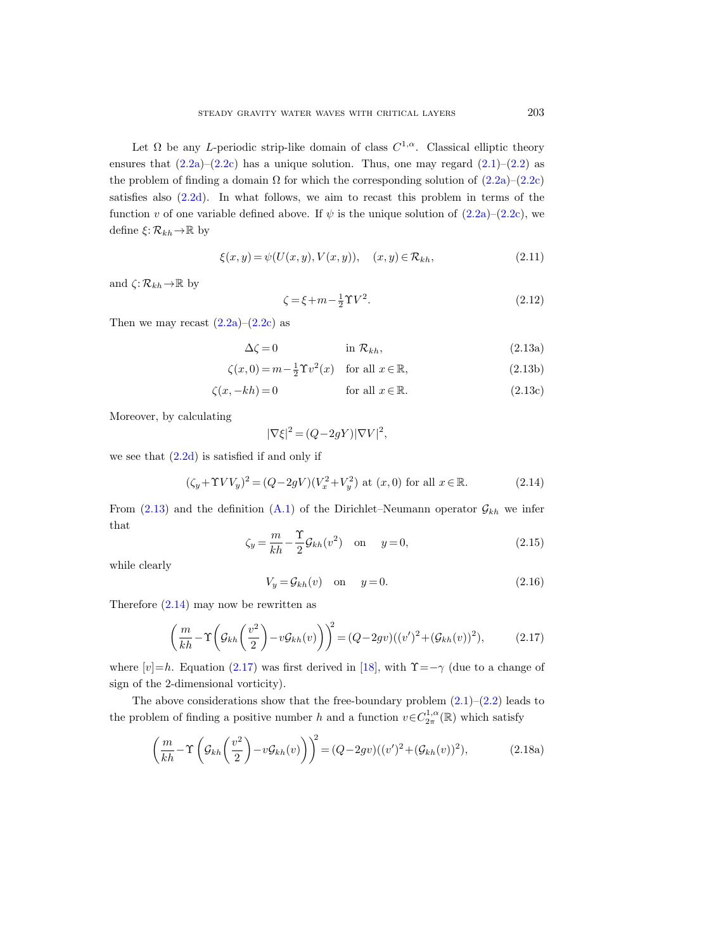Let  $\Omega$  be any *L*-periodic strip-like domain of class  $C^{1,\alpha}$ . Classical elliptic theory ensures that  $(2.2a)-(2.2c)$  $(2.2a)-(2.2c)$  $(2.2a)-(2.2c)$  has a unique solution. Thus, one may regard  $(2.1)-(2.2)$  $(2.1)-(2.2)$  $(2.1)-(2.2)$  as the problem of finding a domain  $\Omega$  for which the corresponding solution of  $(2.2a)-(2.2c)$  $(2.2a)-(2.2c)$  $(2.2a)-(2.2c)$ satisfies also  $(2.2d)$ . In what follows, we aim to recast this problem in terms of the function v of one variable defined above. If  $\psi$  is the unique solution of  $(2.2a)-(2.2c)$  $(2.2a)-(2.2c)$  $(2.2a)-(2.2c)$ , we define  $\xi: \mathcal{R}_{kh} \to \mathbb{R}$  by

<span id="page-8-8"></span>
$$
\xi(x, y) = \psi(U(x, y), V(x, y)), \quad (x, y) \in \mathcal{R}_{kh}, \tag{2.11}
$$

and  $\zeta: \mathcal{R}_{kh} \to \mathbb{R}$  by

<span id="page-8-9"></span><span id="page-8-7"></span><span id="page-8-1"></span>
$$
\zeta = \xi + m - \frac{1}{2}\Upsilon V^2. \tag{2.12}
$$

Then we may recast  $(2.2a)-(2.2c)$  $(2.2a)-(2.2c)$  $(2.2a)-(2.2c)$  as

$$
\Delta \zeta = 0 \qquad \qquad \text{in } \mathcal{R}_{kh}, \tag{2.13a}
$$

$$
\zeta(x,0) = m - \frac{1}{2}\Upsilon v^2(x) \quad \text{for all } x \in \mathbb{R},\tag{2.13b}
$$

$$
\zeta(x, -kh) = 0 \qquad \text{for all } x \in \mathbb{R}.\tag{2.13c}
$$

Moreover, by calculating

$$
|\nabla \xi|^2 = (Q - 2gY)|\nabla V|^2,
$$

we see that  $(2.2d)$  is satisfied if and only if

<span id="page-8-2"></span>
$$
(\zeta_y + \Upsilon V V_y)^2 = (Q - 2gV)(V_x^2 + V_y^2) \text{ at } (x, 0) \text{ for all } x \in \mathbb{R}.
$$
 (2.14)

From [\(2.13\)](#page-8-1) and the definition [\(A.1\)](#page-48-1) of the Dirichlet–Neumann operator  $\mathcal{G}_{kh}$  we infer that

<span id="page-8-6"></span>
$$
\zeta_y = \frac{m}{kh} - \frac{\Upsilon}{2} \mathcal{G}_{kh}(v^2) \quad \text{on} \quad y = 0,
$$
\n(2.15)

while clearly

<span id="page-8-5"></span><span id="page-8-0"></span>
$$
V_y = \mathcal{G}_{kh}(v) \quad \text{on} \quad y = 0. \tag{2.16}
$$

Therefore  $(2.14)$  may now be rewritten as

<span id="page-8-3"></span>
$$
\left(\frac{m}{kh} - \Upsilon\left(\mathcal{G}_{kh}\left(\frac{v^2}{2}\right) - v\mathcal{G}_{kh}(v)\right)\right)^2 = (Q - 2gv)((v')^2 + (\mathcal{G}_{kh}(v))^2),\tag{2.17}
$$

where  $[v]=h$ . Equation [\(2.17\)](#page-8-3) was first derived in [\[18\]](#page-65-5), with  $\Upsilon=-\gamma$  (due to a change of sign of the 2-dimensional vorticity).

The above considerations show that the free-boundary problem  $(2.1)$ – $(2.2)$  leads to the problem of finding a positive number h and a function  $v \in C_{2\pi}^{1,\alpha}(\mathbb{R})$  which satisfy

<span id="page-8-4"></span>
$$
\left(\frac{m}{kh} - \Upsilon\left(\mathcal{G}_{kh}\left(\frac{v^2}{2}\right) - v\mathcal{G}_{kh}(v)\right)\right)^2 = (Q - 2gv)((v')^2 + (\mathcal{G}_{kh}(v))^2),\tag{2.18a}
$$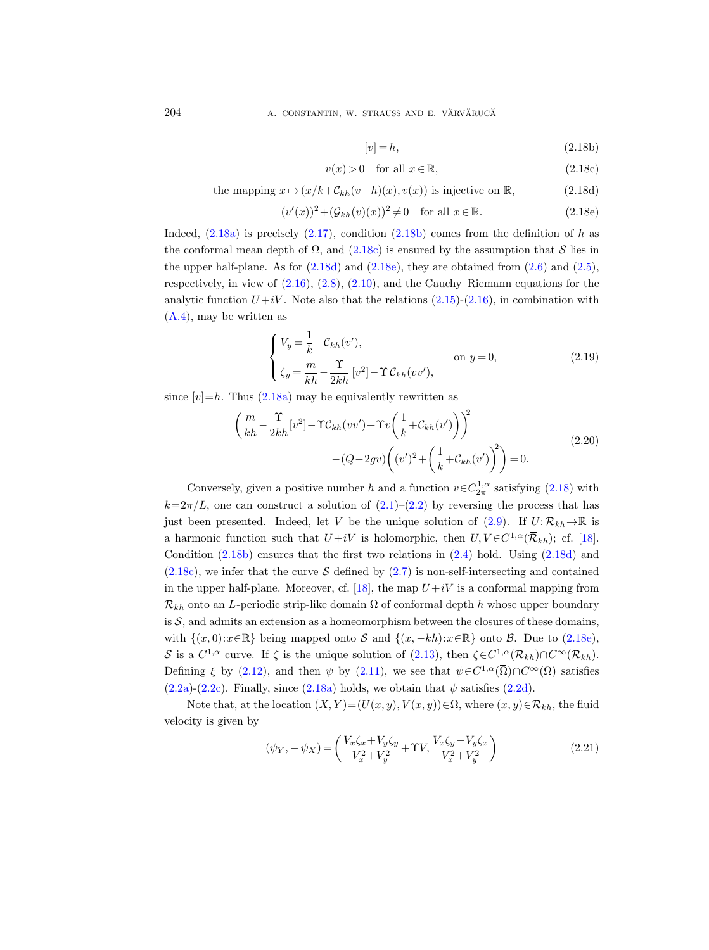#### 204 **A. CONSTANTIN, W. STRAUSS AND E. VĂRVĂRUCĂ**

<span id="page-9-1"></span>
$$
[v] = h,\tag{2.18b}
$$

<span id="page-9-2"></span>
$$
v(x) > 0 \quad \text{for all } x \in \mathbb{R},\tag{2.18c}
$$

<span id="page-9-3"></span>the mapping 
$$
x \mapsto (x/k + C_{kh}(v-h)(x), v(x))
$$
 is injective on R, (2.18d)

<span id="page-9-4"></span>
$$
(v'(x))^2 + (\mathcal{G}_{kh}(v)(x))^2 \neq 0 \quad \text{for all } x \in \mathbb{R}.\tag{2.18e}
$$

Indeed,  $(2.18a)$  is precisely  $(2.17)$ , condition  $(2.18b)$  comes from the definition of h as the conformal mean depth of  $\Omega$ , and  $(2.18c)$  is ensured by the assumption that S lies in the upper half-plane. As for  $(2.18d)$  and  $(2.18e)$ , they are obtained from  $(2.6)$  and  $(2.5)$ , respectively, in view of [\(2.16\)](#page-8-5), [\(2.8\)](#page-7-2), [\(2.10\)](#page-7-3), and the Cauchy–Riemann equations for the analytic function  $U+iV$ . Note also that the relations [\(2.15\)](#page-8-6)-[\(2.16\)](#page-8-5), in combination with [\(A.4\)](#page-49-0), may be written as

<span id="page-9-6"></span>
$$
\begin{cases}\nV_y = \frac{1}{k} + C_{kh}(v'), & \text{on } y = 0, \\
\zeta_y = \frac{m}{kh} - \frac{\Upsilon}{2kh} [v^2] - \Upsilon C_{kh}(vv'),\n\end{cases}
$$
\n(2.19)

<span id="page-9-0"></span>since  $[v]=h$ . Thus  $(2.18a)$  may be equivalently rewritten as

$$
\left(\frac{m}{kh} - \frac{\Upsilon}{2kh} [v^2] - \Upsilon C_{kh} (vv') + \Upsilon v \left(\frac{1}{k} + C_{kh} (v')\right)\right)^2
$$
\n
$$
- (Q - 2gv) \left((v')^2 + \left(\frac{1}{k} + C_{kh} (v')\right)^2\right) = 0.
$$
\n(2.20)

Conversely, given a positive number h and a function  $v \in C_{2\pi}^{1,\alpha}$  satisfying [\(2.18\)](#page-8-0) with  $k=2\pi/L$ , one can construct a solution of  $(2.1)-(2.2)$  $(2.1)-(2.2)$  $(2.1)-(2.2)$  by reversing the process that has just been presented. Indeed, let V be the unique solution of  $(2.9)$ . If  $U: \mathcal{R}_{kh} \to \mathbb{R}$  is a harmonic function such that  $U+iV$  is holomorphic, then  $U, V \in C^{1,\alpha}(\overline{\mathcal{R}}_{kh})$ ; cf. [\[18\]](#page-65-5). Condition [\(2.18b\)](#page-9-1) ensures that the first two relations in [\(2.4\)](#page-7-5) hold. Using [\(2.18d\)](#page-9-3) and  $(2.18c)$ , we infer that the curve S defined by  $(2.7)$  is non-self-intersecting and contained in the upper half-plane. Moreover, cf. [\[18\]](#page-65-5), the map  $U+iV$  is a conformal mapping from  $\mathcal{R}_{kh}$  onto an L-periodic strip-like domain  $\Omega$  of conformal depth h whose upper boundary is  $S$ , and admits an extension as a homeomorphism between the closures of these domains, with  $\{(x, 0):x\in\mathbb{R}\}$  being mapped onto S and  $\{(x, -kh):x\in\mathbb{R}\}$  onto B. Due to [\(2.18e\)](#page-9-4), S is a  $C^{1,\alpha}$  curve. If  $\zeta$  is the unique solution of [\(2.13\)](#page-8-1), then  $\zeta \in C^{1,\alpha}(\overline{\mathcal{R}}_{kh}) \cap C^{\infty}(\mathcal{R}_{kh})$ . Defining  $\xi$  by [\(2.12\)](#page-8-7), and then  $\psi$  by [\(2.11\)](#page-8-8), we see that  $\psi \in C^{1,\alpha}(\overline{\Omega}) \cap C^{\infty}(\Omega)$  satisfies  $(2.2a)-(2.2c)$  $(2.2a)-(2.2c)$  $(2.2a)-(2.2c)$ . Finally, since  $(2.18a)$  holds, we obtain that  $\psi$  satisfies  $(2.2d)$ .

Note that, at the location  $(X, Y) = (U(x, y), V(x, y)) \in \Omega$ , where  $(x, y) \in \mathcal{R}_{kh}$ , the fluid velocity is given by

<span id="page-9-5"></span>
$$
(\psi_Y, -\psi_X) = \left(\frac{V_x \zeta_x + V_y \zeta_y}{V_x^2 + V_y^2} + \Upsilon V, \frac{V_x \zeta_y - V_y \zeta_x}{V_x^2 + V_y^2}\right)
$$
(2.21)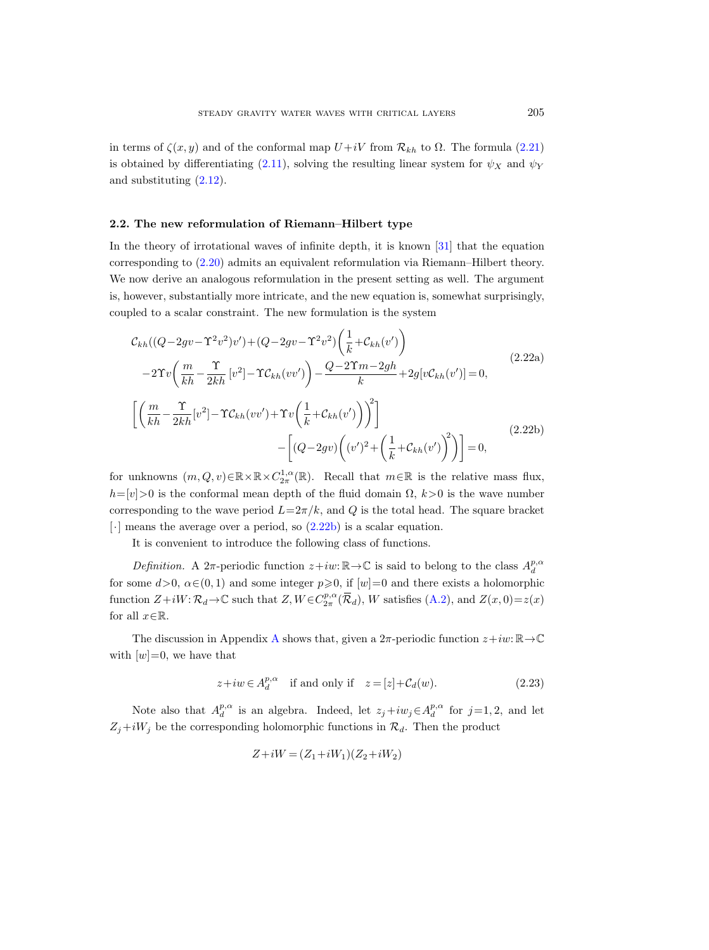in terms of  $\zeta(x, y)$  and of the conformal map  $U+iV$  from  $\mathcal{R}_{kh}$  to  $\Omega$ . The formula [\(2.21\)](#page-9-5) is obtained by differentiating [\(2.11\)](#page-8-8), solving the resulting linear system for  $\psi_X$  and  $\psi_Y$ and substituting [\(2.12\)](#page-8-7).

## <span id="page-10-0"></span>2.2. The new reformulation of Riemann–Hilbert type

In the theory of irrotational waves of infinite depth, it is known [\[31\]](#page-66-14) that the equation corresponding to [\(2.20\)](#page-9-0) admits an equivalent reformulation via Riemann–Hilbert theory. We now derive an analogous reformulation in the present setting as well. The argument is, however, substantially more intricate, and the new equation is, somewhat surprisingly, coupled to a scalar constraint. The new formulation is the system

<span id="page-10-2"></span><span id="page-10-1"></span>
$$
\mathcal{C}_{kh}((Q-2gv-\Upsilon^2v^2)v') + (Q-2gv-\Upsilon^2v^2)\left(\frac{1}{k}+\mathcal{C}_{kh}(v')\right)
$$
  
\n
$$
-2\Upsilon v\left(\frac{m}{kh}-\frac{\Upsilon}{2kh}[v^2]-\Upsilon\mathcal{C}_{kh}(vv')\right) - \frac{Q-2\Upsilon m-2gh}{k}+2g[v\mathcal{C}_{kh}(v')]=0,
$$
  
\n
$$
\left[\left(\frac{m}{kh}-\frac{\Upsilon}{2kh}[v^2]-\Upsilon\mathcal{C}_{kh}(vv')+\Upsilon v\left(\frac{1}{k}+\mathcal{C}_{kh}(v')\right)\right)^2\right]
$$
  
\n
$$
-\left[(Q-2gv)\left((v')^2+\left(\frac{1}{k}+\mathcal{C}_{kh}(v')\right)^2\right)\right]=0,
$$
\n(2.22b)

<span id="page-10-3"></span>for unknowns  $(m, Q, v) \in \mathbb{R} \times \mathbb{R} \times C^{1,\alpha}_{2\pi}(\mathbb{R})$ . Recall that  $m \in \mathbb{R}$  is the relative mass flux,  $h=[v]>0$  is the conformal mean depth of the fluid domain  $\Omega, k>0$  is the wave number corresponding to the wave period  $L=2\pi/k$ , and Q is the total head. The square bracket [·] means the average over a period, so [\(2.22b\)](#page-10-3) is a scalar equation.

It is convenient to introduce the following class of functions.

Definition. A 2π-periodic function  $z+iw:\mathbb{R}\to\mathbb{C}$  is said to belong to the class  $A_d^{p,\alpha}$ for some  $d>0$ ,  $\alpha \in (0,1)$  and some integer  $p\geqslant 0$ , if  $[w]=0$  and there exists a holomorphic function  $Z+iW:\mathcal{R}_d\to\mathbb{C}$  such that  $Z, W\in C^{p,\alpha}_{2\pi}(\overline{\mathcal{R}}_d)$ , W satisfies  $(A.2)$ , and  $Z(x,0)=z(x)$ for all  $x \in \mathbb{R}$ .

The discussion in [A](#page-48-0)ppendix A shows that, given a  $2\pi$ -periodic function  $z+iw:\mathbb{R}\to\mathbb{C}$ with  $[w]=0$ , we have that

<span id="page-10-4"></span>
$$
z + iw \in A_d^{p,\alpha} \quad \text{if and only if} \quad z = [z] + \mathcal{C}_d(w). \tag{2.23}
$$

Note also that  $A_d^{p,\alpha}$  is an algebra. Indeed, let  $z_j + iw_j \in A_d^{p,\alpha}$  for  $j=1,2$ , and let  $Z_j+iW_j$  be the corresponding holomorphic functions in  $\mathcal{R}_d$ . Then the product

$$
Z+iW = (Z_1+iW_1)(Z_2+iW_2)
$$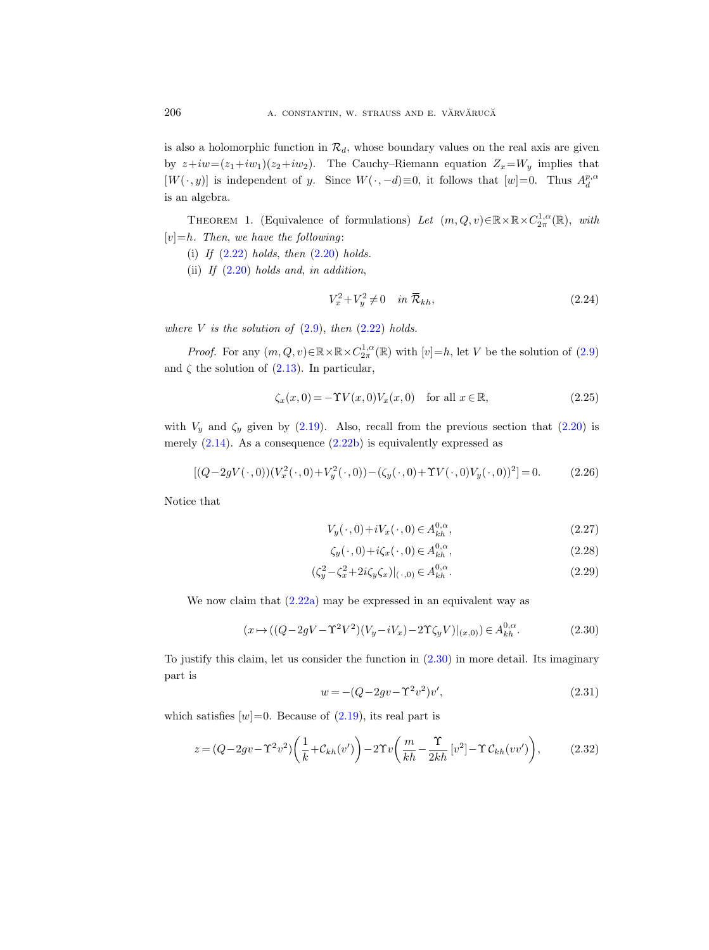is also a holomorphic function in  $\mathcal{R}_d$ , whose boundary values on the real axis are given by  $z+iw=(z_1+iw_1)(z_2+iw_2)$ . The Cauchy–Riemann equation  $Z_x=W_y$  implies that  $[W(\cdot, y)]$  is independent of y. Since  $W(\cdot, -d) \equiv 0$ , it follows that  $[w] = 0$ . Thus  $A_d^{p,\alpha}$ is an algebra.

<span id="page-11-8"></span>THEOREM 1. (Equivalence of formulations) Let  $(m, Q, v) \in \mathbb{R} \times \mathbb{R} \times C_{2\pi}^{1,\alpha}(\mathbb{R})$ , with  $[v]=h$ . Then, we have the following:

- (i) If  $(2.22)$  holds, then  $(2.20)$  holds.
- (ii) If  $(2.20)$  holds and, in addition,

<span id="page-11-7"></span>
$$
V_x^2 + V_y^2 \neq 0 \quad in \ \overline{\mathcal{R}}_{kh},\tag{2.24}
$$

where V is the solution of  $(2.9)$ , then  $(2.22)$  holds.

*Proof.* For any  $(m, Q, v) \in \mathbb{R} \times \mathbb{R} \times C_{2\pi}^{1,\alpha}(\mathbb{R})$  with  $[v]=h$ , let V be the solution of  $(2.9)$ and  $\zeta$  the solution of [\(2.13\)](#page-8-1). In particular,

<span id="page-11-5"></span>
$$
\zeta_x(x,0) = -\Upsilon V(x,0)V_x(x,0) \quad \text{for all } x \in \mathbb{R},\tag{2.25}
$$

with  $V_y$  and  $\zeta_y$  given by [\(2.19\)](#page-9-6). Also, recall from the previous section that [\(2.20\)](#page-9-0) is merely  $(2.14)$ . As a consequence  $(2.22b)$  is equivalently expressed as

<span id="page-11-3"></span>
$$
[(Q-2gV(\cdot,0))(V_x^2(\cdot,0)+V_y^2(\cdot,0)) - (\zeta_y(\cdot,0)+\Upsilon V(\cdot,0)V_y(\cdot,0))^2] = 0.
$$
 (2.26)

Notice that

<span id="page-11-6"></span><span id="page-11-4"></span>
$$
V_y(\cdot,0) + iV_x(\cdot,0) \in A_{kh}^{0,\alpha},\tag{2.27}
$$

$$
\zeta_y(\cdot,0) + i\zeta_x(\cdot,0) \in A_{kh}^{0,\alpha},\tag{2.28}
$$

$$
(\zeta_y^2 - \zeta_x^2 + 2i\zeta_y \zeta_x)|_{(\cdot,0)} \in A_{kh}^{0,\alpha}.
$$
\n(2.29)

We now claim that  $(2.22a)$  may be expressed in an equivalent way as

<span id="page-11-0"></span>
$$
(x \mapsto ((Q - 2gV - \Upsilon^2 V^2)(V_y - iV_x) - 2\Upsilon \zeta_y V)|_{(x,0)}) \in A_{kh}^{0,\alpha}.
$$
 (2.30)

To justify this claim, let us consider the function in [\(2.30\)](#page-11-0) in more detail. Its imaginary part is

<span id="page-11-2"></span>
$$
w = -(Q - 2gv - \Upsilon^2 v^2)v',
$$
\n(2.31)

which satisfies  $[w]=0$ . Because of  $(2.19)$ , its real part is

<span id="page-11-1"></span>
$$
z = (Q - 2gv - \Upsilon^2 v^2) \left(\frac{1}{k} + \mathcal{C}_{kh}(v')\right) - 2\Upsilon v \left(\frac{m}{kh} - \frac{\Upsilon}{2kh} \left[v^2\right] - \Upsilon \mathcal{C}_{kh}(vv')\right),\tag{2.32}
$$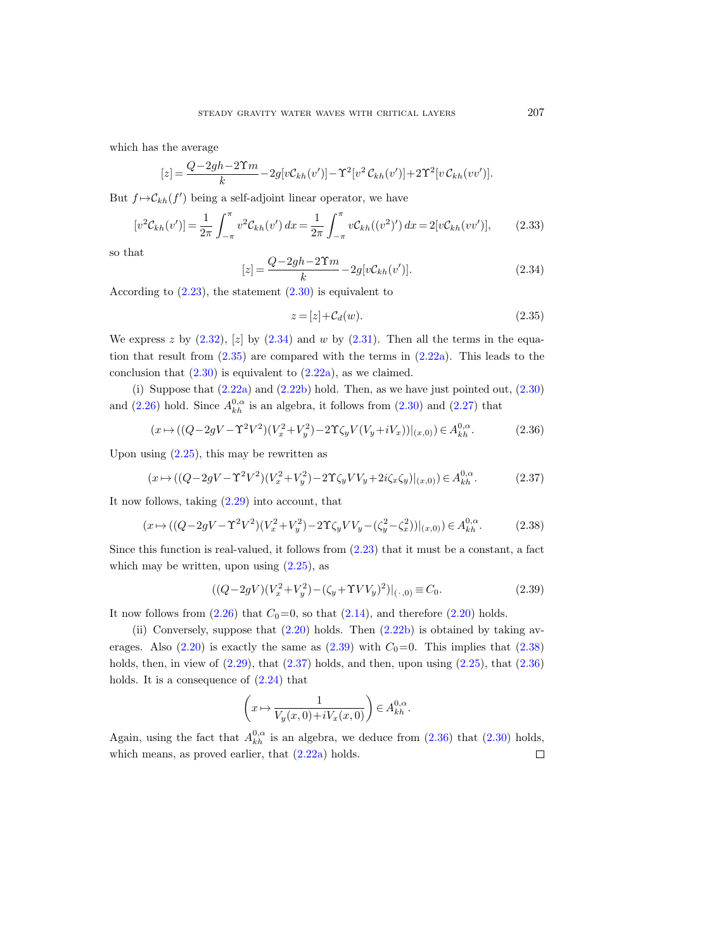which has the average

$$
[z] = \frac{Q - 2gh - 2\Upsilon m}{k} - 2g[v\mathcal{C}_{kh}(v')] - \Upsilon^2[v^2 \mathcal{C}_{kh}(v')] + 2\Upsilon^2[v\mathcal{C}_{kh}(vv')].
$$

But  $f \mapsto \mathcal{C}_{kh}(f')$  being a self-adjoint linear operator, we have

<span id="page-12-6"></span>
$$
[v^2 \mathcal{C}_{kh}(v')] = \frac{1}{2\pi} \int_{-\pi}^{\pi} v^2 \mathcal{C}_{kh}(v') \, dx = \frac{1}{2\pi} \int_{-\pi}^{\pi} v \mathcal{C}_{kh}((v^2)') \, dx = 2[v\mathcal{C}_{kh}(vv')],\tag{2.33}
$$

so that

<span id="page-12-0"></span>
$$
[z] = \frac{Q - 2gh - 2\Upsilon m}{k} - 2g[vC_{kh}(v')].
$$
\n(2.34)

According to  $(2.23)$ , the statement  $(2.30)$  is equivalent to

<span id="page-12-1"></span>
$$
z = [z] + \mathcal{C}_d(w). \tag{2.35}
$$

We express z by  $(2.32)$ ,  $[z]$  by  $(2.34)$  and w by  $(2.31)$ . Then all the terms in the equation that result from [\(2.35\)](#page-12-1) are compared with the terms in [\(2.22a\)](#page-10-2). This leads to the conclusion that  $(2.30)$  is equivalent to  $(2.22a)$ , as we claimed.

(i) Suppose that  $(2.22a)$  and  $(2.22b)$  hold. Then, as we have just pointed out,  $(2.30)$ and [\(2.26\)](#page-11-3) hold. Since  $A_{kh}^{0,\alpha}$  is an algebra, it follows from [\(2.30\)](#page-11-0) and [\(2.27\)](#page-11-4) that

<span id="page-12-5"></span>
$$
(x \mapsto ((Q - 2gV - \Upsilon^2 V^2)(V_x^2 + V_y^2) - 2\Upsilon \zeta_y V(V_y + iV_x))|_{(x,0)}) \in A_{kh}^{0,\alpha}.
$$
 (2.36)

Upon using  $(2.25)$ , this may be rewritten as

<span id="page-12-4"></span>
$$
(x \mapsto ((Q - 2gV - \Upsilon^2 V^2)(V_x^2 + V_y^2) - 2\Upsilon \zeta_y V V_y + 2i\zeta_x \zeta_y)|_{(x,0)} \in A_{kh}^{0,\alpha}.
$$
 (2.37)

It now follows, taking [\(2.29\)](#page-11-6) into account, that

<span id="page-12-3"></span>
$$
(x \mapsto ((Q - 2gV - \Upsilon^2 V^2)(V_x^2 + V_y^2) - 2\Upsilon \zeta_y V V_y - (\zeta_y^2 - \zeta_x^2))|_{(x,0)} \in A_{kh}^{0,\alpha}.
$$
 (2.38)

Since this function is real-valued, it follows from [\(2.23\)](#page-10-4) that it must be a constant, a fact which may be written, upon using  $(2.25)$ , as

<span id="page-12-2"></span>
$$
((Q - 2gV)(V_x^2 + V_y^2) - (\zeta_y + \Upsilon V V_y)^2)|_{(\cdot,0)} \equiv C_0.
$$
\n(2.39)

It now follows from  $(2.26)$  that  $C_0=0$ , so that  $(2.14)$ , and therefore  $(2.20)$  holds.

(ii) Conversely, suppose that  $(2.20)$  holds. Then  $(2.22b)$  is obtained by taking averages. Also  $(2.20)$  is exactly the same as  $(2.39)$  with  $C_0=0$ . This implies that  $(2.38)$ holds, then, in view of  $(2.29)$ , that  $(2.37)$  holds, and then, upon using  $(2.25)$ , that  $(2.36)$ holds. It is a consequence of  $(2.24)$  that

$$
\left(x \mapsto \frac{1}{V_y(x,0) + iV_x(x,0)}\right) \in A^{0,\alpha}_{kh}.
$$

Again, using the fact that  $A_{kh}^{0,\alpha}$  is an algebra, we deduce from [\(2.36\)](#page-12-5) that [\(2.30\)](#page-11-0) holds, which means, as proved earlier, that [\(2.22a\)](#page-10-2) holds. $\Box$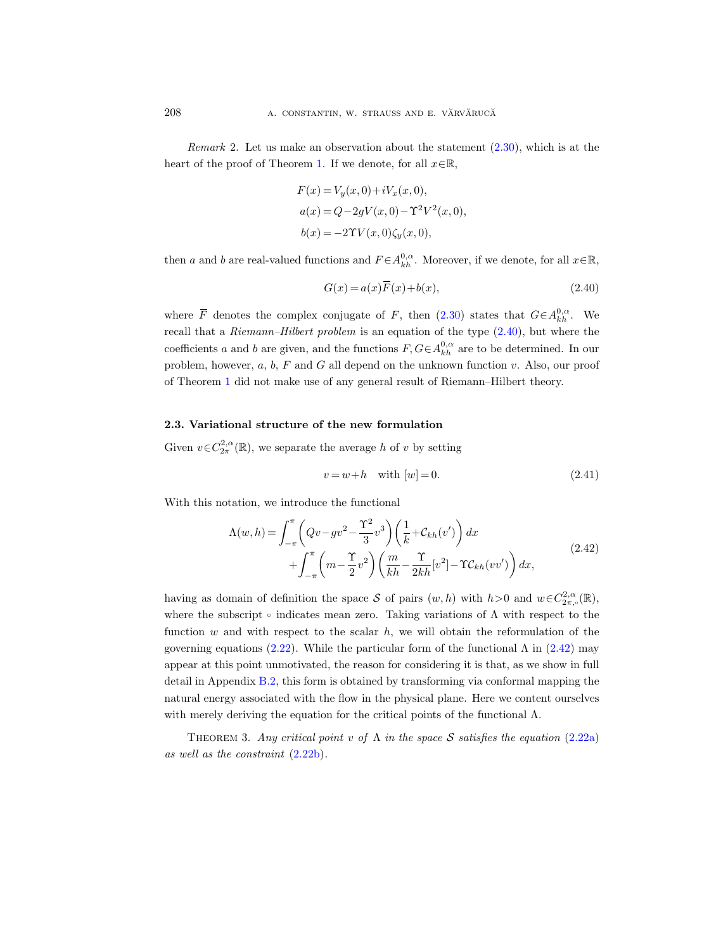Remark 2. Let us make an observation about the statement [\(2.30\)](#page-11-0), which is at the heart of the proof of Theorem [1.](#page-11-8) If we denote, for all  $x \in \mathbb{R}$ ,

$$
F(x) = V_y(x, 0) + iV_x(x, 0),
$$
  
\n
$$
a(x) = Q - 2gV(x, 0) - \Upsilon^2 V^2(x, 0),
$$
  
\n
$$
b(x) = -2\Upsilon V(x, 0)\zeta_y(x, 0),
$$

then a and b are real-valued functions and  $F \in A_{kh}^{0,\alpha}$ . Moreover, if we denote, for all  $x \in \mathbb{R}$ ,

<span id="page-13-1"></span>
$$
G(x) = a(x)\overline{F}(x) + b(x),
$$
\n(2.40)

where  $\overline{F}$  denotes the complex conjugate of F, then  $(2.30)$  states that  $G \in A_{kh}^{0,\alpha}$ . We recall that a Riemann–Hilbert problem is an equation of the type [\(2.40\)](#page-13-1), but where the coefficients a and b are given, and the functions  $F, G \in A_{kh}^{0,\alpha}$  are to be determined. In our problem, however,  $a, b, F$  and  $G$  all depend on the unknown function  $v$ . Also, our proof of Theorem [1](#page-11-8) did not make use of any general result of Riemann–Hilbert theory.

## <span id="page-13-0"></span>2.3. Variational structure of the new formulation

Given  $v \in C^{2,\alpha}_{2\pi}(\mathbb{R})$ , we separate the average h of v by setting

$$
v = w + h \quad \text{with } [w] = 0. \tag{2.41}
$$

<span id="page-13-2"></span>With this notation, we introduce the functional

$$
\Lambda(w,h) = \int_{-\pi}^{\pi} \left( Qv - gv^2 - \frac{\Upsilon^2}{3}v^3 \right) \left( \frac{1}{k} + \mathcal{C}_{kh}(v') \right) dx + \int_{-\pi}^{\pi} \left( m - \frac{\Upsilon}{2}v^2 \right) \left( \frac{m}{kh} - \frac{\Upsilon}{2kh} [v^2] - \Upsilon \mathcal{C}_{kh}(vv') \right) dx,
$$
\n(2.42)

having as domain of definition the space S of pairs  $(w, h)$  with  $h > 0$  and  $w \in C^{2,\alpha}_{2\pi,\circ}(\mathbb{R})$ , where the subscript  $\circ$  indicates mean zero. Taking variations of  $\Lambda$  with respect to the function  $w$  and with respect to the scalar  $h$ , we will obtain the reformulation of the governing equations [\(2.22\)](#page-10-1). While the particular form of the functional  $\Lambda$  in [\(2.42\)](#page-13-2) may appear at this point unmotivated, the reason for considering it is that, as we show in full detail in Appendix [B.2,](#page-61-0) this form is obtained by transforming via conformal mapping the natural energy associated with the flow in the physical plane. Here we content ourselves with merely deriving the equation for the critical points of the functional  $\Lambda$ .

<span id="page-13-3"></span>THEOREM 3. Any critical point v of  $\Lambda$  in the space S satisfies the equation [\(2.22a\)](#page-10-2) as well as the constraint [\(2.22b\)](#page-10-3).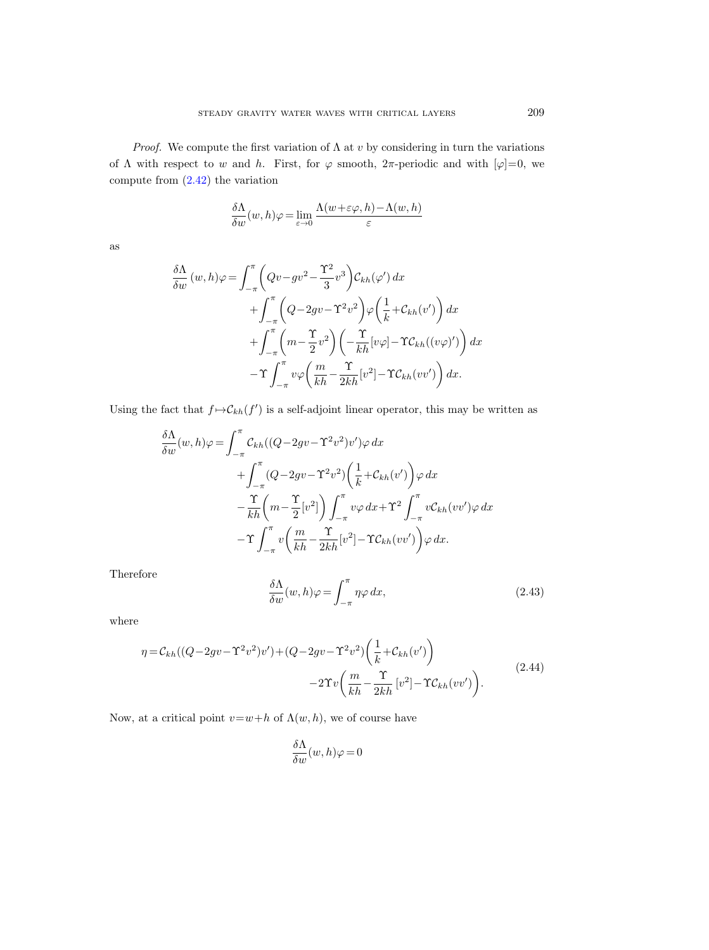*Proof.* We compute the first variation of  $\Lambda$  at v by considering in turn the variations of  $\Lambda$  with respect to w and h. First, for  $\varphi$  smooth,  $2\pi$ -periodic and with  $[\varphi]=0$ , we compute from [\(2.42\)](#page-13-2) the variation

$$
\frac{\delta \Lambda}{\delta w}(w,h)\varphi=\lim_{\varepsilon\to 0}\frac{\Lambda(w+\varepsilon\varphi,h)-\Lambda(w,h)}{\varepsilon}
$$

as

$$
\frac{\delta \Lambda}{\delta w} (w, h) \varphi = \int_{-\pi}^{\pi} \left( Qv - g v^2 - \frac{\Upsilon^2}{3} v^3 \right) C_{kh}(\varphi') dx \n+ \int_{-\pi}^{\pi} \left( Q - 2g v - \Upsilon^2 v^2 \right) \varphi \left( \frac{1}{k} + C_{kh}(v') \right) dx \n+ \int_{-\pi}^{\pi} \left( m - \frac{\Upsilon}{2} v^2 \right) \left( -\frac{\Upsilon}{kh} [v \varphi] - \Upsilon C_{kh} ((v \varphi)') \right) dx \n- \Upsilon \int_{-\pi}^{\pi} v \varphi \left( \frac{m}{kh} - \frac{\Upsilon}{2kh} [v^2] - \Upsilon C_{kh} (v v') \right) dx.
$$

Using the fact that  $f \mapsto \mathcal{C}_{kh}(f')$  is a self-adjoint linear operator, this may be written as

$$
\frac{\delta \Lambda}{\delta w}(w, h)\varphi = \int_{-\pi}^{\pi} \mathcal{C}_{kh}((Q - 2gv - \Upsilon^2 v^2)v')\varphi \, dx \n+ \int_{-\pi}^{\pi} (Q - 2gv - \Upsilon^2 v^2) \left(\frac{1}{k} + \mathcal{C}_{kh}(v')\right) \varphi \, dx \n- \frac{\Upsilon}{kh} \left(m - \frac{\Upsilon}{2}[v^2]\right) \int_{-\pi}^{\pi} v\varphi \, dx + \Upsilon^2 \int_{-\pi}^{\pi} v\mathcal{C}_{kh}(vv')\varphi \, dx \n- \Upsilon \int_{-\pi}^{\pi} v\left(\frac{m}{kh} - \frac{\Upsilon}{2kh}[v^2] - \Upsilon \mathcal{C}_{kh}(vv')\right) \varphi \, dx.
$$

Therefore

<span id="page-14-0"></span>
$$
\frac{\delta\Lambda}{\delta w}(w,h)\varphi = \int_{-\pi}^{\pi} \eta \varphi \, dx,\tag{2.43}
$$

where

<span id="page-14-1"></span>
$$
\eta = C_{kh}((Q - 2gv - \Upsilon^2 v^2)v') + (Q - 2gv - \Upsilon^2 v^2) \left(\frac{1}{k} + C_{kh}(v')\right) - 2\Upsilon v \left(\frac{m}{kh} - \frac{\Upsilon}{2kh} [v^2] - \Upsilon C_{kh}(vv')\right).
$$
\n(2.44)

Now, at a critical point  $v=w+h$  of  $\Lambda(w,h)$ , we of course have

$$
\frac{\delta\Lambda}{\delta w}(w,h)\varphi=0
$$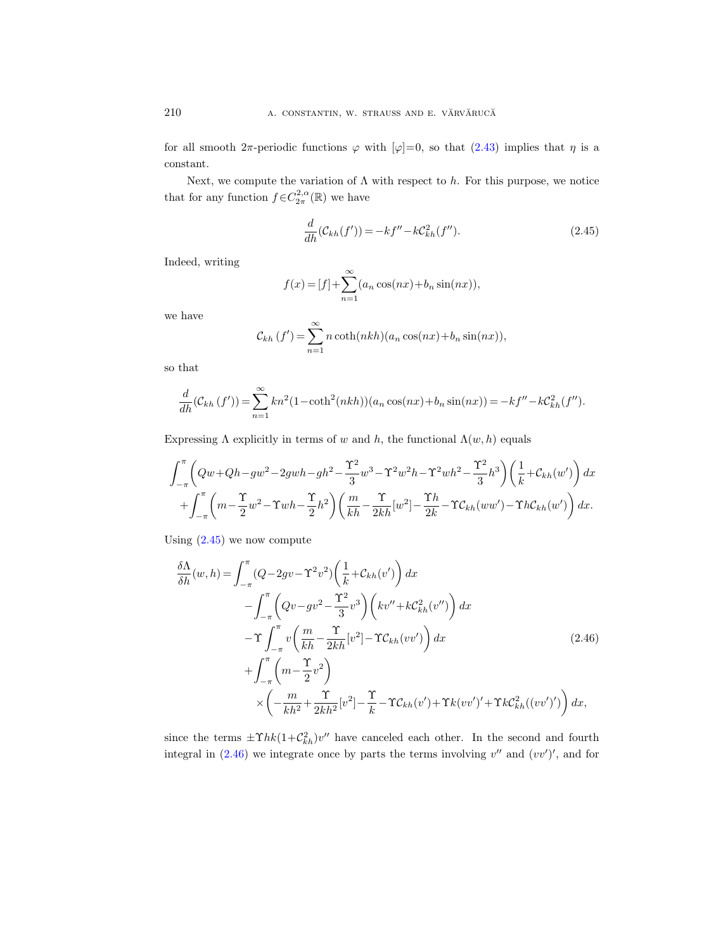for all smooth  $2\pi$ -periodic functions  $\varphi$  with  $[\varphi]=0$ , so that  $(2.43)$  implies that  $\eta$  is a constant.

Next, we compute the variation of  $\Lambda$  with respect to h. For this purpose, we notice that for any function  $f \in C^{2,\alpha}_{2\pi}(\mathbb{R})$  we have

<span id="page-15-0"></span>
$$
\frac{d}{dh}(\mathcal{C}_{kh}(f')) = -kf'' - k\mathcal{C}_{kh}^2(f'').
$$
\n(2.45)

Indeed, writing

$$
f(x) = [f] + \sum_{n=1}^{\infty} (a_n \cos(nx) + b_n \sin(nx)),
$$

we have

$$
C_{kh}(f') = \sum_{n=1}^{\infty} n \coth(nkh)(a_n \cos(nx) + b_n \sin(nx)),
$$

so that

$$
\frac{d}{dh}(\mathcal{C}_{kh}(f')) = \sum_{n=1}^{\infty} kn^2(1 - \coth^2(nkh))(a_n \cos(nx) + b_n \sin(nx)) = -kf'' - k\mathcal{C}_{kh}^2(f'').
$$

Expressing  $\Lambda$  explicitly in terms of w and h, the functional  $\Lambda(w, h)$  equals

$$
\int_{-\pi}^{\pi} \left( Qw + Qh - gw^2 - 2gwh - gh^2 - \frac{\Upsilon^2}{3}w^3 - \Upsilon^2 w^2h - \Upsilon^2 wh^2 - \frac{\Upsilon^2}{3}h^3 \right) \left( \frac{1}{k} + \mathcal{C}_{kh}(w') \right) dx
$$
  
+ 
$$
\int_{-\pi}^{\pi} \left( m - \frac{\Upsilon}{2}w^2 - \Upsilon wh - \frac{\Upsilon}{2}h^2 \right) \left( \frac{m}{kh} - \frac{\Upsilon}{2kh}[w^2] - \frac{\Upsilon h}{2k} - \Upsilon \mathcal{C}_{kh}(ww') - \Upsilon h \mathcal{C}_{kh}(w') \right) dx.
$$

Using  $(2.45)$  we now compute

<span id="page-15-1"></span>
$$
\frac{\delta \Lambda}{\delta h}(w, h) = \int_{-\pi}^{\pi} (Q - 2gv - \Upsilon^2 v^2) \left(\frac{1}{k} + C_{kh}(v')\right) dx \n- \int_{-\pi}^{\pi} \left(Qv - gv^2 - \frac{\Upsilon^2}{3} v^3\right) \left(kv'' + kC_{kh}^2(v'')\right) dx \n- \Upsilon \int_{-\pi}^{\pi} v \left(\frac{m}{kh} - \frac{\Upsilon}{2kh} [v^2] - \Upsilon C_{kh}(vv')\right) dx \n+ \int_{-\pi}^{\pi} \left(m - \frac{\Upsilon}{2} v^2\right) \n\times \left(-\frac{m}{kh^2} + \frac{\Upsilon}{2kh^2} [v^2] - \frac{\Upsilon}{k} - \Upsilon C_{kh}(v') + \Upsilon k (vv')' + \Upsilon k C_{kh}^2((vv')')\right) dx,
$$
\n(2.46)

since the terms  $\pm \Upsilon h k (1 + C_{kh}^2)v''$  have canceled each other. In the second and fourth integral in  $(2.46)$  we integrate once by parts the terms involving  $v''$  and  $(vv')'$ , and for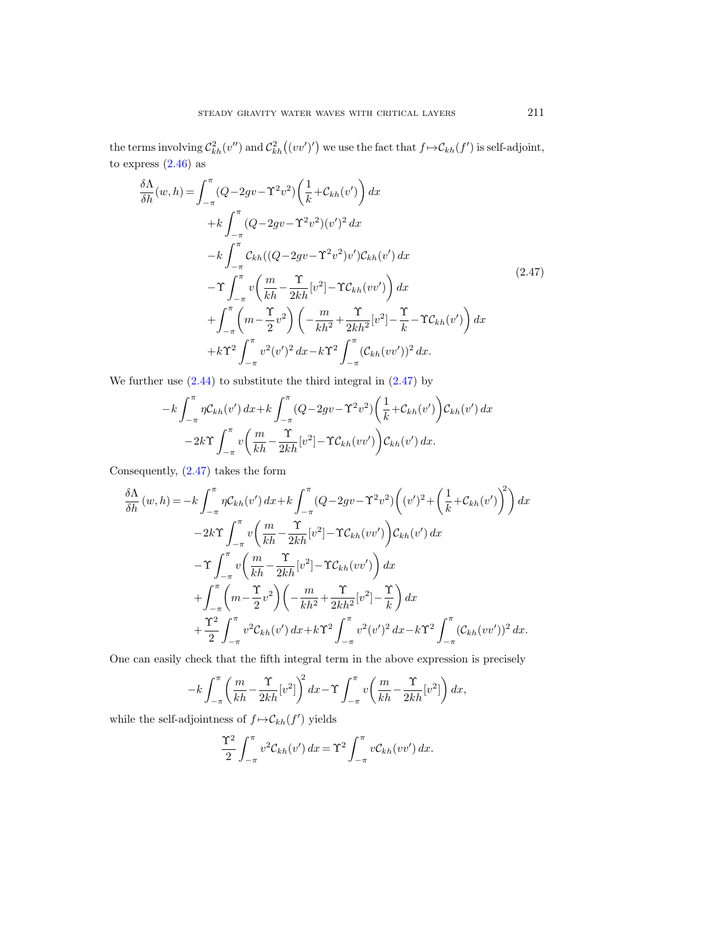the terms involving  $C_{kh}^2(v'')$  and  $C_{kh}^2((vv')')$  we use the fact that  $f \mapsto C_{kh}(f')$  is self-adjoint, to express  $(2.46)$  as

<span id="page-16-0"></span>
$$
\frac{\delta\Lambda}{\delta h}(w,h) = \int_{-\pi}^{\pi} (Q - 2gv - \Upsilon^2 v^2) \left(\frac{1}{k} + C_{kh}(v')\right) dx \n+ k \int_{-\pi}^{\pi} (Q - 2gv - \Upsilon^2 v^2) (v')^2 dx \n- k \int_{-\pi}^{\pi} C_{kh} ((Q - 2gv - \Upsilon^2 v^2) v') C_{kh}(v') dx \n- \Upsilon \int_{-\pi}^{\pi} v \left(\frac{m}{kh} - \frac{\Upsilon}{2kh} [v^2] - \Upsilon C_{kh}(vv')\right) dx \n+ \int_{-\pi}^{\pi} \left(m - \frac{\Upsilon}{2} v^2\right) \left(-\frac{m}{kh^2} + \frac{\Upsilon}{2kh^2} [v^2] - \frac{\Upsilon}{k} - \Upsilon C_{kh}(v')\right) dx \n+ k \Upsilon^2 \int_{-\pi}^{\pi} v^2 (v')^2 dx - k \Upsilon^2 \int_{-\pi}^{\pi} (C_{kh}(vv'))^2 dx.
$$
\n(2.47)

We further use  $(2.44)$  to substitute the third integral in  $(2.47)$  by

$$
-k\int_{-\pi}^{\pi} \eta \mathcal{C}_{kh}(v') dx + k \int_{-\pi}^{\pi} (Q - 2gv - \Upsilon^2 v^2) \left(\frac{1}{k} + \mathcal{C}_{kh}(v')\right) \mathcal{C}_{kh}(v') dx
$$

$$
-2k\Upsilon \int_{-\pi}^{\pi} v \left(\frac{m}{kh} - \frac{\Upsilon}{2kh} [v^2] - \Upsilon \mathcal{C}_{kh}(vv')\right) \mathcal{C}_{kh}(v') dx.
$$

Consequently, [\(2.47\)](#page-16-0) takes the form

$$
\frac{\delta \Lambda}{\delta h}(w,h) = -k \int_{-\pi}^{\pi} \eta C_{kh}(v') dx + k \int_{-\pi}^{\pi} (Q - 2gv - \Upsilon^2 v^2) \left( (v')^2 + \left( \frac{1}{k} + C_{kh}(v') \right)^2 \right) dx \n- 2k \Upsilon \int_{-\pi}^{\pi} v \left( \frac{m}{kh} - \frac{\Upsilon}{2kh} [v^2] - \Upsilon C_{kh}(vv') \right) C_{kh}(v') dx \n- \Upsilon \int_{-\pi}^{\pi} v \left( \frac{m}{kh} - \frac{\Upsilon}{2kh} [v^2] - \Upsilon C_{kh}(vv') \right) dx \n+ \int_{-\pi}^{\pi} \left( m - \frac{\Upsilon}{2} v^2 \right) \left( -\frac{m}{kh^2} + \frac{\Upsilon}{2kh^2} [v^2] - \frac{\Upsilon}{k} \right) dx \n+ \frac{\Upsilon^2}{2} \int_{-\pi}^{\pi} v^2 C_{kh}(v') dx + k \Upsilon^2 \int_{-\pi}^{\pi} v^2 (v')^2 dx - k \Upsilon^2 \int_{-\pi}^{\pi} (\mathcal{C}_{kh}(vv'))^2 dx.
$$

One can easily check that the fifth integral term in the above expression is precisely

$$
-k\int_{-\pi}^{\pi} \left(\frac{m}{kh} - \frac{\Upsilon}{2kh} [v^2]\right)^2 dx - \Upsilon \int_{-\pi}^{\pi} v\left(\frac{m}{kh} - \frac{\Upsilon}{2kh} [v^2]\right) dx,
$$

while the self-adjointness of  $f \mapsto \mathcal{C}_{kh}(f')$  yields

$$
\frac{\Upsilon^2}{2} \int_{-\pi}^{\pi} v^2 \mathcal{C}_{kh}(v') dx = \Upsilon^2 \int_{-\pi}^{\pi} v \mathcal{C}_{kh}(vv') dx.
$$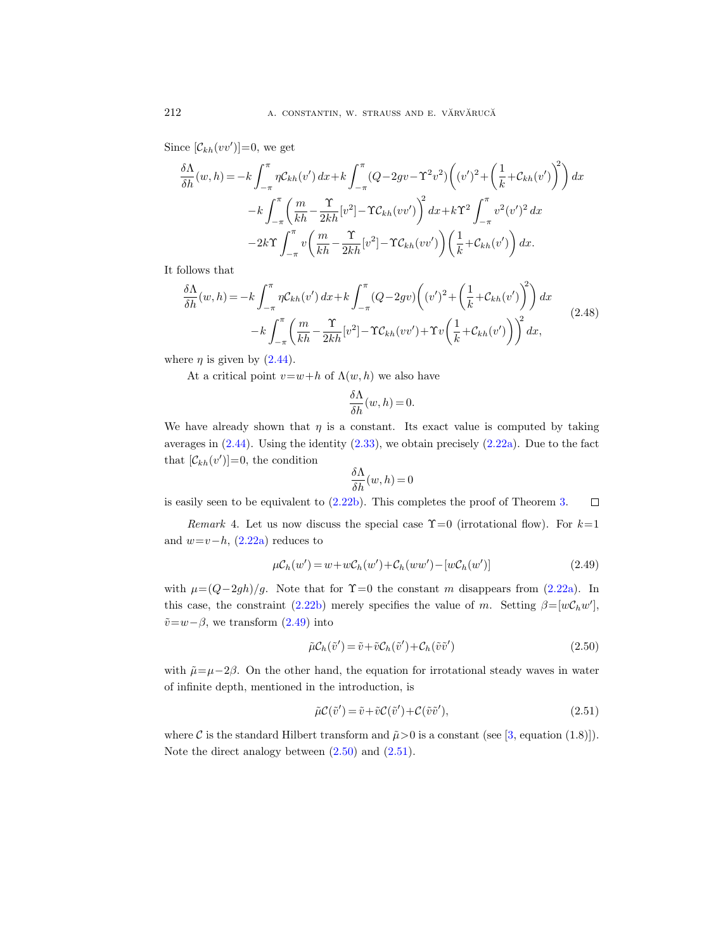Since  $[\mathcal{C}_{kh}(vv')] = 0$ , we get

$$
\frac{\delta\Lambda}{\delta h}(w,h) = -k \int_{-\pi}^{\pi} \eta C_{kh}(v') dx + k \int_{-\pi}^{\pi} (Q - 2gv - \Upsilon^2 v^2) \left( (v')^2 + \left( \frac{1}{k} + C_{kh}(v') \right)^2 \right) dx
$$

$$
-k \int_{-\pi}^{\pi} \left( \frac{m}{kh} - \frac{\Upsilon}{2kh} [v^2] - \Upsilon C_{kh}(vv') \right)^2 dx + k\Upsilon^2 \int_{-\pi}^{\pi} v^2 (v')^2 dx
$$

$$
-2k\Upsilon \int_{-\pi}^{\pi} v \left( \frac{m}{kh} - \frac{\Upsilon}{2kh} [v^2] - \Upsilon C_{kh}(vv') \right) \left( \frac{1}{k} + C_{kh}(v') \right) dx.
$$

It follows that

$$
\frac{\delta\Lambda}{\delta h}(w,h) = -k \int_{-\pi}^{\pi} \eta C_{kh}(v') dx + k \int_{-\pi}^{\pi} (Q - 2gv) \left( (v')^2 + \left( \frac{1}{k} + C_{kh}(v') \right)^2 \right) dx
$$
  

$$
-k \int_{-\pi}^{\pi} \left( \frac{m}{kh} - \frac{\Upsilon}{2kh} [v^2] - \Upsilon C_{kh}(vv') + \Upsilon v \left( \frac{1}{k} + C_{kh}(v') \right) \right)^2 dx,
$$
\n(2.48)

where  $\eta$  is given by [\(2.44\)](#page-14-1).

At a critical point  $v=w+h$  of  $\Lambda(w,h)$  we also have

$$
\frac{\delta \Lambda}{\delta h}(w, h) = 0.
$$

We have already shown that  $\eta$  is a constant. Its exact value is computed by taking averages in  $(2.44)$ . Using the identity  $(2.33)$ , we obtain precisely  $(2.22a)$ . Due to the fact that  $[\mathcal{C}_{kh}(v')] = 0$ , the condition

$$
\frac{\delta\Lambda}{\delta h}(w,h) = 0
$$

is easily seen to be equivalent to [\(2.22b\)](#page-10-3). This completes the proof of Theorem [3.](#page-13-3)  $\Box$ 

Remark 4. Let us now discuss the special case  $\Upsilon=0$  (irrotational flow). For  $k=1$ and  $w=v-h$ ,  $(2.22a)$  reduces to

<span id="page-17-0"></span>
$$
\mu C_h(w') = w + w C_h(w') + C_h(ww') - [w C_h(w')] \tag{2.49}
$$

with  $\mu=(Q-2gh)/g$ . Note that for  $\Upsilon=0$  the constant m disappears from [\(2.22a\)](#page-10-2). In this case, the constraint [\(2.22b\)](#page-10-3) merely specifies the value of m. Setting  $\beta = [wC_hw']$ ,  $\tilde{v} = w - \beta$ , we transform [\(2.49\)](#page-17-0) into

<span id="page-17-1"></span>
$$
\tilde{\mu} \mathcal{C}_h(\tilde{v}') = \tilde{v} + \tilde{v} \mathcal{C}_h(\tilde{v}') + \mathcal{C}_h(\tilde{v}\tilde{v}')\tag{2.50}
$$

with  $\tilde{\mu}=\mu-2\beta$ . On the other hand, the equation for irrotational steady waves in water of infinite depth, mentioned in the introduction, is

<span id="page-17-2"></span>
$$
\tilde{\mu}\mathcal{C}(\tilde{v}') = \tilde{v} + \tilde{v}\mathcal{C}(\tilde{v}') + \mathcal{C}(\tilde{v}\tilde{v}'),\tag{2.51}
$$

where C is the standard Hilbert transform and  $\tilde{\mu} > 0$  is a constant (see [\[3,](#page-65-9) equation (1.8)]). Note the direct analogy between [\(2.50\)](#page-17-1) and [\(2.51\)](#page-17-2).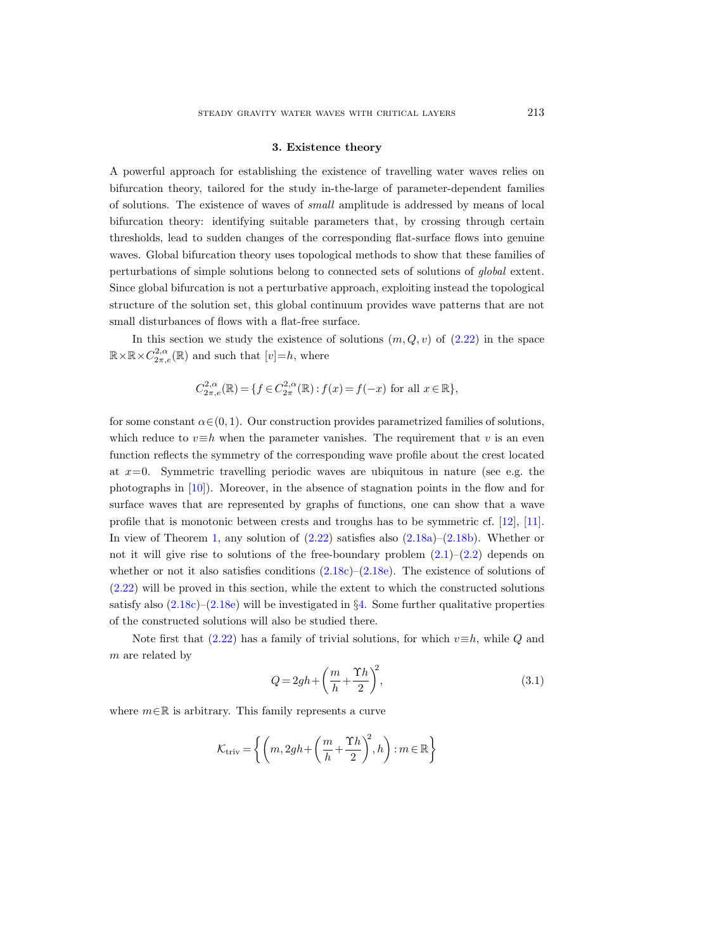#### 3. Existence theory

<span id="page-18-0"></span>A powerful approach for establishing the existence of travelling water waves relies on bifurcation theory, tailored for the study in-the-large of parameter-dependent families of solutions. The existence of waves of small amplitude is addressed by means of local bifurcation theory: identifying suitable parameters that, by crossing through certain thresholds, lead to sudden changes of the corresponding flat-surface flows into genuine waves. Global bifurcation theory uses topological methods to show that these families of perturbations of simple solutions belong to connected sets of solutions of global extent. Since global bifurcation is not a perturbative approach, exploiting instead the topological structure of the solution set, this global continuum provides wave patterns that are not small disturbances of flows with a flat-free surface.

In this section we study the existence of solutions  $(m, Q, v)$  of  $(2.22)$  in the space  $\mathbb{R}\times\mathbb{R}\times C^{2,\alpha}_{2\pi,e}(\mathbb{R})$  and such that  $[v]{=}h$ , where

$$
C_{2\pi,e}^{2,\alpha}(\mathbb{R}) = \{ f \in C_{2\pi}^{2,\alpha}(\mathbb{R}) : f(x) = f(-x) \text{ for all } x \in \mathbb{R} \},\
$$

for some constant  $\alpha \in (0, 1)$ . Our construction provides parametrized families of solutions, which reduce to  $v \equiv h$  when the parameter vanishes. The requirement that v is an even function reflects the symmetry of the corresponding wave profile about the crest located at  $x=0$ . Symmetric travelling periodic waves are ubiquitous in nature (see e.g. the photographs in [\[10\]](#page-65-1)). Moreover, in the absence of stagnation points in the flow and for surface waves that are represented by graphs of functions, one can show that a wave profile that is monotonic between crests and troughs has to be symmetric cf. [\[12\]](#page-65-14), [\[11\]](#page-65-15). In view of Theorem [1,](#page-11-8) any solution of [\(2.22\)](#page-10-1) satisfies also [\(2.18a\)](#page-8-4)–[\(2.18b\)](#page-9-1). Whether or not it will give rise to solutions of the free-boundary problem  $(2.1)$ – $(2.2)$  depends on whether or not it also satisfies conditions  $(2.18c)-(2.18e)$  $(2.18c)-(2.18e)$  $(2.18c)-(2.18e)$ . The existence of solutions of [\(2.22\)](#page-10-1) will be proved in this section, while the extent to which the constructed solutions satisfy also  $(2.18c)$ – $(2.18e)$  will be investigated in §[4.](#page-27-0) Some further qualitative properties of the constructed solutions will also be studied there.

Note first that [\(2.22\)](#page-10-1) has a family of trivial solutions, for which  $v\equiv h$ , while Q and m are related by

<span id="page-18-1"></span>
$$
Q = 2gh + \left(\frac{m}{h} + \frac{\Upsilon h}{2}\right)^2, \tag{3.1}
$$

where  $m \in \mathbb{R}$  is arbitrary. This family represents a curve

$$
\mathcal{K}_{\text{triv}} = \left\{ \left( m, 2gh + \left( \frac{m}{h} + \frac{\Upsilon h}{2} \right)^2, h \right) : m \in \mathbb{R} \right\}
$$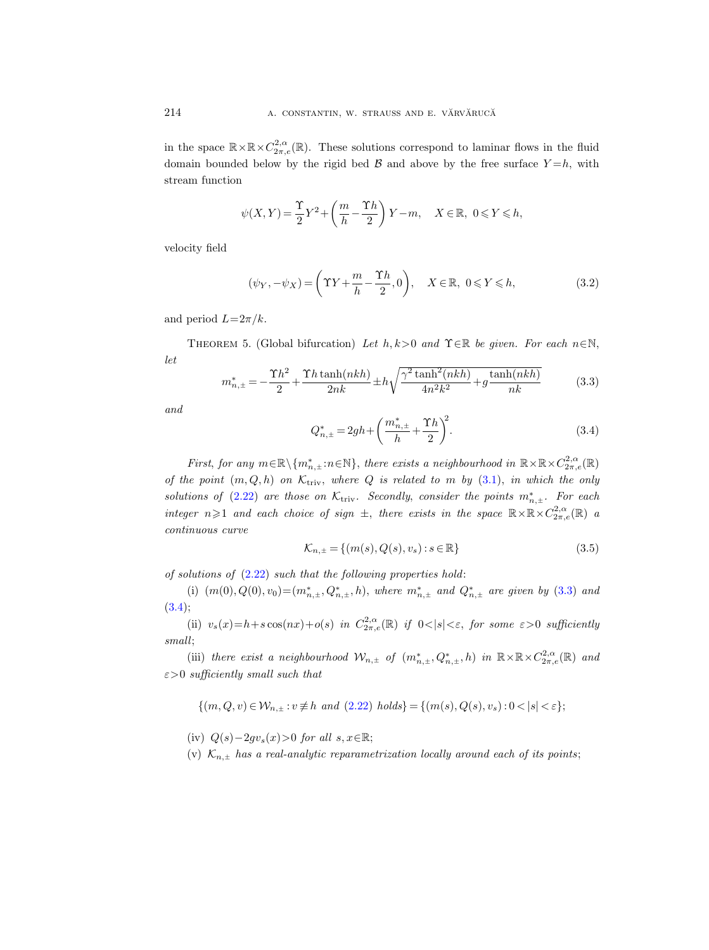in the space  $\mathbb{R}\times\mathbb{R}\times C^{2,\alpha}_{2\pi,e}(\mathbb{R})$ . These solutions correspond to laminar flows in the fluid domain bounded below by the rigid bed  $\beta$  and above by the free surface  $Y=h$ , with stream function

$$
\psi(X,Y) = \frac{\Upsilon}{2}Y^2 + \left(\frac{m}{h} - \frac{\Upsilon h}{2}\right)Y - m, \quad X \in \mathbb{R}, \ 0 \leqslant Y \leqslant h,
$$

velocity field

<span id="page-19-3"></span>
$$
(\psi_Y, -\psi_X) = \left(\Upsilon Y + \frac{m}{h} - \frac{\Upsilon h}{2}, 0\right), \quad X \in \mathbb{R}, \ 0 \le Y \le h,\tag{3.2}
$$

and period  $L=2\pi/k$ .

<span id="page-19-0"></span>THEOREM 5. (Global bifurcation) Let  $h, k>0$  and  $\Upsilon \in \mathbb{R}$  be given. For each  $n \in \mathbb{N}$ , let

<span id="page-19-1"></span>
$$
m_{n,\pm}^{*} = -\frac{\Upsilon h^2}{2} + \frac{\Upsilon h \tanh(nkh)}{2nk} \pm h \sqrt{\frac{\gamma^2 \tanh^2(nkh)}{4n^2k^2} + g \frac{\tanh(nkh)}{nk}}
$$
(3.3)

and

<span id="page-19-2"></span>
$$
Q_{n,\pm}^* = 2gh + \left(\frac{m_{n,\pm}^*}{h} + \frac{\Upsilon h}{2}\right)^2.
$$
 (3.4)

First, for any  $m \in \mathbb{R} \setminus \{m_{n,\pm}^* : n \in \mathbb{N}\}\$ , there exists a neighbourhood in  $\mathbb{R} \times \mathbb{R} \times C^{2,\alpha}_{2\pi,e}(\mathbb{R})$ of the point  $(m, Q, h)$  on  $\mathcal{K}_{\text{triv}}$ , where Q is related to m by [\(3.1\)](#page-18-1), in which the only solutions of [\(2.22\)](#page-10-1) are those on  $\mathcal{K}_{\text{triv}}$ . Secondly, consider the points  $m_{n,\pm}^*$ . For each integer  $n \geq 1$  and each choice of sign  $\pm$ , there exists in the space  $\mathbb{R} \times \mathbb{R} \times C^{2,\alpha}_{2\pi,e}(\mathbb{R})$  a continuous curve

$$
\mathcal{K}_{n,\pm} = \{ (m(s), Q(s), v_s) : s \in \mathbb{R} \}
$$
\n(3.5)

of solutions of  $(2.22)$  such that the following properties hold:

(i)  $(m(0), Q(0), v_0) = (m_{n,\pm}^*, Q_{n,\pm}^*, h)$ , where  $m_{n,\pm}^*$  and  $Q_{n,\pm}^*$  are given by [\(3.3\)](#page-19-1) and  $(3.4);$  $(3.4);$ 

(ii)  $v_s(x) = h + s \cos(nx) + o(s)$  in  $C^{2,\alpha}_{2\pi,e}(\mathbb{R})$  if  $0 < |s| < \varepsilon$ , for some  $\varepsilon > 0$  sufficiently small;

(iii) there exist a neighbourhood  $\mathcal{W}_{n,\pm}$  of  $(m_{n,\pm}^*, Q_{n,\pm}^*, h)$  in  $\mathbb{R}\times\mathbb{R}\times C_{2\pi,e}^{2,\alpha}(\mathbb{R})$  and  $\varepsilon > 0$  sufficiently small such that

 $\{(m, Q, v) \in \mathcal{W}_{n, \pm} : v \neq h \text{ and } (2.22) \text{ holds}\} = \{(m(s), Q(s), v_s) : 0 < |s| < \varepsilon\};$  $\{(m, Q, v) \in \mathcal{W}_{n, \pm} : v \neq h \text{ and } (2.22) \text{ holds}\} = \{(m(s), Q(s), v_s) : 0 < |s| < \varepsilon\};$  $\{(m, Q, v) \in \mathcal{W}_{n, \pm} : v \neq h \text{ and } (2.22) \text{ holds}\} = \{(m(s), Q(s), v_s) : 0 < |s| < \varepsilon\};$ 

(iv)  $Q(s)-2gv_s(x)$ >0 for all  $s, x \in \mathbb{R}$ ;

(v)  $\mathcal{K}_{n,\pm}$  has a real-analytic reparametrization locally around each of its points;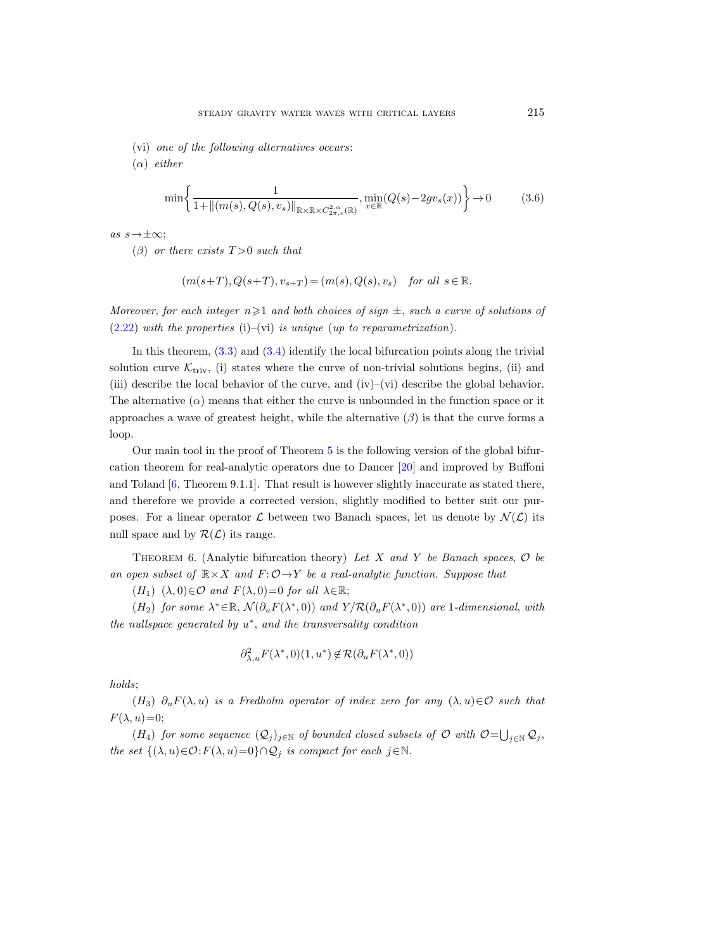- (vi) one of the following alternatives occurs:
- $(\alpha)$  either

$$
\min\left\{\frac{1}{1+\|(m(s),Q(s),v_s)\|_{\mathbb{R}\times\mathbb{R}\times C_{2\pi,e}^{2,\alpha}(\mathbb{R})}},\min_{x\in\mathbb{R}}(Q(s)-2gv_s(x))\right\}\to 0\tag{3.6}
$$

as  $s \rightarrow \pm \infty$ ;

( $\beta$ ) or there exists  $T > 0$  such that

$$
(m(s+T),Q(s+T),v_{s+T})=(m(s),Q(s),v_s)\quad \textit{for all}\ s\in\mathbb{R}.
$$

Moreover, for each integer  $n\geqslant 1$  and both choices of sign  $\pm$ , such a curve of solutions of  $(2.22)$  with the properties  $(i)$ – $(vi)$  is unique (up to reparametrization).

In this theorem,  $(3.3)$  and  $(3.4)$  identify the local bifurcation points along the trivial solution curve  $\mathcal{K}_{triv}$ , (i) states where the curve of non-trivial solutions begins, (ii) and (iii) describe the local behavior of the curve, and (iv)–(vi) describe the global behavior. The alternative  $(\alpha)$  means that either the curve is unbounded in the function space or it approaches a wave of greatest height, while the alternative  $(\beta)$  is that the curve forms a loop.

Our main tool in the proof of Theorem [5](#page-19-0) is the following version of the global bifurcation theorem for real-analytic operators due to Dancer [\[20\]](#page-65-13) and improved by Buffoni and Toland  $[6,$  Theorem 9.1.1.]. That result is however slightly inaccurate as stated there, and therefore we provide a corrected version, slightly modified to better suit our purposes. For a linear operator L between two Banach spaces, let us denote by  $\mathcal{N}(\mathcal{L})$  its null space and by  $\mathcal{R}(\mathcal{L})$  its range.

<span id="page-20-0"></span>THEOREM 6. (Analytic bifurcation theory) Let X and Y be Banach spaces,  $\mathcal O$  be an open subset of  $\mathbb{R} \times X$  and  $F: \mathcal{O} \rightarrow Y$  be a real-analytic function. Suppose that

 $(H_1)$   $(\lambda, 0) \in \mathcal{O}$  and  $F(\lambda, 0) = 0$  for all  $\lambda \in \mathbb{R}$ ;

(H<sub>2</sub>) for some  $\lambda^* \in \mathbb{R}$ ,  $\mathcal{N}(\partial_u F(\lambda^*, 0))$  and  $Y/R(\partial_u F(\lambda^*, 0))$  are 1-dimensional, with the nullspace generated by  $u^*$ , and the transversality condition

$$
\partial_{\lambda,u}^2 F(\lambda^*,0)(1,u^*) \not\in \mathcal{R}(\partial_u F(\lambda^*,0))
$$

holds;

 $(H_3)$   $\partial_u F(\lambda, u)$  is a Fredholm operator of index zero for any  $(\lambda, u) \in \mathcal{O}$  such that  $F(\lambda, u)=0;$ 

 $(H_4)$  for some sequence  $(Q_j)_{j\in\mathbb{N}}$  of bounded closed subsets of  $\mathcal O$  with  $\mathcal O = \bigcup_{j\in\mathbb{N}}\mathcal Q_j$ , the set  $\{(\lambda, u) \in \mathcal{O} : F(\lambda, u) = 0\} \cap \mathcal{Q}_j$  is compact for each  $j \in \mathbb{N}$ .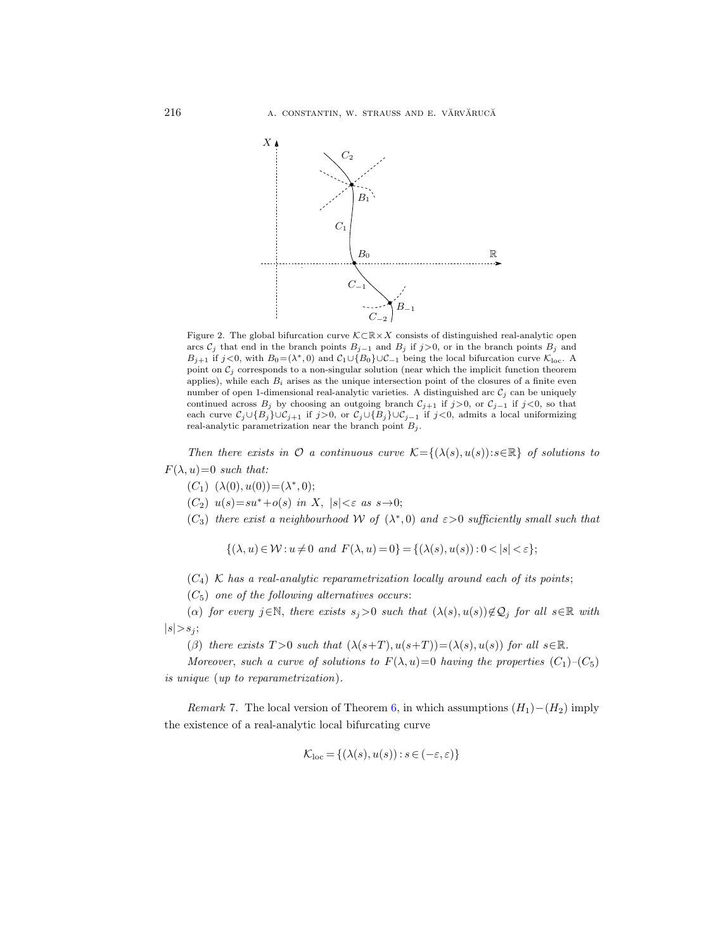

<span id="page-21-0"></span>Figure 2. The global bifurcation curve  $\mathcal{K}\subset \mathbb{R}\times X$  consists of distinguished real-analytic open arcs  $C_j$  that end in the branch points  $B_{j-1}$  and  $B_j$  if  $j>0$ , or in the branch points  $B_j$  and  $B_{j+1}$  if  $j<0$ , with  $B_0 = (\lambda^*, 0)$  and  $C_1 \cup \{B_0\} \cup C_{-1}$  being the local bifurcation curve  $\mathcal{K}_{loc}$ . A point on  $\mathcal{C}_j$  corresponds to a non-singular solution (near which the implicit function theorem applies), while each  $B_i$  arises as the unique intersection point of the closures of a finite even number of open 1-dimensional real-analytic varieties. A distinguished arc  $\mathcal{C}_i$  can be uniquely continued across  $B_j$  by choosing an outgoing branch  $C_{j+1}$  if  $j>0$ , or  $C_{j-1}$  if  $j<0$ , so that each curve  $\mathcal{C}_j \cup \{B_j\} \cup \mathcal{C}_{j+1}$  if  $j>0$ , or  $\mathcal{C}_j \cup \{B_j\} \cup \mathcal{C}_{j-1}$  if  $j<0$ , admits a local uniformizing real-analytic parametrization near the branch point  $B_j$ .

Then there exists in  $\mathcal O$  a continuous curve  $\mathcal K = \{(\lambda(s), u(s)) : s \in \mathbb R\}$  of solutions to  $F(\lambda, u)=0$  such that:

 $(C_1) \ (\lambda(0), u(0)) = (\lambda^*, 0);$ 

 $(C_2)$   $u(s)=su^*+o(s)$  in X,  $|s|<\varepsilon$  as  $s\rightarrow 0;$ 

(C<sub>3</sub>) there exist a neighbourhood W of  $(\lambda^*,0)$  and  $\varepsilon > 0$  sufficiently small such that

$$
\{(\lambda, u) \in \mathcal{W} : u \neq 0 \text{ and } F(\lambda, u) = 0\} = \{(\lambda(s), u(s)) : 0 < |s| < \varepsilon\};
$$

 $(C_4)$  K has a real-analytic reparametrization locally around each of its points;

 $(C_5)$  one of the following alternatives occurs:

(α) for every j∈N, there exists  $s_j>0$  such that  $(\lambda(s), u(s))\notin\mathcal{Q}_j$  for all  $s\in\mathbb{R}$  with  $|s|>s_j;$ 

(β) there exists  $T > 0$  such that  $(\lambda(s+T), u(s+T)) = (\lambda(s), u(s))$  for all  $s \in \mathbb{R}$ .

Moreover, such a curve of solutions to  $F(\lambda, u) = 0$  having the properties  $(C_1)$ – $(C_5)$ is unique (up to reparametrization).

Remark 7. The local version of Theorem [6,](#page-20-0) in which assumptions  $(H_1) - (H_2)$  imply the existence of a real-analytic local bifurcating curve

$$
\mathcal{K}_{\text{loc}} = \{ (\lambda(s), u(s)) : s \in (-\varepsilon, \varepsilon) \}
$$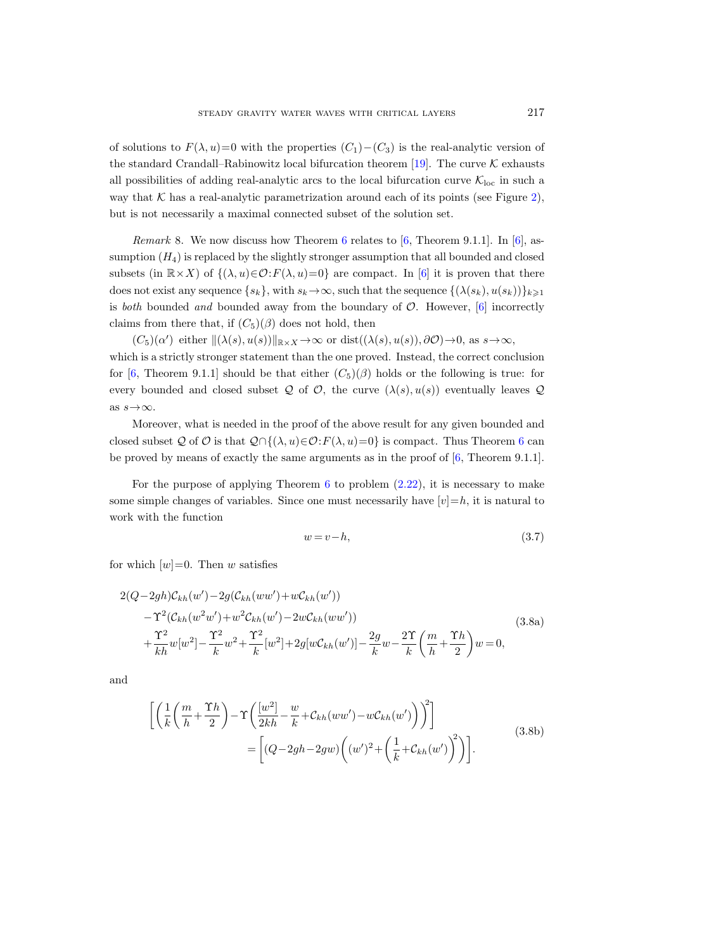of solutions to  $F(\lambda, u)=0$  with the properties  $(C_1) - (C_3)$  is the real-analytic version of the standard Crandall–Rabinowitz local bifurcation theorem [\[19\]](#page-65-16). The curve  $K$  exhausts all possibilities of adding real-analytic arcs to the local bifurcation curve  $\mathcal{K}_{\text{loc}}$  in such a way that  $K$  has a real-analytic parametrization around each of its points (see Figure [2\)](#page-21-0), but is not necessarily a maximal connected subset of the solution set.

*Remark* 8. We now discuss how Theorem [6](#page-20-0) relates to  $[6,$  Theorem 9.1.1.]. In  $[6]$ , assumption  $(H_4)$  is replaced by the slightly stronger assumption that all bounded and closed subsets (in  $\mathbb{R}\times X$ ) of  $\{(\lambda, u) \in \mathcal{O}: F(\lambda, u)=0\}$  are compact. In [\[6\]](#page-65-12) it is proven that there does not exist any sequence  $\{s_k\}$ , with  $s_k \to \infty$ , such that the sequence  $\{(\lambda(s_k), u(s_k))\}_{k\geq 1}$ is both bounded and bounded away from the boundary of  $\mathcal{O}$ . However, [\[6\]](#page-65-12) incorrectly claims from there that, if  $(C_5)(\beta)$  does not hold, then

 $(C_5)(\alpha')$  either  $\|(\lambda(s), u(s))\|_{\mathbb{R}\times X}\to\infty$  or dist $((\lambda(s), u(s)), \partial\mathcal{O})\to 0$ , as  $s\to\infty$ , which is a strictly stronger statement than the one proved. Instead, the correct conclusion for [\[6,](#page-65-12) Theorem 9.1.1] should be that either  $(C_5)(\beta)$  holds or the following is true: for every bounded and closed subset Q of  $\mathcal O$ , the curve  $(\lambda(s), u(s))$  eventually leaves Q as  $s \rightarrow \infty$ .

Moreover, what is needed in the proof of the above result for any given bounded and closed subset Q of O is that  $Q \cap \{(\lambda, u) \in \mathcal{O} : F(\lambda, u) = 0\}$  is compact. Thus Theorem [6](#page-20-0) can be proved by means of exactly the same arguments as in the proof of  $[6,$  Theorem 9.1.1].

For the purpose of applying Theorem  $6$  to problem  $(2.22)$ , it is necessary to make some simple changes of variables. Since one must necessarily have  $[v]=h$ , it is natural to work with the function

<span id="page-22-1"></span><span id="page-22-0"></span>
$$
w = v - h,\tag{3.7}
$$

for which  $[w]=0$ . Then w satisfies

$$
2(Q-2gh)\mathcal{C}_{kh}(w') - 2g(\mathcal{C}_{kh}(ww') + w\mathcal{C}_{kh}(w'))- \Upsilon^2(\mathcal{C}_{kh}(w^2w') + w^2\mathcal{C}_{kh}(w') - 2w\mathcal{C}_{kh}(ww'))+ \frac{\Upsilon^2}{kh}w[w^2] - \frac{\Upsilon^2}{k}w^2 + \frac{\Upsilon^2}{k}[w^2] + 2g[w\mathcal{C}_{kh}(w')] - \frac{2g}{k}w - \frac{2\Upsilon}{k}\left(\frac{m}{h} + \frac{\Upsilon h}{2}\right)w = 0,
$$
\n(3.8a)

and

$$
\begin{split} \left[ \left( \frac{1}{k} \left( \frac{m}{h} + \frac{\Upsilon h}{2} \right) - \Upsilon \left( \frac{[w^2]}{2kh} - \frac{w}{k} + \mathcal{C}_{kh}(ww') - w\mathcal{C}_{kh}(w') \right) \right)^2 \right] \\ &= \left[ (Q - 2gh - 2gw) \left( (w')^2 + \left( \frac{1}{k} + \mathcal{C}_{kh}(w') \right)^2 \right) \right]. \end{split} \tag{3.8b}
$$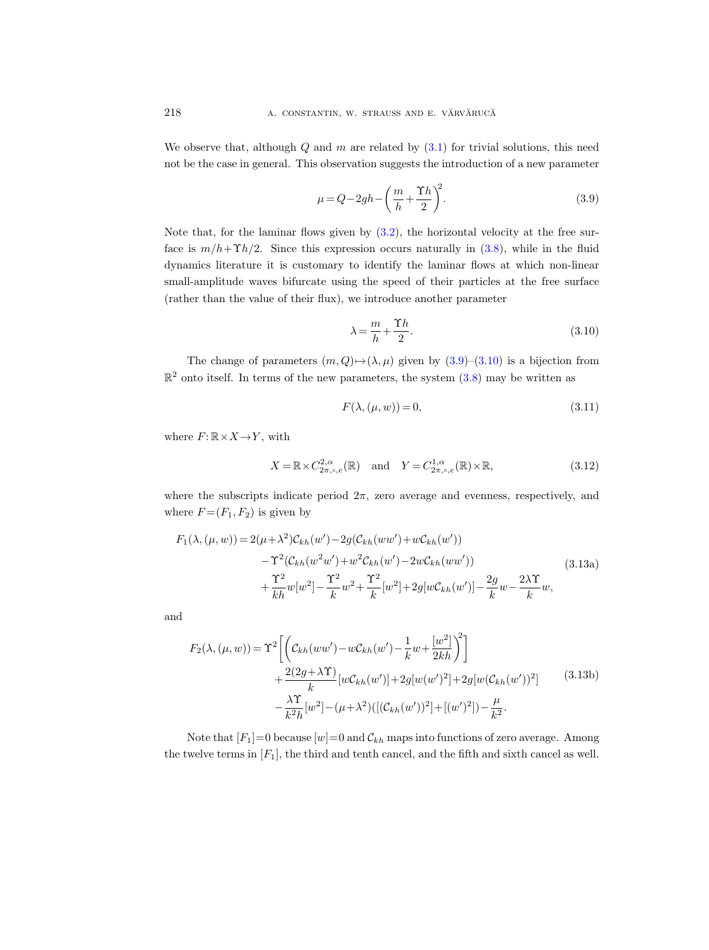We observe that, although  $Q$  and  $m$  are related by  $(3.1)$  for trivial solutions, this need not be the case in general. This observation suggests the introduction of a new parameter

<span id="page-23-0"></span>
$$
\mu = Q - 2gh - \left(\frac{m}{h} + \frac{\Upsilon h}{2}\right)^2.
$$
\n(3.9)

Note that, for the laminar flows given by  $(3.2)$ , the horizontal velocity at the free surface is  $m/h+\Upsilon h/2$ . Since this expression occurs naturally in [\(3.8\)](#page-22-0), while in the fluid dynamics literature it is customary to identify the laminar flows at which non-linear small-amplitude waves bifurcate using the speed of their particles at the free surface (rather than the value of their flux), we introduce another parameter

<span id="page-23-1"></span>
$$
\lambda = \frac{m}{h} + \frac{\Upsilon h}{2}.\tag{3.10}
$$

The change of parameters  $(m, Q) \rightarrow (\lambda, \mu)$  given by  $(3.9)$ – $(3.10)$  is a bijection from  $\mathbb{R}^2$  onto itself. In terms of the new parameters, the system  $(3.8)$  may be written as

<span id="page-23-2"></span>
$$
F(\lambda, (\mu, w)) = 0,\t\t(3.11)
$$

where  $F: \mathbb{R} \times X \rightarrow Y$ , with

<span id="page-23-3"></span>
$$
X = \mathbb{R} \times C^{2,\alpha}_{2\pi,\circ,e}(\mathbb{R}) \quad \text{and} \quad Y = C^{1,\alpha}_{2\pi,\circ,e}(\mathbb{R}) \times \mathbb{R},\tag{3.12}
$$

where the subscripts indicate period  $2\pi$ , zero average and evenness, respectively, and where  $F = (F_1, F_2)$  is given by

<span id="page-23-4"></span>
$$
F_1(\lambda, (\mu, w)) = 2(\mu + \lambda^2)C_{kh}(w') - 2g(C_{kh}(ww') + wC_{kh}(w'))- \Upsilon^2(C_{kh}(w^2w') + w^2C_{kh}(w') - 2wC_{kh}(ww'))+ \frac{\Upsilon^2}{kh}w[w^2] - \frac{\Upsilon^2}{k}w^2 + \frac{\Upsilon^2}{k}[w^2] + 2g[wC_{kh}(w')] - \frac{2g}{k}w - \frac{2\lambda\Upsilon}{k}w,
$$
(3.13a)

and

<span id="page-23-5"></span>
$$
F_2(\lambda, (\mu, w)) = \Upsilon^2 \left[ \left( \mathcal{C}_{kh}(ww') - w\mathcal{C}_{kh}(w') - \frac{1}{k}w + \frac{[w^2]}{2kh} \right)^2 \right] + \frac{2(2g + \lambda \Upsilon)}{k} \left[ w\mathcal{C}_{kh}(w') + 2g[w(w')^2] + 2g[w(\mathcal{C}_{kh}(w'))^2] - \frac{\lambda \Upsilon}{k^2 h} [w^2] - (\mu + \lambda^2) \left( [(\mathcal{C}_{kh}(w'))^2] + [(w')^2] \right) - \frac{\mu}{k^2} .
$$
 (3.13b)

Note that  $[F_1]=0$  because  $[w]=0$  and  $\mathcal{C}_{kh}$  maps into functions of zero average. Among the twelve terms in  $[F_1]$ , the third and tenth cancel, and the fifth and sixth cancel as well.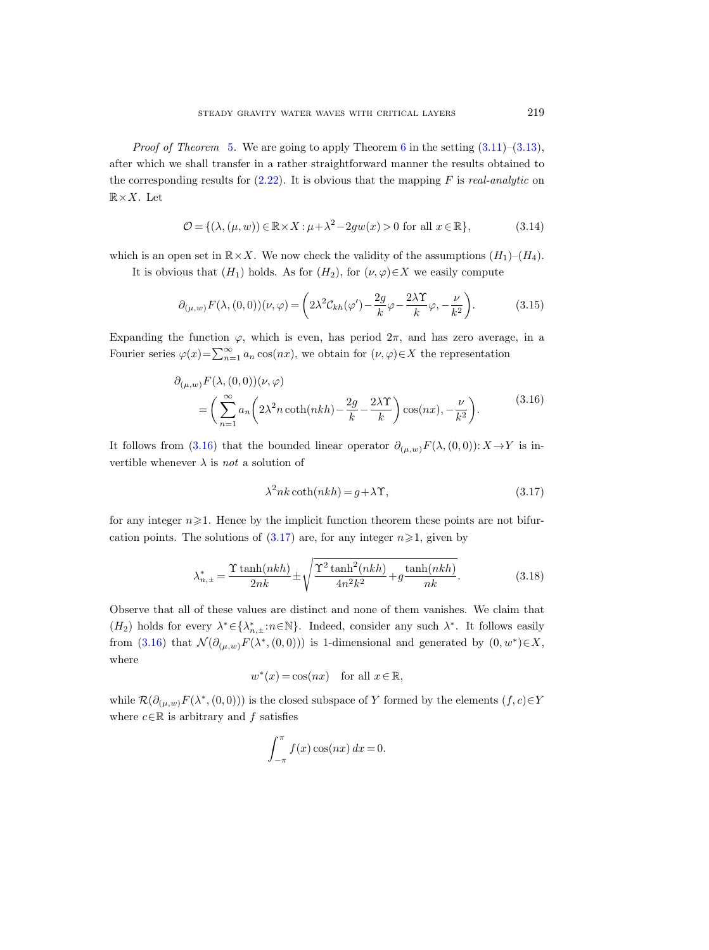*Proof of Theorem [5](#page-19-0).* We are going to apply Theorem [6](#page-20-0) in the setting  $(3.11)$ – $(3.13)$ , after which we shall transfer in a rather straightforward manner the results obtained to the corresponding results for  $(2.22)$ . It is obvious that the mapping F is real-analytic on  $\mathbb{R}\times X$ . Let

<span id="page-24-2"></span>
$$
\mathcal{O} = \{ (\lambda, (\mu, w)) \in \mathbb{R} \times X : \mu + \lambda^2 - 2gw(x) > 0 \text{ for all } x \in \mathbb{R} \},\tag{3.14}
$$

which is an open set in  $\mathbb{R} \times X$ . We now check the validity of the assumptions  $(H_1)-(H_4)$ .

It is obvious that  $(H_1)$  holds. As for  $(H_2)$ , for  $(\nu, \varphi) \in X$  we easily compute

$$
\partial_{(\mu,\omega)} F(\lambda,(0,0))(\nu,\varphi) = \left(2\lambda^2 \mathcal{C}_{kh}(\varphi') - \frac{2g}{k}\varphi - \frac{2\lambda\Upsilon}{k}\varphi, -\frac{\nu}{k^2}\right). \tag{3.15}
$$

Expanding the function  $\varphi$ , which is even, has period  $2\pi$ , and has zero average, in a Fourier series  $\varphi(x) = \sum_{n=1}^{\infty} a_n \cos(nx)$ , we obtain for  $(\nu, \varphi) \in X$  the representation

$$
\partial_{(\mu,w)} F(\lambda, (0,0))(\nu, \varphi) = \left(\sum_{n=1}^{\infty} a_n \left(2\lambda^2 n \coth(nkh) - \frac{2g}{k} - \frac{2\lambda \Upsilon}{k}\right) \cos(nx), -\frac{\nu}{k^2}\right).
$$
\n(3.16)

<span id="page-24-0"></span>It follows from [\(3.16\)](#page-24-0) that the bounded linear operator  $\partial_{(\mu,w)}F(\lambda,(0,0)): X\to Y$  is invertible whenever  $\lambda$  is *not* a solution of

<span id="page-24-1"></span>
$$
\lambda^2 nk \coth(nkh) = g + \lambda \Upsilon,\tag{3.17}
$$

for any integer  $n\geqslant 1$ . Hence by the implicit function theorem these points are not bifurcation points. The solutions of  $(3.17)$  are, for any integer  $n \ge 1$ , given by

<span id="page-24-3"></span>
$$
\lambda_{n,\pm}^* = \frac{\Upsilon \tanh(nkh)}{2nk} \pm \sqrt{\frac{\Upsilon^2 \tanh^2(nkh)}{4n^2k^2} + g\frac{\tanh(nkh)}{nk}}.\tag{3.18}
$$

Observe that all of these values are distinct and none of them vanishes. We claim that  $(H_2)$  holds for every  $\lambda^* \in {\{\lambda^*_{n,+}: n \in \mathbb{N}\}}$ . Indeed, consider any such  $\lambda^*$ . It follows easily from [\(3.16\)](#page-24-0) that  $\mathcal{N}(\partial_{(\mu,w)}F(\lambda^*,(0,0)))$  is 1-dimensional and generated by  $(0,w^*)\in X$ , where

$$
w^*(x) = \cos(nx) \quad \text{for all } x \in \mathbb{R},
$$

while  $\mathcal{R}(\partial_{(\mu,w)}F(\lambda^*,(0,0)))$  is the closed subspace of Y formed by the elements  $(f, c) \in Y$ where  $c \in \mathbb{R}$  is arbitrary and f satisfies

$$
\int_{-\pi}^{\pi} f(x) \cos(nx) dx = 0.
$$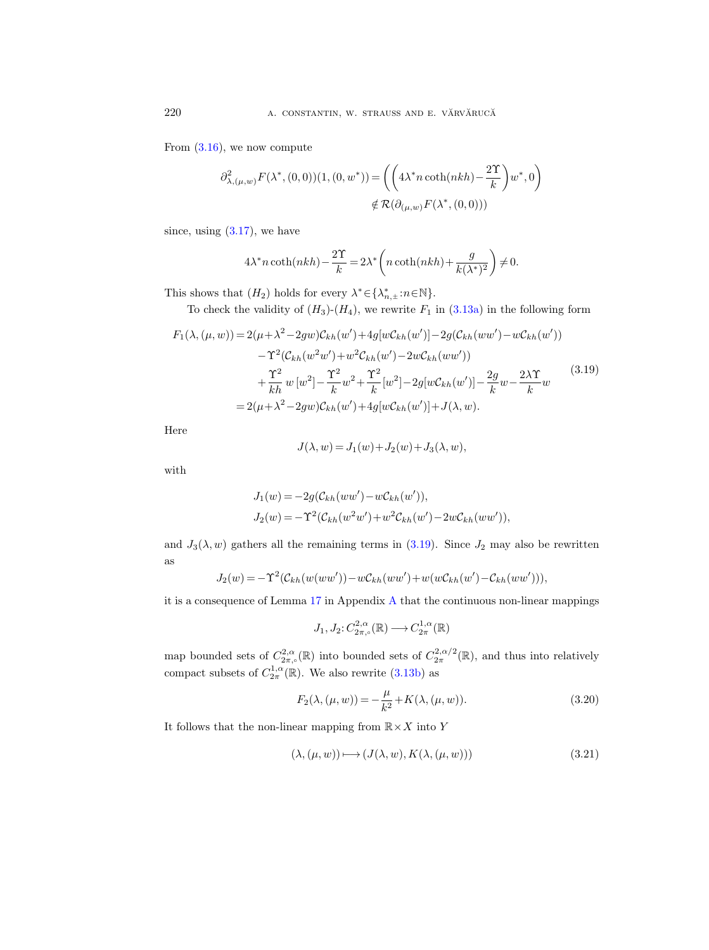From  $(3.16)$ , we now compute

$$
\begin{split} \partial^2_{\lambda,(\mu,w)}F(\lambda^*,(0,0))(1,(0,w^*))=&\left(\left(4\lambda^*n\coth(nkh)-\frac{2\Upsilon}{k}\right)w^*,0\right)\\ &\notin\mathcal{R}(\partial_{(\mu,w)}F(\lambda^*,(0,0))) \end{split}
$$

since, using  $(3.17)$ , we have

$$
4\lambda^* n \coth(nkh) - \frac{2\Upsilon}{k} = 2\lambda^* \left( n \coth(nkh) + \frac{g}{k(\lambda^*)^2} \right) \neq 0.
$$

This shows that  $(H_2)$  holds for every  $\lambda^* \in {\{\lambda^*_{n,\pm} : n \in \mathbb{N}\}}$ .

To check the validity of  $(H_3)-(H_4)$ , we rewrite  $F_1$  in  $(3.13a)$  in the following form

<span id="page-25-0"></span>
$$
F_1(\lambda, (\mu, w)) = 2(\mu + \lambda^2 - 2gw)C_{kh}(w') + 4g[wC_{kh}(w')] - 2g(C_{kh}(ww') - wC_{kh}(w'))- \Upsilon^2(C_{kh}(w^2w') + w^2C_{kh}(w') - 2wC_{kh}(ww'))+ \frac{\Upsilon^2}{kh} w [w^2] - \frac{\Upsilon^2}{k} w^2 + \frac{\Upsilon^2}{k} [w^2] - 2g[wC_{kh}(w')] - \frac{2g}{k} w - \frac{2\lambda\Upsilon}{k} w= 2(\mu + \lambda^2 - 2gw)C_{kh}(w') + 4g[wC_{kh}(w')] + J(\lambda, w).
$$
\n(3.19)

Here

$$
J(\lambda, w) = J_1(w) + J_2(w) + J_3(\lambda, w),
$$

with

$$
J_1(w) = -2g(\mathcal{C}_{kh}(ww') - w\mathcal{C}_{kh}(w')),
$$
  
\n
$$
J_2(w) = -\Upsilon^2(\mathcal{C}_{kh}(w^2w') + w^2\mathcal{C}_{kh}(w') - 2w\mathcal{C}_{kh}(ww')),
$$

and  $J_3(\lambda, w)$  gathers all the remaining terms in [\(3.19\)](#page-25-0). Since  $J_2$  may also be rewritten as

$$
J_2(w) = -\Upsilon^2(\mathcal{C}_{kh}(w(ww')) - w\mathcal{C}_{kh}(ww') + w(w\mathcal{C}_{kh}(w') - \mathcal{C}_{kh}(ww'))),
$$

it is a consequence of Lemma [17](#page-50-1) in Appendix [A](#page-48-0) that the continuous non-linear mappings

$$
J_1, J_2: C^{2,\alpha}_{2\pi,\circ}(\mathbb{R}) \longrightarrow C^{1,\alpha}_{2\pi}(\mathbb{R})
$$

map bounded sets of  $C^{2,\alpha}_{2\pi,\circ}(\mathbb{R})$  into bounded sets of  $C^{2,\alpha/2}_{2\pi}(\mathbb{R})$ , and thus into relatively compact subsets of  $C_{2\pi}^{1,\alpha}(\mathbb{R})$ . We also rewrite  $(3.13b)$  as

$$
F_2(\lambda, (\mu, w)) = -\frac{\mu}{k^2} + K(\lambda, (\mu, w)).
$$
\n(3.20)

It follows that the non-linear mapping from  $\mathbb{R} \times X$  into Y

$$
(\lambda, (\mu, w)) \longmapsto (J(\lambda, w), K(\lambda, (\mu, w))) \tag{3.21}
$$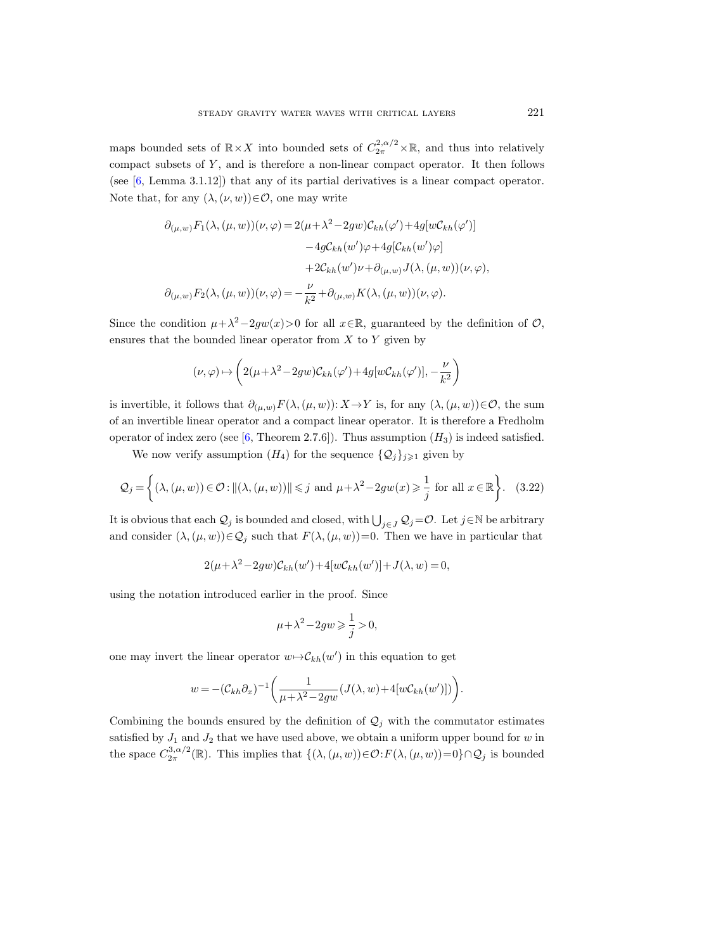maps bounded sets of  $\mathbb{R}\times X$  into bounded sets of  $C_{2\pi}^{2,\alpha/2}\times\mathbb{R}$ , and thus into relatively compact subsets of  $Y$ , and is therefore a non-linear compact operator. It then follows (see [\[6,](#page-65-12) Lemma 3.1.12]) that any of its partial derivatives is a linear compact operator. Note that, for any  $(\lambda, (\nu, w)) \in \mathcal{O}$ , one may write

$$
\partial_{(\mu,w)} F_1(\lambda, (\mu, w))(\nu, \varphi) = 2(\mu + \lambda^2 - 2gw)\mathcal{C}_{kh}(\varphi') + 4g[w\mathcal{C}_{kh}(\varphi')]
$$

$$
-4g\mathcal{C}_{kh}(w')\varphi + 4g[\mathcal{C}_{kh}(w')\varphi]
$$

$$
+2\mathcal{C}_{kh}(w')\nu + \partial_{(\mu,w)}J(\lambda, (\mu, w))(\nu, \varphi),
$$

$$
\partial_{(\mu,w)}F_2(\lambda, (\mu, w))(\nu, \varphi) = -\frac{\nu}{k^2} + \partial_{(\mu,w)}K(\lambda, (\mu, w))(\nu, \varphi).
$$

Since the condition  $\mu + \lambda^2 - 2gw(x) > 0$  for all  $x \in \mathbb{R}$ , guaranteed by the definition of  $\mathcal{O}$ , ensures that the bounded linear operator from  $X$  to  $Y$  given by

$$
(\nu, \varphi) \mapsto \left(2(\mu + \lambda^2 - 2gw)\mathcal{C}_{kh}(\varphi') + 4g[w\mathcal{C}_{kh}(\varphi')], -\frac{\nu}{k^2}\right)
$$

is invertible, it follows that  $\partial_{(\mu,w)}F(\lambda,(\mu,w))$ : X → Y is, for any  $(\lambda,(\mu,w))\in\mathcal{O}$ , the sum of an invertible linear operator and a compact linear operator. It is therefore a Fredholm operator of index zero (see [\[6,](#page-65-12) Theorem 2.7.6]). Thus assumption  $(H_3)$  is indeed satisfied.

We now verify assumption  $(H_4)$  for the sequence  $\{Q_j\}_{j\geq 1}$  given by

<span id="page-26-0"></span>
$$
\mathcal{Q}_j = \left\{ (\lambda, (\mu, w)) \in \mathcal{O} : \| (\lambda, (\mu, w)) \| \leq j \text{ and } \mu + \lambda^2 - 2gw(x) \geq \frac{1}{j} \text{ for all } x \in \mathbb{R} \right\}. \tag{3.22}
$$

It is obvious that each  $Q_j$  is bounded and closed, with  $\bigcup_{j\in J} Q_j = \mathcal{O}$ . Let  $j \in \mathbb{N}$  be arbitrary and consider  $(\lambda,(\mu, w))\in\mathcal{Q}_j$  such that  $F(\lambda,(\mu, w))=0$ . Then we have in particular that

$$
2(\mu + \lambda^2 - 2gw)\mathcal{C}_{kh}(w') + 4[w\mathcal{C}_{kh}(w')] + J(\lambda, w) = 0,
$$

using the notation introduced earlier in the proof. Since

$$
\mu+\lambda^2-2gw\geqslant\frac{1}{j}>0,
$$

one may invert the linear operator  $w \rightarrow \mathcal{C}_{kh}(w')$  in this equation to get

$$
w = -(\mathcal{C}_{kh}\partial_x)^{-1}\bigg(\frac{1}{\mu + \lambda^2 - 2gw}(J(\lambda, w) + 4[w\mathcal{C}_{kh}(w')])\bigg).
$$

Combining the bounds ensured by the definition of  $\mathcal{Q}_j$  with the commutator estimates satisfied by  $J_1$  and  $J_2$  that we have used above, we obtain a uniform upper bound for w in the space  $C^{3,\alpha/2}_{2\pi}(\mathbb{R})$ . This implies that  $\{(\lambda,(\mu,w))\in\mathcal{O}:F(\lambda,(\mu,w))=0\}\cap\mathcal{Q}_j$  is bounded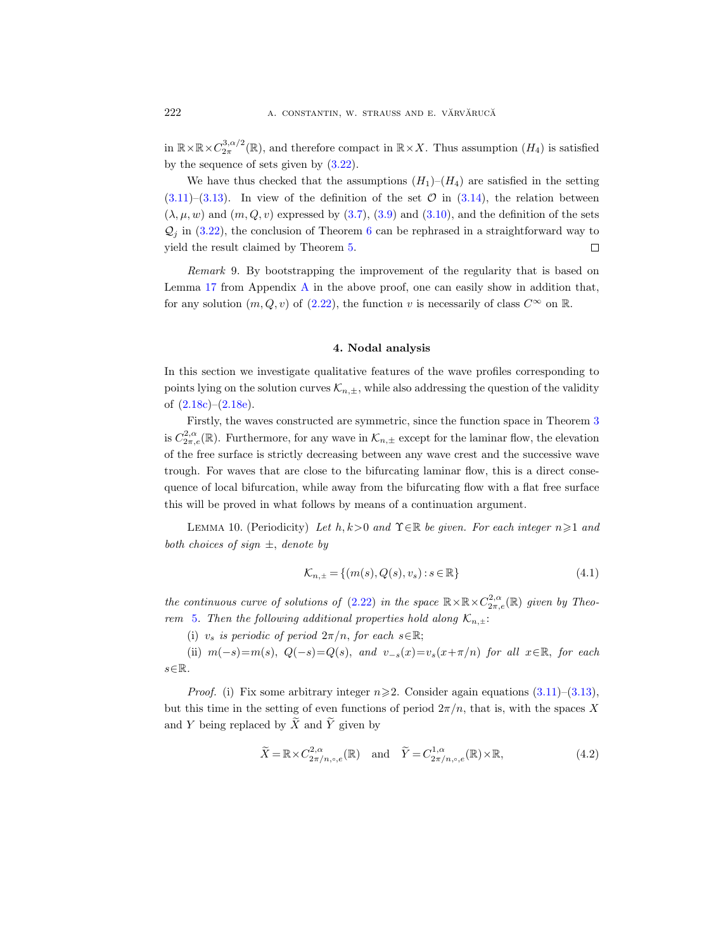in  $\mathbb{R}\times\mathbb{R}\times C^{3,\alpha/2}_{2\pi}(\mathbb{R})$ , and therefore compact in  $\mathbb{R}\times X$ . Thus assumption  $(H_4)$  is satisfied by the sequence of sets given by [\(3.22\)](#page-26-0).

We have thus checked that the assumptions  $(H_1)-(H_4)$  are satisfied in the setting  $(3.11)$ – $(3.13)$ . In view of the definition of the set  $\mathcal{O}$  in  $(3.14)$ , the relation between  $(\lambda, \mu, w)$  and  $(m, Q, v)$  expressed by  $(3.7), (3.9)$  $(3.7), (3.9)$  $(3.7), (3.9)$  and  $(3.10)$ , and the definition of the sets  $\mathcal{Q}_i$  in [\(3.22\)](#page-26-0), the conclusion of Theorem [6](#page-20-0) can be rephrased in a straightforward way to yield the result claimed by Theorem [5.](#page-19-0)  $\Box$ 

Remark 9. By bootstrapping the improvement of the regularity that is based on Lemma  $17$  from [A](#page-48-0)ppendix A in the above proof, one can easily show in addition that, for any solution  $(m, Q, v)$  of  $(2.22)$ , the function v is necessarily of class  $C^{\infty}$  on  $\mathbb{R}$ .

#### 4. Nodal analysis

<span id="page-27-0"></span>In this section we investigate qualitative features of the wave profiles corresponding to points lying on the solution curves  $\mathcal{K}_{n,\pm}$ , while also addressing the question of the validity of  $(2.18c)-(2.18e)$  $(2.18c)-(2.18e)$  $(2.18c)-(2.18e)$ .

Firstly, the waves constructed are symmetric, since the function space in Theorem [3](#page-13-3) is  $C^{2,\alpha}_{2\pi,e}(\mathbb{R})$ . Furthermore, for any wave in  $\mathcal{K}_{n,\pm}$  except for the laminar flow, the elevation of the free surface is strictly decreasing between any wave crest and the successive wave trough. For waves that are close to the bifurcating laminar flow, this is a direct consequence of local bifurcation, while away from the bifurcating flow with a flat free surface this will be proved in what follows by means of a continuation argument.

<span id="page-27-1"></span>LEMMA 10. (Periodicity) Let  $h, k>0$  and  $\Upsilon \in \mathbb{R}$  be given. For each integer  $n \geqslant 1$  and both choices of sign  $\pm$ , denote by

$$
\mathcal{K}_{n, \pm} = \{ (m(s), Q(s), v_s) : s \in \mathbb{R} \}
$$
\n(4.1)

the continuous curve of solutions of [\(2.22\)](#page-10-1) in the space  $\mathbb{R}\times \mathbb{R} \times C^{2,\alpha}_{2\pi,e}(\mathbb{R})$  given by Theo-rem [5](#page-19-0). Then the following additional properties hold along  $\mathcal{K}_{n,\pm}$ :

(i)  $v_s$  is periodic of period  $2\pi/n$ , for each  $s \in \mathbb{R}$ ;

(ii)  $m(-s)=m(s), Q(-s)=Q(s), and v_{-s}(x)=v_s(x+\pi/n)$  for all  $x\in\mathbb{R}$ , for each  $s \in \mathbb{R}$ .

*Proof.* (i) Fix some arbitrary integer  $n \geq 2$ . Consider again equations [\(3.11\)](#page-23-2)–[\(3.13\)](#page-23-3), but this time in the setting of even functions of period  $2\pi/n$ , that is, with the spaces X and Y being replaced by  $\widetilde{X}$  and  $\widetilde{Y}$  given by

$$
\widetilde{X} = \mathbb{R} \times C_{2\pi/n, \circ, e}^{2, \alpha}(\mathbb{R}) \quad \text{and} \quad \widetilde{Y} = C_{2\pi/n, \circ, e}^{1, \alpha}(\mathbb{R}) \times \mathbb{R}, \tag{4.2}
$$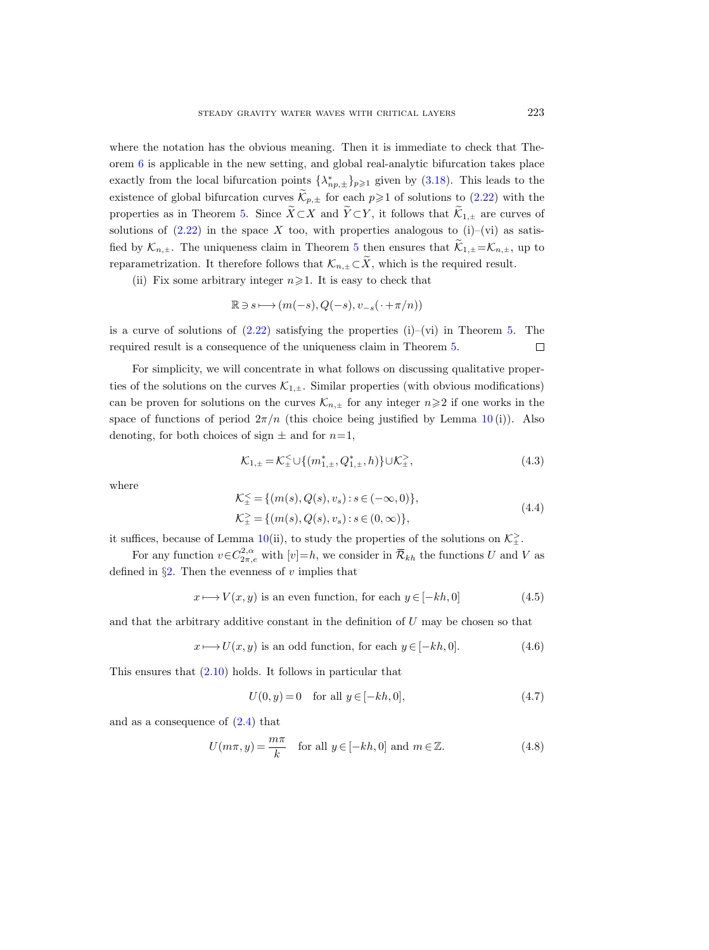where the notation has the obvious meaning. Then it is immediate to check that Theorem  $6$  is applicable in the new setting, and global real-analytic bifurcation takes place exactly from the local bifurcation points  $\{\lambda_{np,\pm}^*\}_{p\geqslant 1}$  given by [\(3.18\)](#page-24-3). This leads to the existence of global bifurcation curves  $\widetilde{\mathcal{K}}_{p,\pm}$  for each  $p\geqslant 1$  of solutions to [\(2.22\)](#page-10-1) with the properties as in Theorem [5.](#page-19-0) Since  $\widetilde{X} \subset X$  and  $\widetilde{Y} \subset Y$ , it follows that  $\widetilde{K}_{1,\pm}$  are curves of solutions of  $(2.22)$  in the space X too, with properties analogous to  $(i)$ – $(vi)$  as satisfied by  $\mathcal{K}_{n,\pm}$ . The uniqueness claim in Theorem [5](#page-19-0) then ensures that  $\tilde{\mathcal{K}}_{1,\pm} = \mathcal{K}_{n,\pm}$ , up to reparametrization. It therefore follows that  $\mathcal{K}_{n,\pm} \subset \widetilde{X}$ , which is the required result.

(ii) Fix some arbitrary integer  $n \ge 1$ . It is easy to check that

$$
\mathbb{R}\ni s\longmapsto (m(-s),Q(-s),v_{-s}(\,\cdot+\pi/n))
$$

is a curve of solutions of  $(2.22)$  satisfying the properties  $(i)$ – $(vi)$  in Theorem [5.](#page-19-0) The required result is a consequence of the uniqueness claim in Theorem [5.](#page-19-0)  $\Box$ 

For simplicity, we will concentrate in what follows on discussing qualitative properties of the solutions on the curves  $\mathcal{K}_{1,\pm}$ . Similar properties (with obvious modifications) can be proven for solutions on the curves  $\mathcal{K}_{n,\pm}$  for any integer  $n\geqslant 2$  if one works in the space of functions of period  $2\pi/n$  (this choice being justified by Lemma [10](#page-27-1)(i)). Also denoting, for both choices of sign  $\pm$  and for  $n=1$ ,

$$
\mathcal{K}_{1,\pm} = \mathcal{K}_{\pm}^{\leq} \cup \{ (m_{1,\pm}^*, Q_{1,\pm}^*, h) \} \cup \mathcal{K}_{\pm}^{\geq}, \tag{4.3}
$$

where

<span id="page-28-3"></span>
$$
\mathcal{K}_{\pm}^{\leq} = \{ (m(s), Q(s), v_s) : s \in (-\infty, 0) \},\
$$
  

$$
\mathcal{K}_{\pm}^{\geq} = \{ (m(s), Q(s), v_s) : s \in (0, \infty) \},
$$
  
(4.4)

it suffices, because of Lemma [10\(](#page-27-1)ii), to study the properties of the solutions on  $\mathcal{K}^{\geq}_{\pm}$ .

For any function  $v \in C^{2,\alpha}_{2\pi,e}$  with  $[v]=h$ , we consider in  $\overline{\mathcal{R}}_{kh}$  the functions U and V as defined in  $\S2$ . Then the evenness of v implies that

<span id="page-28-0"></span>
$$
x \longmapsto V(x, y) \text{ is an even function, for each } y \in [-kh, 0] \tag{4.5}
$$

and that the arbitrary additive constant in the definition of  $U$  may be chosen so that

<span id="page-28-1"></span>
$$
x \longmapsto U(x, y) \text{ is an odd function, for each } y \in [-kh, 0]. \tag{4.6}
$$

This ensures that  $(2.10)$  holds. It follows in particular that

$$
U(0, y) = 0 \quad \text{for all } y \in [-kh, 0], \tag{4.7}
$$

<span id="page-28-2"></span>and as a consequence of [\(2.4\)](#page-7-5) that

<span id="page-28-4"></span>
$$
U(m\pi, y) = \frac{m\pi}{k} \quad \text{for all } y \in [-kh, 0] \text{ and } m \in \mathbb{Z}.
$$
 (4.8)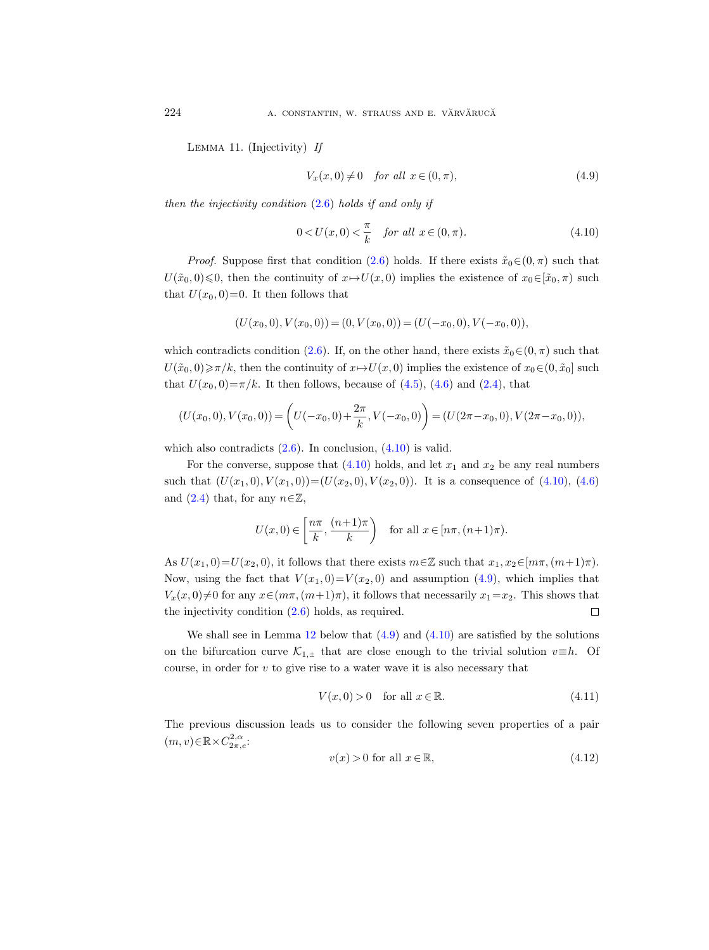Lemma 11. (Injectivity) If

<span id="page-29-1"></span>
$$
V_x(x,0) \neq 0 \quad \text{for all } x \in (0,\pi), \tag{4.9}
$$

then the injectivity condition  $(2.6)$  holds if and only if

<span id="page-29-0"></span>
$$
0 < U(x, 0) < \frac{\pi}{k} \quad \text{for all } x \in (0, \pi). \tag{4.10}
$$

*Proof.* Suppose first that condition [\(2.6\)](#page-7-0) holds. If there exists  $\tilde{x}_0 \in (0, \pi)$  such that  $U(\tilde{x}_0, 0) \leq 0$ , then the continuity of  $x \mapsto U(x, 0)$  implies the existence of  $x_0 \in [\tilde{x}_0, \pi)$  such that  $U(x_0, 0) = 0$ . It then follows that

$$
(U(x0,0), V(x0,0)) = (0, V(x0,0)) = (U(-x0,0), V(-x0,0)),
$$

which contradicts condition [\(2.6\)](#page-7-0). If, on the other hand, there exists  $\tilde{x}_0 \in (0, \pi)$  such that  $U(\tilde{x}_0, 0) \ge \pi/k$ , then the continuity of  $x \mapsto U(x, 0)$  implies the existence of  $x_0 \in (0, \tilde{x}_0]$  such that  $U(x_0, 0) = \pi/k$ . It then follows, because of [\(4.5\)](#page-28-0), [\(4.6\)](#page-28-1) and [\(2.4\)](#page-7-5), that

$$
(U(x_0,0), V(x_0,0)) = \left(U(-x_0,0) + \frac{2\pi}{k}, V(-x_0,0)\right) = (U(2\pi - x_0,0), V(2\pi - x_0,0)),
$$

which also contradicts  $(2.6)$ . In conclusion,  $(4.10)$  is valid.

For the converse, suppose that  $(4.10)$  holds, and let  $x_1$  and  $x_2$  be any real numbers such that  $(U(x_1, 0), V(x_1, 0)) = (U(x_2, 0), V(x_2, 0))$ . It is a consequence of [\(4.10\)](#page-29-0), [\(4.6\)](#page-28-1) and [\(2.4\)](#page-7-5) that, for any  $n \in \mathbb{Z}$ ,

$$
U(x, 0) \in \left[\frac{n\pi}{k}, \frac{(n+1)\pi}{k}\right) \quad \text{for all } x \in [n\pi, (n+1)\pi).
$$

As  $U(x_1, 0) = U(x_2, 0)$ , it follows that there exists  $m \in \mathbb{Z}$  such that  $x_1, x_2 \in [m\pi, (m+1)\pi)$ . Now, using the fact that  $V(x_1, 0) = V(x_2, 0)$  and assumption [\(4.9\)](#page-29-1), which implies that  $V_x(x, 0) \neq 0$  for any  $x \in (m\pi, (m+1)\pi)$ , it follows that necessarily  $x_1=x_2$ . This shows that the injectivity condition [\(2.6\)](#page-7-0) holds, as required.  $\Box$ 

We shall see in Lemma [12](#page-30-0) below that  $(4.9)$  and  $(4.10)$  are satisfied by the solutions on the bifurcation curve  $\mathcal{K}_{1,\pm}$  that are close enough to the trivial solution  $v\equiv h$ . Of course, in order for  $v$  to give rise to a water wave it is also necessary that

$$
V(x,0) > 0 \quad \text{for all } x \in \mathbb{R}.\tag{4.11}
$$

The previous discussion leads us to consider the following seven properties of a pair  $(m, v) \in \mathbb{R} \times C^{2,\alpha}_{2\pi,e}$ :

<span id="page-29-2"></span>
$$
v(x) > 0 \text{ for all } x \in \mathbb{R},\tag{4.12}
$$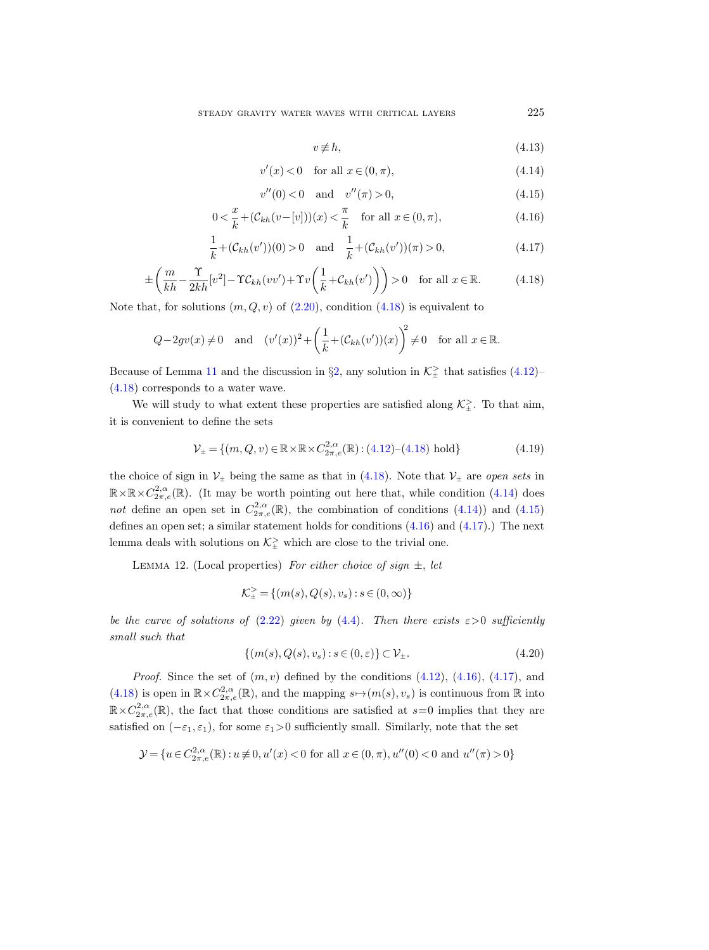<span id="page-30-6"></span>
$$
v \not\equiv h,\tag{4.13}
$$

<span id="page-30-2"></span>
$$
v'(x) < 0 \quad \text{for all } x \in (0, \pi), \tag{4.14}
$$

<span id="page-30-3"></span>
$$
v''(0) < 0 \quad \text{and} \quad v''(\pi) > 0,\tag{4.15}
$$

<span id="page-30-4"></span>
$$
0 < \frac{x}{k} + (\mathcal{C}_{kh}(v - [v]))(x) < \frac{\pi}{k} \quad \text{for all } x \in (0, \pi), \tag{4.16}
$$

<span id="page-30-5"></span>
$$
\frac{1}{k} + (\mathcal{C}_{kh}(v'))(0) > 0 \quad \text{and} \quad \frac{1}{k} + (\mathcal{C}_{kh}(v'))(\pi) > 0,\tag{4.17}
$$

<span id="page-30-1"></span>
$$
\pm \left( \frac{m}{kh} - \frac{\Upsilon}{2kh} [v^2] - \Upsilon C_{kh} (vv') + \Upsilon v \left( \frac{1}{k} + C_{kh} (v') \right) \right) > 0 \quad \text{for all } x \in \mathbb{R}.
$$
 (4.18)

Note that, for solutions  $(m, Q, v)$  of  $(2.20)$ , condition  $(4.18)$  is equivalent to

$$
Q - 2gv(x) \neq 0 \quad \text{and} \quad (v'(x))^2 + \left(\frac{1}{k} + (\mathcal{C}_{kh}(v'))(x)\right)^2 \neq 0 \quad \text{for all } x \in \mathbb{R}.
$$

Because of Lemma [11](#page-28-2) and the discussion in  $\S2$ , any solution in  $\mathcal{K}^{\geq}_{\pm}$  that satisfies [\(4.12\)](#page-29-2) [\(4.18\)](#page-30-1) corresponds to a water wave.

We will study to what extent these properties are satisfied along  $\mathcal{K}_{\pm}^>$ . To that aim, it is convenient to define the sets

$$
\mathcal{V}_{\pm} = \{ (m, Q, v) \in \mathbb{R} \times \mathbb{R} \times C_{2\pi, e}^{2, \alpha}(\mathbb{R}) : (4.12) - (4.18) \text{ hold} \}
$$
(4.19)

the choice of sign in  $V_{\pm}$  being the same as that in [\(4.18\)](#page-30-1). Note that  $V_{\pm}$  are *open sets* in  $\mathbb{R}\times\mathbb{R}\times C^{2,\alpha}_{2\pi,e}(\mathbb{R})$ . (It may be worth pointing out here that, while condition [\(4.14\)](#page-30-2) does not define an open set in  $C_{2\pi,e}^{2,\alpha}(\mathbb{R})$ , the combination of conditions [\(4.14\)](#page-30-2)) and [\(4.15\)](#page-30-3) defines an open set; a similar statement holds for conditions [\(4.16\)](#page-30-4) and [\(4.17\)](#page-30-5).) The next lemma deals with solutions on  $\mathcal{K}^{\geq}_{\pm}$  which are close to the trivial one.

<span id="page-30-0"></span>LEMMA 12. (Local properties) For either choice of sign  $\pm$ , let

$$
\mathcal{K}_{\pm}^{\geq} = \{(m(s),Q(s),v_s) : s \in (0,\infty)\}
$$

be the curve of solutions of [\(2.22\)](#page-10-1) given by [\(4.4\)](#page-28-3). Then there exists  $\varepsilon > 0$  sufficiently small such that

$$
\{(m(s), Q(s), v_s) : s \in (0, \varepsilon)\} \subset \mathcal{V}_{\pm}.
$$
\n
$$
(4.20)
$$

*Proof.* Since the set of  $(m, v)$  defined by the conditions  $(4.12)$ ,  $(4.16)$ ,  $(4.17)$ , and [\(4.18\)](#page-30-1) is open in  $\mathbb{R} \times C^{2,\alpha}_{2\pi,e}(\mathbb{R})$ , and the mapping  $s \mapsto (m(s), v_s)$  is continuous from  $\mathbb R$  into  $\mathbb{R} \times C^{2,\alpha}_{2\pi,e}(\mathbb{R})$ , the fact that those conditions are satisfied at  $s=0$  implies that they are satisfied on  $(-\varepsilon_1, \varepsilon_1)$ , for some  $\varepsilon_1>0$  sufficiently small. Similarly, note that the set

$$
\mathcal{Y} = \{u \in C^{2,\alpha}_{2\pi,e}(\mathbb{R}): u \not\equiv 0, u'(x) < 0 \text{ for all } x \in (0,\pi), u''(0) < 0 \text{ and } u''(\pi) > 0\}
$$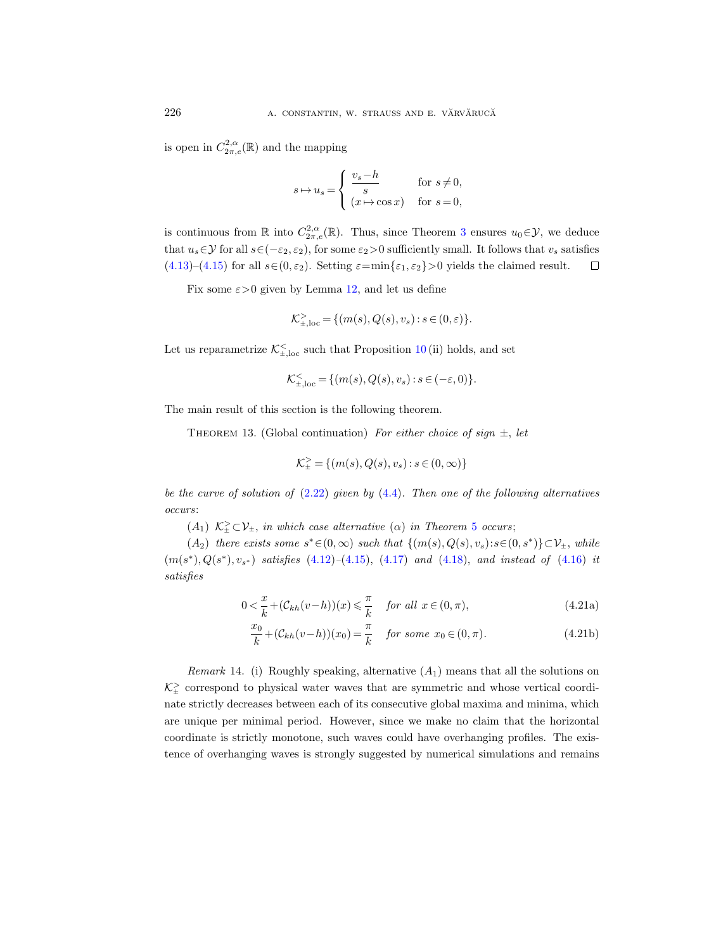is open in  $C^{2,\alpha}_{2\pi,e}(\mathbb{R})$  and the mapping

$$
s \mapsto u_s = \begin{cases} \frac{v_s - h}{s} & \text{for } s \neq 0, \\ (x \mapsto \cos x) & \text{for } s = 0, \end{cases}
$$

is continuous from  $\mathbb R$  into  $C^{2,\alpha}_{2\pi,e}(\mathbb R)$ . Thus, since Theorem [3](#page-13-3) ensures  $u_0 \in \mathcal Y$ , we deduce that  $u_s \in \mathcal{Y}$  for all  $s \in (-\varepsilon_2, \varepsilon_2)$ , for some  $\varepsilon_2 > 0$  sufficiently small. It follows that  $v_s$  satisfies [\(4.13\)](#page-30-6)–[\(4.15\)](#page-30-3) for all  $s \in (0, \varepsilon_2)$ . Setting  $\varepsilon = \min\{\varepsilon_1, \varepsilon_2\} > 0$  yields the claimed result.  $\Box$ 

Fix some  $\varepsilon > 0$  given by Lemma [12,](#page-30-0) and let us define

$$
\mathcal{K}_{\pm,\text{loc}}^> = \{(m(s),Q(s),v_s): s\in (0,\varepsilon)\}.
$$

Let us reparametrize  $\mathcal{K}^{\leq}_{\pm,loc}$  such that Proposition [10](#page-27-1) (ii) holds, and set

$$
\mathcal{K}_{\pm,\text{loc}}^< = \{ (m(s),Q(s),v_s) : s\in(-\varepsilon,0) \}.
$$

<span id="page-31-1"></span>The main result of this section is the following theorem.

THEOREM 13. (Global continuation) For either choice of sign  $\pm$ , let

<span id="page-31-3"></span><span id="page-31-0"></span>
$$
\mathcal{K}_{\pm}^{>} = \{ (m(s), Q(s), v_s) : s \in (0, \infty) \}
$$

be the curve of solution of  $(2.22)$  given by  $(4.4)$ . Then one of the following alternatives occurs:

 $(A_1)$   $\mathcal{K}_{\pm}^{\geq} \subset \mathcal{V}_{\pm}$ , in which case alternative  $(\alpha)$  in Theorem [5](#page-19-0) occurs;

 $(A_2)$  there exists some  $s^* \in (0,\infty)$  such that  $\{(m(s),Q(s),v_s):s\in (0,s^*)\}\subset \mathcal{V}_\pm$ , while  $(m(s^*), Q(s^*), v_{s^*})$  satisfies  $(4.12)$ - $(4.15)$ ,  $(4.17)$  and  $(4.18)$ , and instead of  $(4.16)$  it satisfies

<span id="page-31-2"></span>
$$
0 < \frac{x}{k} + (\mathcal{C}_{kh}(v-h))(x) \leq \frac{\pi}{k} \quad \text{for all } x \in (0, \pi), \tag{4.21a}
$$

$$
\frac{x_0}{k} + (\mathcal{C}_{kh}(v-h))(x_0) = \frac{\pi}{k} \quad \text{for some } x_0 \in (0, \pi). \tag{4.21b}
$$

*Remark* 14. (i) Roughly speaking, alternative  $(A_1)$  means that all the solutions on  $\mathcal{K}^>_{\pm}$  correspond to physical water waves that are symmetric and whose vertical coordinate strictly decreases between each of its consecutive global maxima and minima, which are unique per minimal period. However, since we make no claim that the horizontal coordinate is strictly monotone, such waves could have overhanging profiles. The existence of overhanging waves is strongly suggested by numerical simulations and remains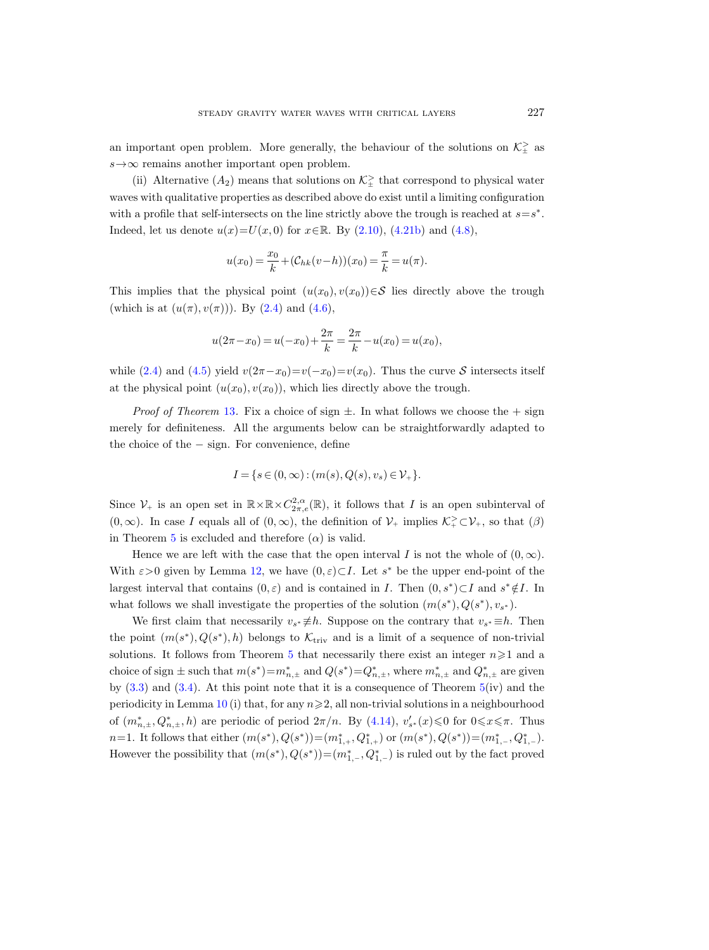an important open problem. More generally, the behaviour of the solutions on  $\mathcal{K}^>_{\pm}$  as  $s \rightarrow \infty$  remains another important open problem.

(ii) Alternative  $(A_2)$  means that solutions on  $\mathcal{K}^{\geq}_{\pm}$  that correspond to physical water waves with qualitative properties as described above do exist until a limiting configuration with a profile that self-intersects on the line strictly above the trough is reached at  $s=s^*$ . Indeed, let us denote  $u(x)=U(x, 0)$  for  $x \in \mathbb{R}$ . By [\(2.10\)](#page-7-3), [\(4.21b\)](#page-31-0) and [\(4.8\)](#page-28-4),

$$
u(x_0) = \frac{x_0}{k} + (\mathcal{C}_{hk}(v-h))(x_0) = \frac{\pi}{k} = u(\pi).
$$

This implies that the physical point  $(u(x_0), v(x_0))\in\mathcal{S}$  lies directly above the trough (which is at  $(u(\pi), v(\pi)))$ . By  $(2.4)$  and  $(4.6)$ ,

$$
u(2\pi - x_0) = u(-x_0) + \frac{2\pi}{k} = \frac{2\pi}{k} - u(x_0) = u(x_0),
$$

while [\(2.4\)](#page-7-5) and [\(4.5\)](#page-28-0) yield  $v(2\pi-x_0)=v(-x_0)=v(x_0)$ . Thus the curve S intersects itself at the physical point  $(u(x_0), v(x_0))$ , which lies directly above the trough.

*Proof of Theorem* [13](#page-31-1). Fix a choice of sign  $\pm$ . In what follows we choose the  $+$  sign merely for definiteness. All the arguments below can be straightforwardly adapted to the choice of the − sign. For convenience, define

$$
I = \{ s \in (0, \infty) : (m(s), Q(s), v_s) \in \mathcal{V}_+ \}.
$$

Since  $\mathcal{V}_+$  is an open set in  $\mathbb{R}\times\mathbb{R}\times C^{2,\alpha}_{2\pi,e}(\mathbb{R})$ , it follows that I is an open subinterval of  $(0, \infty)$ . In case I equals all of  $(0, \infty)$ , the definition of  $\mathcal{V}_+$  implies  $\mathcal{K}^>_{+} \subset \mathcal{V}_+$ , so that  $(\beta)$ in Theorem [5](#page-19-0) is excluded and therefore  $(\alpha)$  is valid.

Hence we are left with the case that the open interval I is not the whole of  $(0, \infty)$ . With  $\varepsilon > 0$  given by Lemma [12,](#page-30-0) we have  $(0, \varepsilon) \subset I$ . Let s<sup>\*</sup> be the upper end-point of the largest interval that contains  $(0, \varepsilon)$  and is contained in *I*. Then  $(0, s^*)\subset I$  and  $s^* \notin I$ . In what follows we shall investigate the properties of the solution  $(m(s^*), Q(s^*), v_{s^*})$ .

We first claim that necessarily  $v_{s^*} \neq h$ . Suppose on the contrary that  $v_{s^*} \equiv h$ . Then the point  $(m(s^*), Q(s^*), h)$  belongs to  $\mathcal{K}_{\text{triv}}$  and is a limit of a sequence of non-trivial solutions. It follows from Theorem [5](#page-19-0) that necessarily there exist an integer  $n\geqslant 1$  and a choice of sign  $\pm$  such that  $m(s^*) = m_{n,\pm}^*$  and  $Q(s^*) = Q_{n,\pm}^*$ , where  $m_{n,\pm}^*$  and  $Q_{n,\pm}^*$  are given by  $(3.3)$  and  $(3.4)$ . At this point note that it is a consequence of Theorem  $5(iv)$  $5(iv)$  and the periodicity in Lemma [10](#page-27-1) (i) that, for any  $n \geq 2$ , all non-trivial solutions in a neighbourhood of  $(m_{n,\pm}^*, Q_{n,\pm}^*, h)$  are periodic of period  $2\pi/n$ . By  $(4.14)$ ,  $v'_{s^*}(x) \leq 0$  for  $0 \leq x \leq \pi$ . Thus  $n=1$ . It follows that either  $(m(s^*), Q(s^*)) = (m_{1,+}^*, Q_{1,+}^*)$  or  $(m(s^*), Q(s^*)) = (m_{1,-}^*, Q_{1,-}^*)$ . However the possibility that  $(m(s^*), Q(s^*)) = (m_{1,-}^*, Q_{1,-}^*)$  is ruled out by the fact proved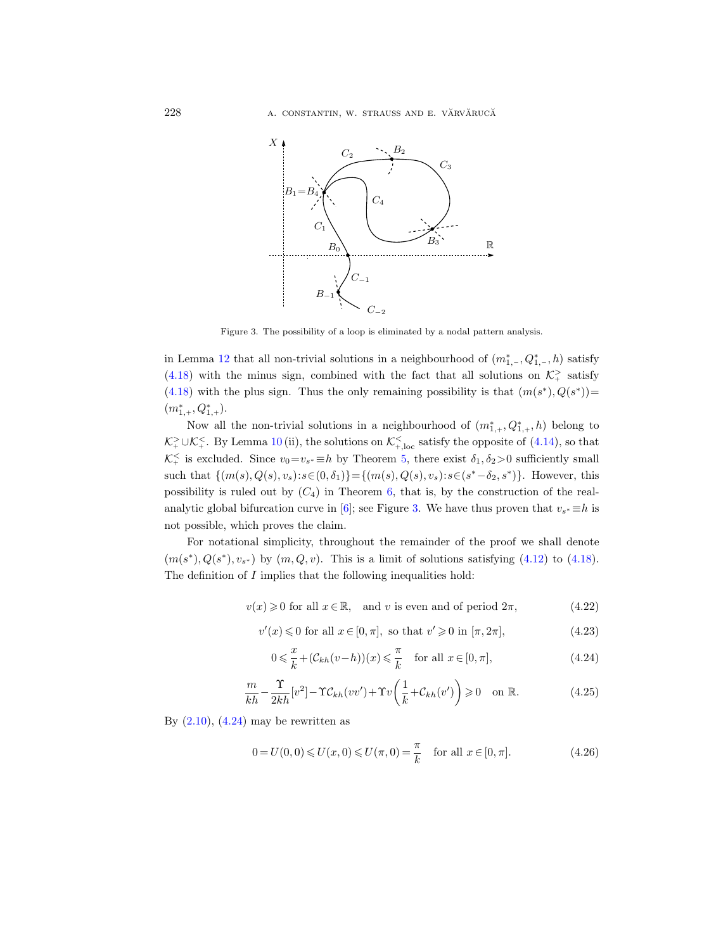

<span id="page-33-0"></span>Figure 3. The possibility of a loop is eliminated by a nodal pattern analysis.

in Lemma [12](#page-30-0) that all non-trivial solutions in a neighbourhood of  $(m^*_{1,-}, Q^*_{1,-}, h)$  satisfy [\(4.18\)](#page-30-1) with the minus sign, combined with the fact that all solutions on  $\mathcal{K}^>_{+}$  satisfy [\(4.18\)](#page-30-1) with the plus sign. Thus the only remaining possibility is that  $(m(s^*), Q(s^*))$  $(m^*_{1,+}, Q^*_{1,+}).$ 

Now all the non-trivial solutions in a neighbourhood of  $(m^*_{1,+}, Q^*_{1,+}, h)$  belong to  $\mathcal{K}^>_{+} \cup \mathcal{K}^<_{+}$ . By Lemma [10](#page-27-1) (ii), the solutions on  $\mathcal{K}^<_{+,\text{loc}}$  satisfy the opposite of [\(4.14\)](#page-30-2), so that  $\mathcal{K}^&+$  is excluded. Since  $v_0=v_{s^*}\equiv h$  by Theorem [5,](#page-19-0) there exist  $\delta_1, \delta_2>0$  sufficiently small such that  $\{(m(s), Q(s), v_s) : s \in (0, \delta_1)\} = \{(m(s), Q(s), v_s) : s \in (s^* - \delta_2, s^*)\}$ . However, this possibility is ruled out by  $(C_4)$  in Theorem [6,](#page-20-0) that is, by the construction of the real-analytic global bifurcation curve in [\[6\]](#page-65-12); see Figure [3.](#page-33-0) We have thus proven that  $v_{s^*} \equiv h$  is not possible, which proves the claim.

For notational simplicity, throughout the remainder of the proof we shall denote  $(m(s^*), Q(s^*), v_{s^*})$  by  $(m, Q, v)$ . This is a limit of solutions satisfying [\(4.12\)](#page-29-2) to [\(4.18\)](#page-30-1). The definition of  $I$  implies that the following inequalities hold:

<span id="page-33-3"></span> $v(x) \geq 0$  for all  $x \in \mathbb{R}$ , and v is even and of period  $2\pi$ , (4.22)

<span id="page-33-4"></span>
$$
v'(x) \leq 0 \text{ for all } x \in [0, \pi], \text{ so that } v' \geq 0 \text{ in } [\pi, 2\pi], \tag{4.23}
$$

<span id="page-33-1"></span>
$$
0 \leqslant \frac{x}{k} + (\mathcal{C}_{kh}(v-h))(x) \leqslant \frac{\pi}{k} \quad \text{for all } x \in [0, \pi], \tag{4.24}
$$

<span id="page-33-2"></span>
$$
\frac{m}{kh} - \frac{\Upsilon}{2kh} [v^2] - \Upsilon C_{kh} (vv') + \Upsilon v \left( \frac{1}{k} + C_{kh} (v') \right) \ge 0 \quad \text{on } \mathbb{R}.
$$
 (4.25)

By  $(2.10)$ ,  $(4.24)$  may be rewritten as

<span id="page-33-5"></span>
$$
0 = U(0,0) \le U(x,0) \le U(\pi,0) = \frac{\pi}{k} \quad \text{for all } x \in [0,\pi].
$$
 (4.26)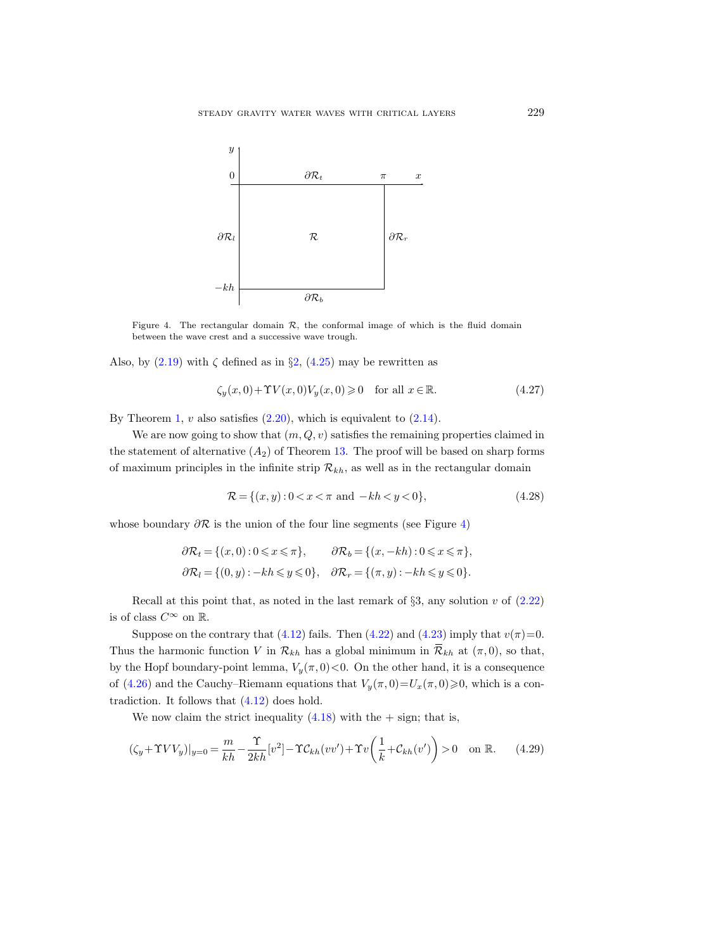

<span id="page-34-0"></span>Figure 4. The rectangular domain  $\mathcal{R}$ , the conformal image of which is the fluid domain between the wave crest and a successive wave trough.

Also, by  $(2.19)$  with  $\zeta$  defined as in  $\S2$ ,  $(4.25)$  may be rewritten as

<span id="page-34-2"></span>
$$
\zeta_y(x,0) + \Upsilon V(x,0)V_y(x,0) \ge 0 \quad \text{for all } x \in \mathbb{R}.\tag{4.27}
$$

By Theorem [1,](#page-11-8)  $v$  also satisfies  $(2.20)$ , which is equivalent to  $(2.14)$ .

We are now going to show that  $(m, Q, v)$  satisfies the remaining properties claimed in the statement of alternative  $(A_2)$  of Theorem [13.](#page-31-1) The proof will be based on sharp forms of maximum principles in the infinite strip  $\mathcal{R}_{kh}$ , as well as in the rectangular domain

$$
\mathcal{R} = \{(x, y) : 0 < x < \pi \text{ and } -kh < y < 0\},\tag{4.28}
$$

whose boundary  $\partial \mathcal{R}$  is the union of the four line segments (see Figure [4\)](#page-34-0)

$$
\partial \mathcal{R}_t = \{(x, 0) : 0 \le x \le \pi\}, \qquad \partial \mathcal{R}_b = \{(x, -kh) : 0 \le x \le \pi\},
$$
  

$$
\partial \mathcal{R}_l = \{(0, y) : -kh \le y \le 0\}, \quad \partial \mathcal{R}_r = \{(\pi, y) : -kh \le y \le 0\}.
$$

Recall at this point that, as noted in the last remark of  $\S 3$ , any solution v of  $(2.22)$ is of class  $C^{\infty}$  on  $\mathbb{R}$ .

Suppose on the contrary that [\(4.12\)](#page-29-2) fails. Then [\(4.22\)](#page-33-3) and [\(4.23\)](#page-33-4) imply that  $v(\pi)=0$ . Thus the harmonic function V in  $\mathcal{R}_{kh}$  has a global minimum in  $\overline{\mathcal{R}}_{kh}$  at  $(\pi,0)$ , so that, by the Hopf boundary-point lemma,  $V_y(\pi, 0) < 0$ . On the other hand, it is a consequence of [\(4.26\)](#page-33-5) and the Cauchy–Riemann equations that  $V_y(\pi, 0)=U_x(\pi, 0)\geq 0$ , which is a contradiction. It follows that [\(4.12\)](#page-29-2) does hold.

We now claim the strict inequality  $(4.18)$  with the  $+$  sign; that is,

<span id="page-34-1"></span>
$$
(\zeta_y + \Upsilon V V_y)|_{y=0} = \frac{m}{kh} - \frac{\Upsilon}{2kh} [v^2] - \Upsilon C_{kh} (vv') + \Upsilon v \left( \frac{1}{k} + C_{kh} (v') \right) > 0 \quad \text{on } \mathbb{R}.
$$
 (4.29)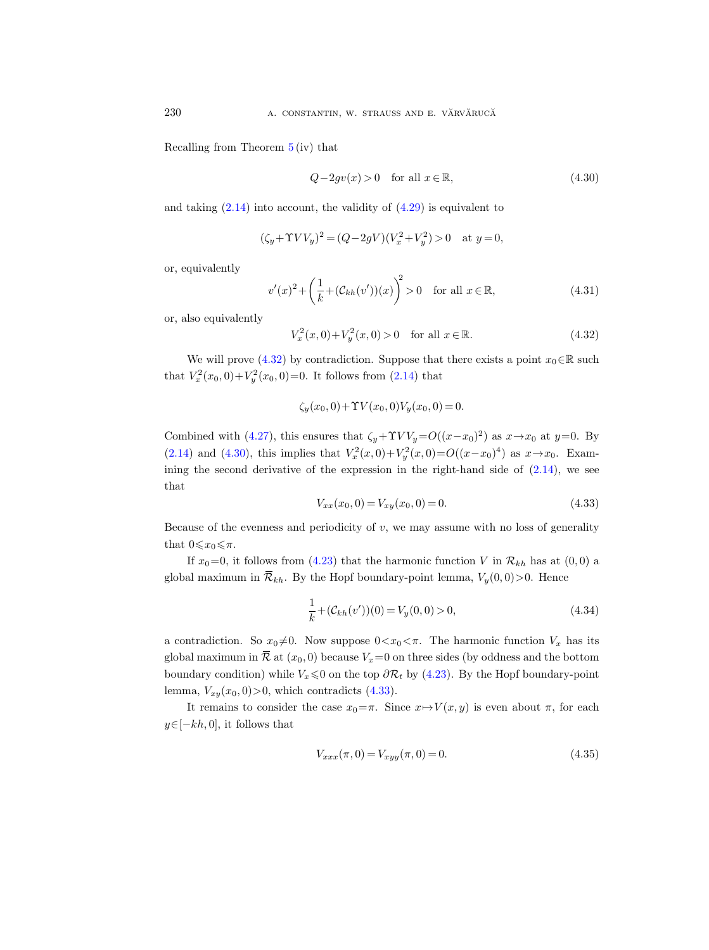Recalling from Theorem [5](#page-19-0) (iv) that

<span id="page-35-1"></span>
$$
Q - 2gv(x) > 0 \quad \text{for all } x \in \mathbb{R},\tag{4.30}
$$

and taking  $(2.14)$  into account, the validity of  $(4.29)$  is equivalent to

$$
(\zeta_y + \Upsilon V V_y)^2 = (Q - 2gV)(V_x^2 + V_y^2) > 0 \quad \text{at } y = 0,
$$

or, equivalently

<span id="page-35-4"></span>
$$
v'(x)^{2} + \left(\frac{1}{k} + (\mathcal{C}_{kh}(v'))(x)\right)^{2} > 0 \quad \text{for all } x \in \mathbb{R},
$$
 (4.31)

or, also equivalently

<span id="page-35-0"></span>
$$
V_x^2(x,0) + V_y^2(x,0) > 0 \quad \text{for all } x \in \mathbb{R}.\tag{4.32}
$$

We will prove [\(4.32\)](#page-35-0) by contradiction. Suppose that there exists a point  $x_0 \in \mathbb{R}$  such that  $V_x^2(x_0, 0) + V_y^2(x_0, 0) = 0$ . It follows from  $(2.14)$  that

$$
\zeta_y(x_0,0) + \Upsilon V(x_0,0) V_y(x_0,0) = 0.
$$

Combined with [\(4.27\)](#page-34-2), this ensures that  $\zeta_y + \Upsilon V V_y = O((x-x_0)^2)$  as  $x \to x_0$  at  $y=0$ . By [\(2.14\)](#page-8-2) and [\(4.30\)](#page-35-1), this implies that  $V_x^2(x,0) + V_y^2(x,0) = O((x-x_0)^4)$  as  $x \to x_0$ . Examining the second derivative of the expression in the right-hand side of  $(2.14)$ , we see that

<span id="page-35-2"></span>
$$
V_{xx}(x_0, 0) = V_{xy}(x_0, 0) = 0.
$$
\n(4.33)

Because of the evenness and periodicity of  $v$ , we may assume with no loss of generality that  $0 \leqslant x_0 \leqslant \pi$ .

If  $x_0=0$ , it follows from [\(4.23\)](#page-33-4) that the harmonic function V in  $\mathcal{R}_{kh}$  has at (0,0) a global maximum in  $\overline{\mathcal{R}}_{kh}$ . By the Hopf boundary-point lemma,  $V_y(0,0) > 0$ . Hence

$$
\frac{1}{k} + (\mathcal{C}_{kh}(v'))(0) = V_y(0,0) > 0,
$$
\n(4.34)

a contradiction. So  $x_0 \neq 0$ . Now suppose  $0 \lt x_0 \lt \pi$ . The harmonic function  $V_x$  has its global maximum in  $\overline{\mathcal{R}}$  at  $(x_0, 0)$  because  $V_x=0$  on three sides (by oddness and the bottom boundary condition) while  $V_x \le 0$  on the top  $\partial \mathcal{R}_t$  by [\(4.23\)](#page-33-4). By the Hopf boundary-point lemma,  $V_{xy}(x_0, 0)$  > 0, which contradicts [\(4.33\)](#page-35-2).

It remains to consider the case  $x_0 = \pi$ . Since  $x \mapsto V(x, y)$  is even about  $\pi$ , for each  $y\in[-kh,0]$ , it follows that

<span id="page-35-3"></span>
$$
V_{xxx}(\pi, 0) = V_{xyy}(\pi, 0) = 0.
$$
\n(4.35)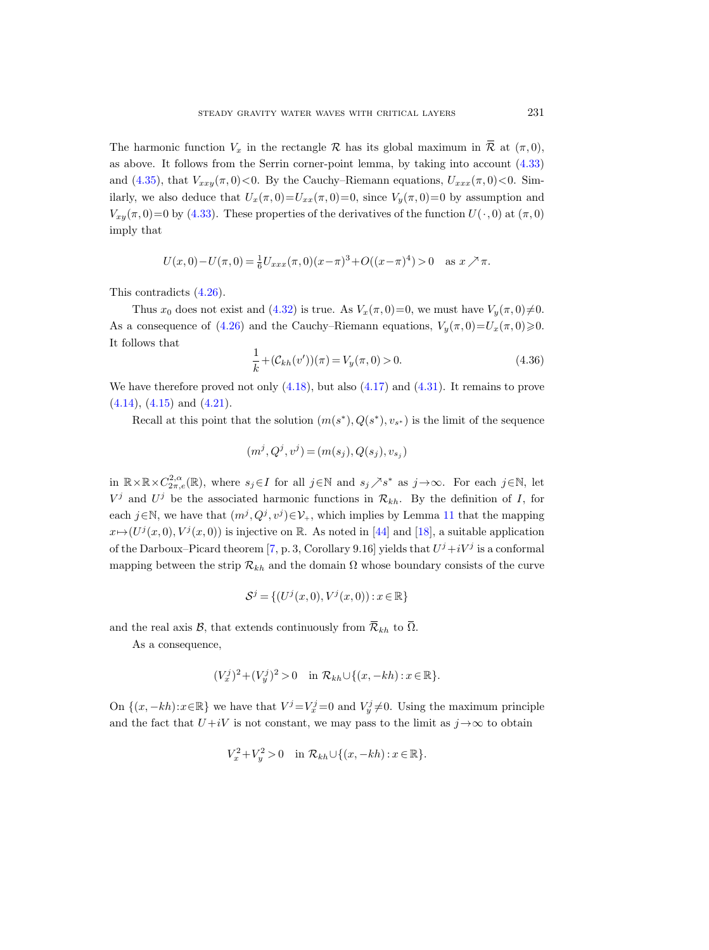The harmonic function  $V_x$  in the rectangle R has its global maximum in  $\overline{\mathcal{R}}$  at  $(\pi,0)$ , as above. It follows from the Serrin corner-point lemma, by taking into account [\(4.33\)](#page-35-2) and [\(4.35\)](#page-35-3), that  $V_{xxy}(\pi,0)$ <0. By the Cauchy–Riemann equations,  $U_{xxx}(\pi,0)$  <0. Similarly, we also deduce that  $U_x(\pi, 0) = U_{xx}(\pi, 0) = 0$ , since  $V_y(\pi, 0) = 0$  by assumption and  $V_{xy}(\pi,0)=0$  by [\(4.33\)](#page-35-2). These properties of the derivatives of the function  $U(\cdot,0)$  at  $(\pi,0)$ imply that

$$
U(x,0) - U(\pi,0) = \frac{1}{6}U_{xxx}(\pi,0)(x-\pi)^3 + O((x-\pi)^4) > 0 \text{ as } x \nearrow \pi.
$$

This contradicts [\(4.26\)](#page-33-5).

Thus  $x_0$  does not exist and [\(4.32\)](#page-35-0) is true. As  $V_x(\pi, 0)=0$ , we must have  $V_y(\pi, 0)\neq0$ . As a consequence of [\(4.26\)](#page-33-5) and the Cauchy–Riemann equations,  $V_y(\pi, 0)=U_x(\pi, 0)\geq 0$ . It follows that

$$
\frac{1}{k} + (\mathcal{C}_{kh}(v'))(\pi) = V_y(\pi, 0) > 0.
$$
\n(4.36)

We have therefore proved not only  $(4.18)$ , but also  $(4.17)$  and  $(4.31)$ . It remains to prove [\(4.14\)](#page-30-2), [\(4.15\)](#page-30-3) and [\(4.21\)](#page-31-2).

Recall at this point that the solution  $(m(s^*), Q(s^*), v_{s^*})$  is the limit of the sequence

$$
(m^j, Q^j, v^j) = (m(s_j), Q(s_j), v_{s_j})
$$

in  $\mathbb{R}\times\mathbb{R}\times C_{2\pi,e}^{2,\alpha}(\mathbb{R})$ , where  $s_j\in I$  for all  $j\in\mathbb{N}$  and  $s_j\nearrow s^*$  as  $j\to\infty$ . For each  $j\in\mathbb{N}$ , let  $V^j$  and  $U^j$  be the associated harmonic functions in  $\mathcal{R}_{kh}$ . By the definition of I, for each  $j \in \mathbb{N}$ , we have that  $(m^j, Q^j, v^j) \in \mathcal{V}_+$ , which implies by Lemma [11](#page-28-2) that the mapping  $x \mapsto (U^j(x,0), V^j(x,0))$  is injective on R. As noted in [\[44\]](#page-66-3) and [\[18\]](#page-65-5), a suitable application of the Darboux–Picard theorem [\[7,](#page-65-17) p. 3, Corollary 9.16] yields that  $U^j + iV^j$  is a conformal mapping between the strip  $\mathcal{R}_{kh}$  and the domain  $\Omega$  whose boundary consists of the curve

$$
\mathcal{S}^j = \{ (U^j(x, 0), V^j(x, 0)) : x \in \mathbb{R} \}
$$

and the real axis  $\mathcal{B}$ , that extends continuously from  $\overline{\mathcal{R}}_{kh}$  to  $\overline{\Omega}$ .

As a consequence,

$$
(V_x^j)^2 + (V_y^j)^2 > 0 \quad \text{in } \mathcal{R}_{kh} \cup \{(x, -kh) : x \in \mathbb{R}\}.
$$

On  $\{(x, -kh): x \in \mathbb{R}\}\)$  we have that  $V^j = V^j_x = 0$  and  $V^j_y \neq 0$ . Using the maximum principle and the fact that  $U+iV$  is not constant, we may pass to the limit as  $j \rightarrow \infty$  to obtain

$$
V_x^2 + V_y^2 > 0 \quad \text{in } \mathcal{R}_{kh} \cup \{(x, -kh) : x \in \mathbb{R}\}.
$$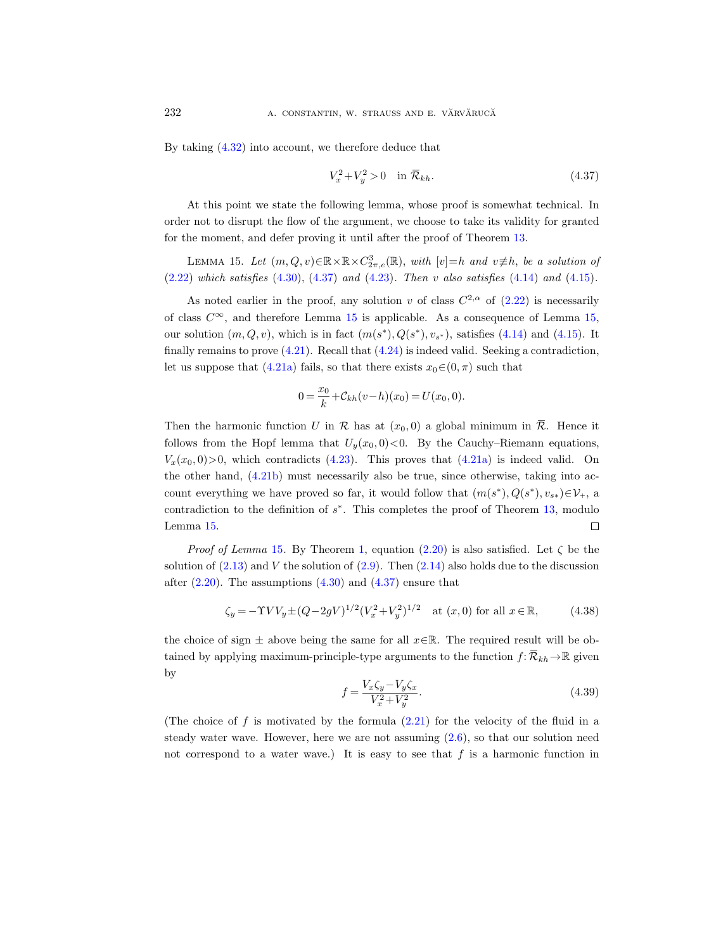By taking [\(4.32\)](#page-35-0) into account, we therefore deduce that

<span id="page-37-0"></span>
$$
V_x^2 + V_y^2 > 0 \quad \text{in } \overline{\mathcal{R}}_{kh}.\tag{4.37}
$$

At this point we state the following lemma, whose proof is somewhat technical. In order not to disrupt the flow of the argument, we choose to take its validity for granted for the moment, and defer proving it until after the proof of Theorem [13.](#page-31-1)

<span id="page-37-1"></span>LEMMA 15. Let  $(m, Q, v) \in \mathbb{R} \times \mathbb{R} \times C^3_{2\pi, e}(\mathbb{R})$ , with  $[v]=h$  and  $v \neq h$ , be a solution of  $(2.22)$  which satisfies  $(4.30)$ ,  $(4.37)$  and  $(4.23)$ . Then v also satisfies  $(4.14)$  and  $(4.15)$ .

As noted earlier in the proof, any solution v of class  $C^{2,\alpha}$  of  $(2.22)$  is necessarily of class  $C^{\infty}$ , and therefore Lemma [15](#page-37-1) is applicable. As a consequence of Lemma [15,](#page-37-1) our solution  $(m, Q, v)$ , which is in fact  $(m(s^*), Q(s^*), v_{s^*})$ , satisfies [\(4.14\)](#page-30-2) and [\(4.15\)](#page-30-3). It finally remains to prove  $(4.21)$ . Recall that  $(4.24)$  is indeed valid. Seeking a contradiction, let us suppose that [\(4.21a\)](#page-31-3) fails, so that there exists  $x_0 \in (0, \pi)$  such that

$$
0 = \frac{x_0}{k} + C_{kh}(v - h)(x_0) = U(x_0, 0).
$$

Then the harmonic function U in R has at  $(x_0, 0)$  a global minimum in  $\overline{\mathcal{R}}$ . Hence it follows from the Hopf lemma that  $U_y(x_0,0) < 0$ . By the Cauchy–Riemann equations,  $V_x(x_0, 0) > 0$ , which contradicts [\(4.23\)](#page-33-4). This proves that [\(4.21a\)](#page-31-3) is indeed valid. On the other hand, [\(4.21b\)](#page-31-0) must necessarily also be true, since otherwise, taking into account everything we have proved so far, it would follow that  $(m(s^*), Q(s^*), v_{s*}) \in \mathcal{V}_+$ , a contradiction to the definition of  $s^*$ . This completes the proof of Theorem [13,](#page-31-1) modulo Lemma [15.](#page-37-1)  $\Box$ 

*Proof of Lemma* [15](#page-37-1). By Theorem [1,](#page-11-8) equation [\(2.20\)](#page-9-0) is also satisfied. Let  $\zeta$  be the solution of  $(2.13)$  and V the solution of  $(2.9)$ . Then  $(2.14)$  also holds due to the discussion after  $(2.20)$ . The assumptions  $(4.30)$  and  $(4.37)$  ensure that

<span id="page-37-2"></span>
$$
\zeta_y = -\Upsilon V V_y \pm (Q - 2gV)^{1/2} (V_x^2 + V_y^2)^{1/2} \quad \text{at } (x, 0) \text{ for all } x \in \mathbb{R}, \tag{4.38}
$$

the choice of sign  $\pm$  above being the same for all  $x \in \mathbb{R}$ . The required result will be obtained by applying maximum-principle-type arguments to the function  $f: \overline{\mathcal{R}}_{kh} \to \mathbb{R}$  given by

$$
f = \frac{V_x \zeta_y - V_y \zeta_x}{V_x^2 + V_y^2}.
$$
\n(4.39)

(The choice of f is motivated by the formula  $(2.21)$  for the velocity of the fluid in a steady water wave. However, here we are not assuming [\(2.6\)](#page-7-0), so that our solution need not correspond to a water wave.) It is easy to see that  $f$  is a harmonic function in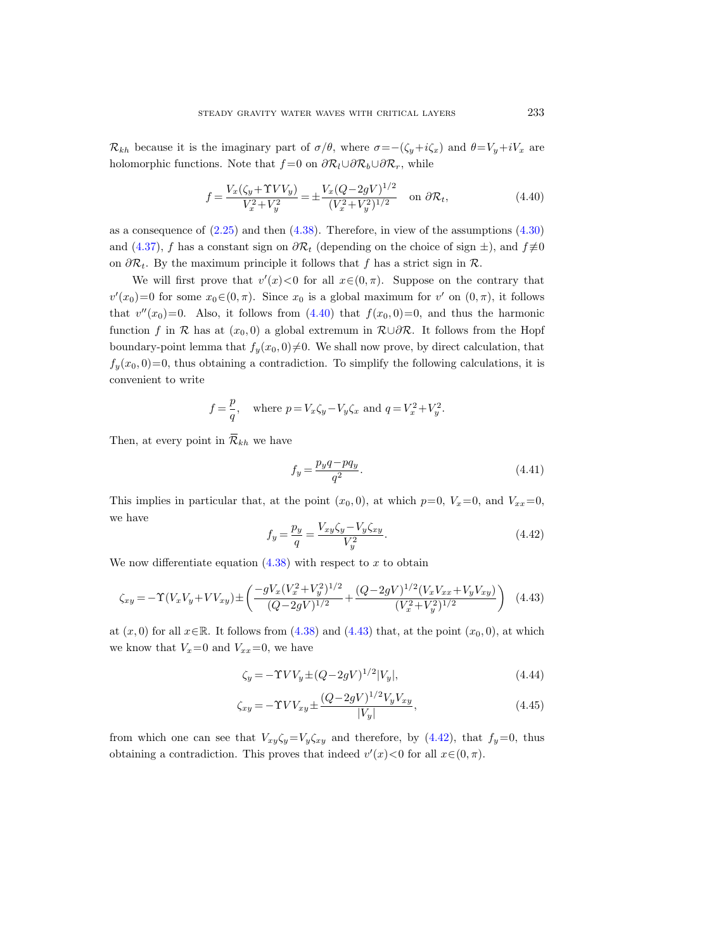$\mathcal{R}_{kh}$  because it is the imaginary part of  $\sigma/\theta$ , where  $\sigma = -(\zeta_y + i\zeta_x)$  and  $\theta = V_y + iV_x$  are holomorphic functions. Note that  $f = 0$  on  $\partial \mathcal{R}_l \cup \partial \mathcal{R}_b \cup \partial \mathcal{R}_r$ , while

<span id="page-38-0"></span>
$$
f = \frac{V_x(\zeta_y + \Upsilon V V_y)}{V_x^2 + V_y^2} = \pm \frac{V_x(Q - 2gV)^{1/2}}{(V_x^2 + V_y^2)^{1/2}} \quad \text{on } \partial \mathcal{R}_t,
$$
\n(4.40)

as a consequence of  $(2.25)$  and then  $(4.38)$ . Therefore, in view of the assumptions  $(4.30)$ and [\(4.37\)](#page-37-0), f has a constant sign on  $\partial \mathcal{R}_t$  (depending on the choice of sign  $\pm$ ), and  $f \neq 0$ on  $\partial \mathcal{R}_t$ . By the maximum principle it follows that f has a strict sign in  $\mathcal{R}$ .

We will first prove that  $v'(x) < 0$  for all  $x \in (0, \pi)$ . Suppose on the contrary that  $v'(x_0)=0$  for some  $x_0 \in (0, \pi)$ . Since  $x_0$  is a global maximum for  $v'$  on  $(0, \pi)$ , it follows that  $v''(x_0)=0$ . Also, it follows from  $(4.40)$  that  $f(x_0, 0)=0$ , and thus the harmonic function f in R has at  $(x_0, 0)$  a global extremum in  $\mathcal{R}\cup\partial\mathcal{R}$ . It follows from the Hopf boundary-point lemma that  $f_y(x_0, 0) \neq 0$ . We shall now prove, by direct calculation, that  $f_y(x_0, 0) = 0$ , thus obtaining a contradiction. To simplify the following calculations, it is convenient to write

$$
f = \frac{p}{q}
$$
, where  $p = V_x \zeta_y - V_y \zeta_x$  and  $q = V_x^2 + V_y^2$ .

Then, at every point in  $\overline{\mathcal{R}}_{kh}$  we have

<span id="page-38-3"></span>
$$
f_y = \frac{p_y q - p q_y}{q^2}.\tag{4.41}
$$

This implies in particular that, at the point  $(x_0, 0)$ , at which  $p=0$ ,  $V_x=0$ , and  $V_{xx}=0$ , we have

<span id="page-38-2"></span>
$$
f_y = \frac{p_y}{q} = \frac{V_{xy}\zeta_y - V_y\zeta_{xy}}{V_y^2}.
$$
\n(4.42)

We now differentiate equation  $(4.38)$  with respect to x to obtain

<span id="page-38-1"></span>
$$
\zeta_{xy} = -\Upsilon (V_x V_y + V V_{xy}) \pm \left( \frac{-gV_x (V_x^2 + V_y^2)^{1/2}}{(Q - 2gV)^{1/2}} + \frac{(Q - 2gV)^{1/2} (V_x V_{xx} + V_y V_{xy})}{(V_x^2 + V_y^2)^{1/2}} \right) \tag{4.43}
$$

at  $(x, 0)$  for all  $x \in \mathbb{R}$ . It follows from [\(4.38\)](#page-37-2) and [\(4.43\)](#page-38-1) that, at the point  $(x_0, 0)$ , at which we know that  $V_x=0$  and  $V_{xx}=0$ , we have

<span id="page-38-4"></span>
$$
\zeta_y = -\Upsilon V V_y \pm (Q - 2gV)^{1/2} |V_y|,\tag{4.44}
$$

$$
\zeta_{xy} = -\Upsilon V V_{xy} \pm \frac{(Q - 2gV)^{1/2} V_y V_{xy}}{|V_y|},\tag{4.45}
$$

from which one can see that  $V_{xy}\zeta_y=V_y\zeta_{xy}$  and therefore, by [\(4.42\)](#page-38-2), that  $f_y=0$ , thus obtaining a contradiction. This proves that indeed  $v'(x) < 0$  for all  $x \in (0, \pi)$ .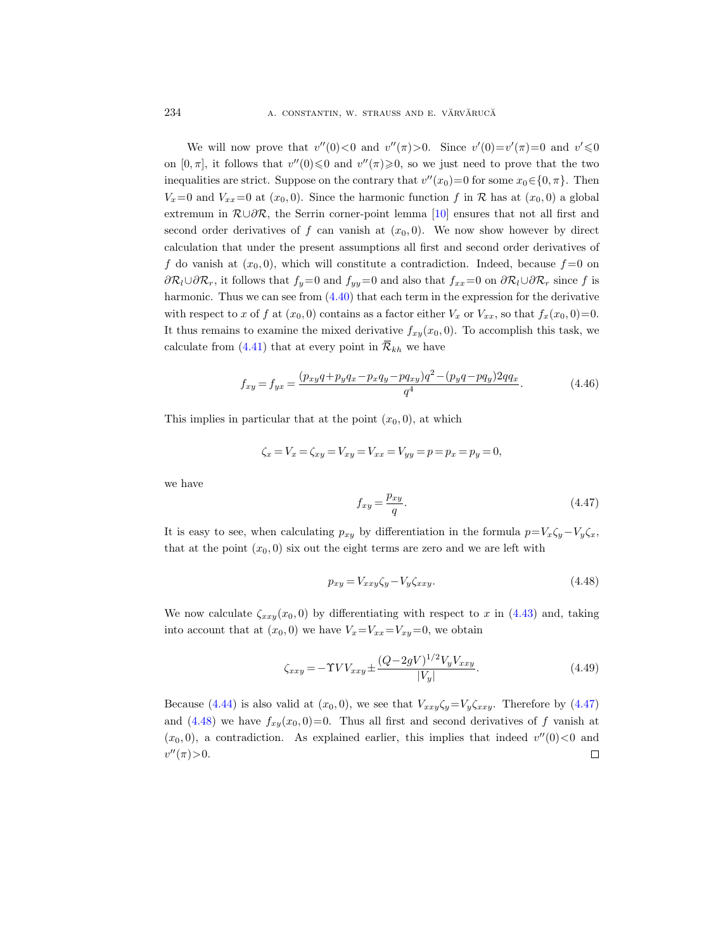We will now prove that  $v''(0) < 0$  and  $v''(\pi) > 0$ . Since  $v'(0) = v'(\pi) = 0$  and  $v' \le 0$ on  $[0, \pi]$ , it follows that  $v''(0) \leq 0$  and  $v''(\pi) \geq 0$ , so we just need to prove that the two inequalities are strict. Suppose on the contrary that  $v''(x_0) = 0$  for some  $x_0 \in \{0, \pi\}$ . Then  $V_x=0$  and  $V_{xx}=0$  at  $(x_0, 0)$ . Since the harmonic function f in R has at  $(x_0, 0)$  a global extremum in  $\mathcal{R}\cup\partial\mathcal{R}$ , the Serrin corner-point lemma [\[10\]](#page-65-1) ensures that not all first and second order derivatives of f can vanish at  $(x_0, 0)$ . We now show however by direct calculation that under the present assumptions all first and second order derivatives of f do vanish at  $(x_0, 0)$ , which will constitute a contradiction. Indeed, because  $f = 0$  on  $\partial \mathcal{R}_l \cup \partial \mathcal{R}_r$ , it follows that  $f_y=0$  and  $f_{yy}=0$  and also that  $f_{xx}=0$  on  $\partial \mathcal{R}_l \cup \partial \mathcal{R}_r$  since f is harmonic. Thus we can see from  $(4.40)$  that each term in the expression for the derivative with respect to x of f at  $(x_0, 0)$  contains as a factor either  $V_x$  or  $V_{xx}$ , so that  $f_x(x_0, 0) = 0$ . It thus remains to examine the mixed derivative  $f_{xy}(x_0, 0)$ . To accomplish this task, we calculate from [\(4.41\)](#page-38-3) that at every point in  $\overline{\mathcal{R}}_{kh}$  we have

$$
f_{xy} = f_{yx} = \frac{(p_{xy}q + p_yq_x - p_xq_y - pq_{xy})q^2 - (p_yq - pq_y)2qq_x}{q^4}.
$$
\n(4.46)

This implies in particular that at the point  $(x_0, 0)$ , at which

$$
\zeta_x = V_x = \zeta_{xy} = V_{xy} = V_{xx} = V_{yy} = p = p_x = p_y = 0,
$$

we have

<span id="page-39-0"></span>
$$
f_{xy} = \frac{p_{xy}}{q}.\tag{4.47}
$$

It is easy to see, when calculating  $p_{xy}$  by differentiation in the formula  $p=V_x\zeta_y-V_y\zeta_x$ , that at the point  $(x_0, 0)$  six out the eight terms are zero and we are left with

<span id="page-39-1"></span>
$$
p_{xy} = V_{xxy}\zeta_y - V_y\zeta_{xxy}.\tag{4.48}
$$

We now calculate  $\zeta_{xxy}(x_0, 0)$  by differentiating with respect to x in [\(4.43\)](#page-38-1) and, taking into account that at  $(x_0, 0)$  we have  $V_x=V_{xx}=V_{xy}=0$ , we obtain

$$
\zeta_{xxy} = -\Upsilon V V_{xxy} \pm \frac{(Q - 2gV)^{1/2} V_y V_{xxy}}{|V_y|}.
$$
\n(4.49)

Because [\(4.44\)](#page-38-4) is also valid at  $(x_0, 0)$ , we see that  $V_{xxy}\zeta_y=V_y\zeta_{xxy}$ . Therefore by [\(4.47\)](#page-39-0) and [\(4.48\)](#page-39-1) we have  $f_{xy}(x_0, 0) = 0$ . Thus all first and second derivatives of f vanish at  $(x_0, 0)$ , a contradiction. As explained earlier, this implies that indeed  $v''(0) < 0$  and  $v''(\pi) > 0.$  $\Box$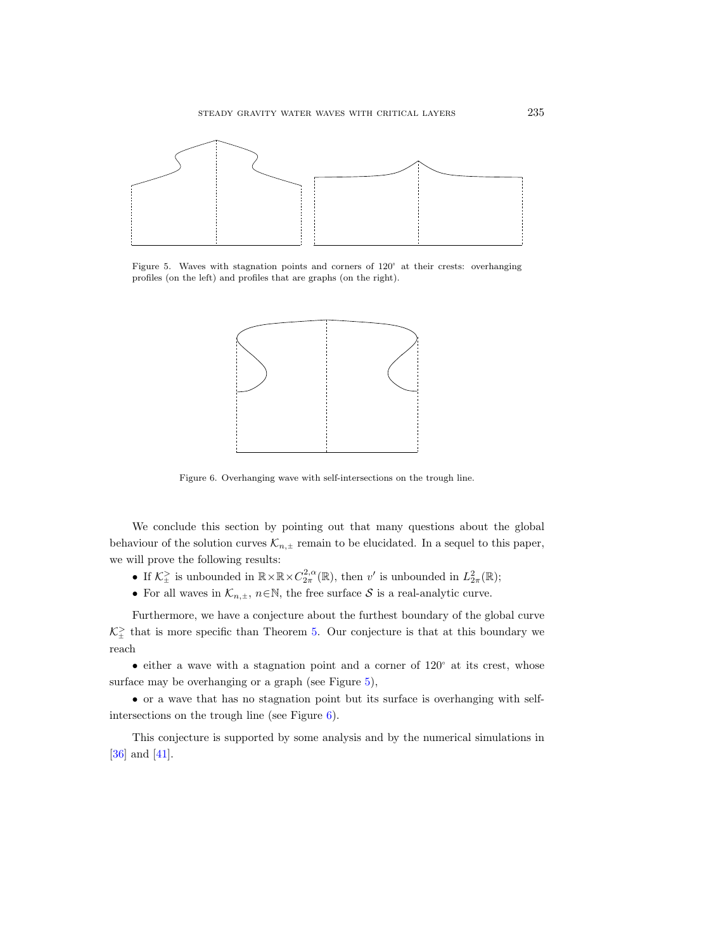

<span id="page-40-0"></span>Figure 5. Waves with stagnation points and corners of  $120^{\circ}$  at their crests: overhanging profiles (on the left) and profiles that are graphs (on the right).



<span id="page-40-1"></span>Figure 6. Overhanging wave with self-intersections on the trough line.

We conclude this section by pointing out that many questions about the global behaviour of the solution curves  $\mathcal{K}_{n,\pm}$  remain to be elucidated. In a sequel to this paper, we will prove the following results:

- If  $\mathcal{K}^{\geq}_{\pm}$  is unbounded in  $\mathbb{R} \times \mathbb{R} \times C^{2,\alpha}_{2\pi}(\mathbb{R})$ , then v' is unbounded in  $L^2_{2\pi}(\mathbb{R})$ ;
- For all waves in  $\mathcal{K}_{n,\pm}$ ,  $n \in \mathbb{N}$ , the free surface  $\mathcal S$  is a real-analytic curve.

Furthermore, we have a conjecture about the furthest boundary of the global curve  $\mathcal{K}^{\geq}_{\pm}$  that is more specific than Theorem [5.](#page-19-0) Our conjecture is that at this boundary we reach

• either a wave with a stagnation point and a corner of  $120^{\circ}$  at its crest, whose surface may be overhanging or a graph (see Figure [5\)](#page-40-0),

• or a wave that has no stagnation point but its surface is overhanging with selfintersections on the trough line (see Figure [6\)](#page-40-1).

This conjecture is supported by some analysis and by the numerical simulations in [\[36\]](#page-66-5) and [\[41\]](#page-66-13).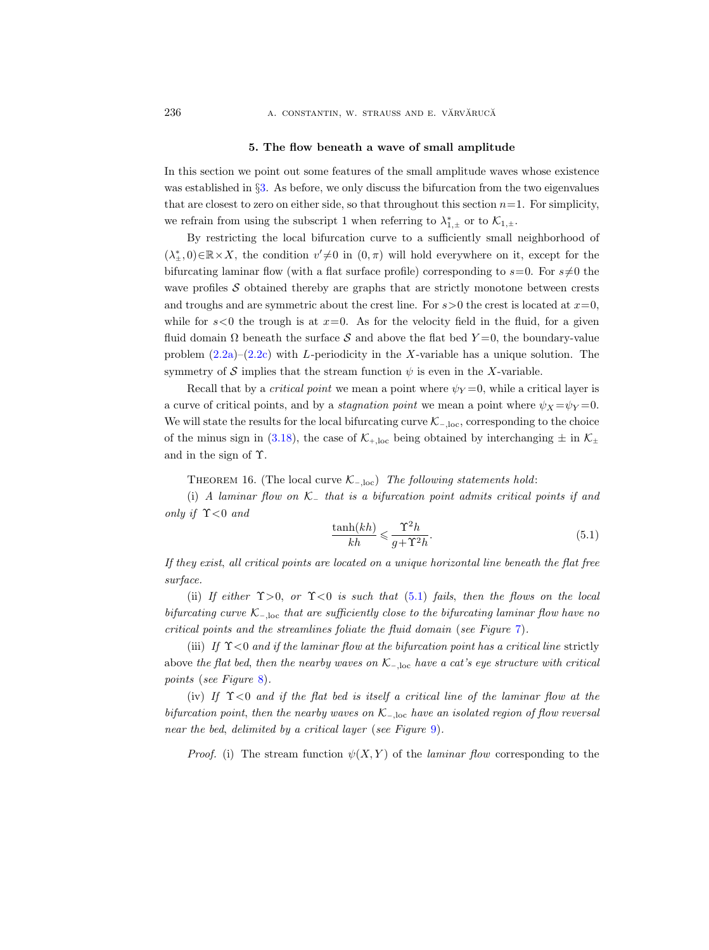#### 5. The flow beneath a wave of small amplitude

<span id="page-41-0"></span>In this section we point out some features of the small amplitude waves whose existence was established in §[3.](#page-18-0) As before, we only discuss the bifurcation from the two eigenvalues that are closest to zero on either side, so that throughout this section  $n=1$ . For simplicity, we refrain from using the subscript 1 when referring to  $\lambda_{1,\pm}^*$  or to  $\mathcal{K}_{1,\pm}$ .

By restricting the local bifurcation curve to a sufficiently small neighborhood of  $(\lambda_{\pm}^*,0) \in \mathbb{R} \times X$ , the condition  $v' \neq 0$  in  $(0, \pi)$  will hold everywhere on it, except for the bifurcating laminar flow (with a flat surface profile) corresponding to  $s=0$ . For  $s\neq0$  the wave profiles  $S$  obtained thereby are graphs that are strictly monotone between crests and troughs and are symmetric about the crest line. For  $s > 0$  the crest is located at  $x = 0$ , while for  $s<0$  the trough is at  $x=0$ . As for the velocity field in the fluid, for a given fluid domain  $\Omega$  beneath the surface S and above the flat bed  $Y=0$ , the boundary-value problem  $(2.2a)-(2.2c)$  $(2.2a)-(2.2c)$  $(2.2a)-(2.2c)$  with L-periodicity in the X-variable has a unique solution. The symmetry of S implies that the stream function  $\psi$  is even in the X-variable.

Recall that by a *critical point* we mean a point where  $\psi_Y = 0$ , while a critical layer is a curve of critical points, and by a *stagnation point* we mean a point where  $\psi_X = \psi_Y = 0$ . We will state the results for the local bifurcating curve  $\mathcal{K}_{-,loc}$ , corresponding to the choice of the minus sign in [\(3.18\)](#page-24-3), the case of  $K_{+,\text{loc}}$  being obtained by interchanging  $\pm$  in  $K_{\pm}$ and in the sign of Υ.

THEOREM 16. (The local curve  $\mathcal{K}_{-\text{loc}}$ ) The following statements hold:

(i) A laminar flow on  $\mathcal{K}_-$  that is a bifurcation point admits critical points if and only if  $\Upsilon$ <0 and

<span id="page-41-1"></span>
$$
\frac{\tanh(kh)}{kh} \leqslant \frac{\Upsilon^2 h}{g + \Upsilon^2 h}.\tag{5.1}
$$

If they exist, all critical points are located on a unique horizontal line beneath the flat free surface.

(ii) If either  $\Upsilon > 0$ , or  $\Upsilon < 0$  is such that [\(5.1\)](#page-41-1) fails, then the flows on the local bifurcating curve  $\mathcal{K}_{-\text{loc}}$  that are sufficiently close to the bifurcating laminar flow have no critical points and the streamlines foliate the fluid domain (see Figure [7\)](#page-43-0).

(iii) If  $\Upsilon$ <0 and if the laminar flow at the bifurcation point has a critical line strictly above the flat bed, then the nearby waves on  $\mathcal{K}_{-,loc}$  have a cat's eye structure with critical points (see Figure [8\)](#page-44-0).

(iv) If  $\Upsilon$ <0 and if the flat bed is itself a critical line of the laminar flow at the bifurcation point, then the nearby waves on  $\mathcal{K}_{-\text{loc}}$  have an isolated region of flow reversal near the bed, delimited by a critical layer (see Figure [9\)](#page-46-0).

*Proof.* (i) The stream function  $\psi(X, Y)$  of the *laminar flow* corresponding to the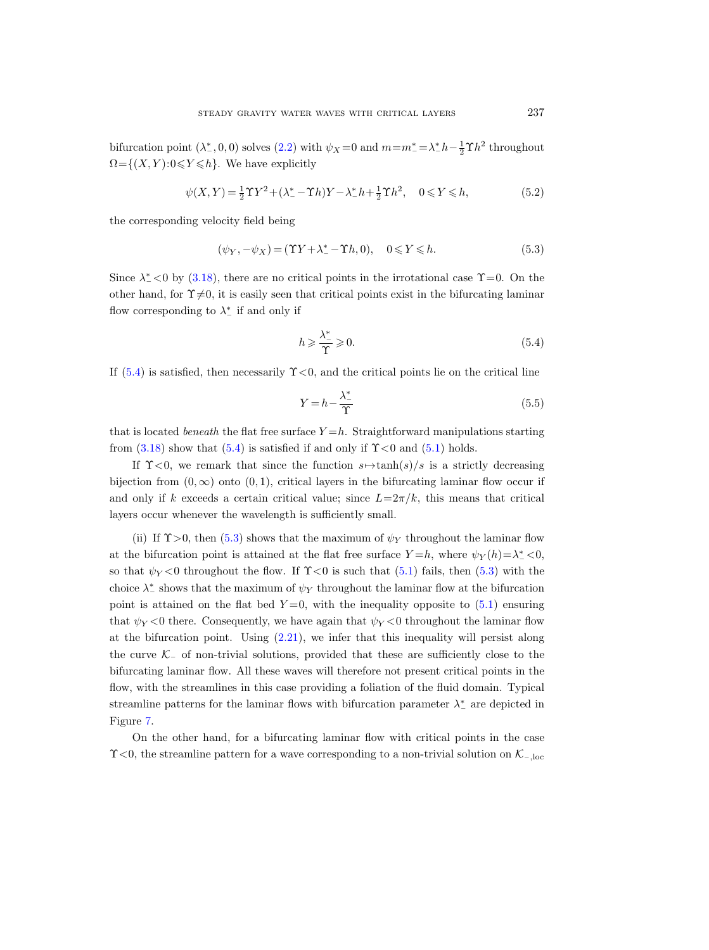bifurcation point  $(\lambda^*, 0, 0)$  solves  $(2.2)$  with  $\psi_X = 0$  and  $m = m^* = \lambda^* h - \frac{1}{2} \Upsilon h^2$  throughout  $\Omega = \{(X, Y): 0 \leq Y \leq h\}.$  We have explicitly

$$
\psi(X,Y) = \frac{1}{2}\Upsilon Y^2 + (\lambda_-^* - \Upsilon h)Y - \lambda_-^* h + \frac{1}{2}\Upsilon h^2, \quad 0 \le Y \le h,
$$
\n(5.2)

the corresponding velocity field being

<span id="page-42-1"></span>
$$
(\psi_Y, -\psi_X) = (\Upsilon Y + \lambda^*_- - \Upsilon h, 0), \quad 0 \le Y \le h. \tag{5.3}
$$

Since  $\lambda^*$  < 0 by [\(3.18\)](#page-24-3), there are no critical points in the irrotational case  $\Upsilon$  = 0. On the other hand, for  $\Upsilon \neq 0$ , it is easily seen that critical points exist in the bifurcating laminar flow corresponding to  $\lambda^*_-$  if and only if

<span id="page-42-0"></span>
$$
h \geqslant \frac{\lambda^*}{\Upsilon} \geqslant 0. \tag{5.4}
$$

If  $(5.4)$  is satisfied, then necessarily  $\Upsilon < 0$ , and the critical points lie on the critical line

$$
Y = h - \frac{\lambda^*}{\Upsilon} \tag{5.5}
$$

that is located *beneath* the flat free surface  $Y = h$ . Straightforward manipulations starting from  $(3.18)$  show that  $(5.4)$  is satisfied if and only if  $\Upsilon < 0$  and  $(5.1)$  holds.

If  $\Upsilon$ <0, we remark that since the function  $s \mapsto \tanh(s)/s$  is a strictly decreasing bijection from  $(0, \infty)$  onto  $(0, 1)$ , critical layers in the bifurcating laminar flow occur if and only if k exceeds a certain critical value; since  $L=2\pi/k$ , this means that critical layers occur whenever the wavelength is sufficiently small.

(ii) If  $\Upsilon > 0$ , then [\(5.3\)](#page-42-1) shows that the maximum of  $\psi_Y$  throughout the laminar flow at the bifurcation point is attained at the flat free surface  $Y=h$ , where  $\psi_Y(h)=\lambda^*_-<0$ , so that  $\psi_Y < 0$  throughout the flow. If  $\Upsilon < 0$  is such that [\(5.1\)](#page-41-1) fails, then [\(5.3\)](#page-42-1) with the choice  $\lambda^*$  shows that the maximum of  $\psi_Y$  throughout the laminar flow at the bifurcation point is attained on the flat bed  $Y=0$ , with the inequality opposite to [\(5.1\)](#page-41-1) ensuring that  $\psi_Y < 0$  there. Consequently, we have again that  $\psi_Y < 0$  throughout the laminar flow at the bifurcation point. Using  $(2.21)$ , we infer that this inequality will persist along the curve  $K_$  of non-trivial solutions, provided that these are sufficiently close to the bifurcating laminar flow. All these waves will therefore not present critical points in the flow, with the streamlines in this case providing a foliation of the fluid domain. Typical streamline patterns for the laminar flows with bifurcation parameter  $\lambda^*_-$  are depicted in Figure [7.](#page-43-0)

On the other hand, for a bifurcating laminar flow with critical points in the case  $\Upsilon$ <0, the streamline pattern for a wave corresponding to a non-trivial solution on  $\mathcal{K}_{-\text{loc}}$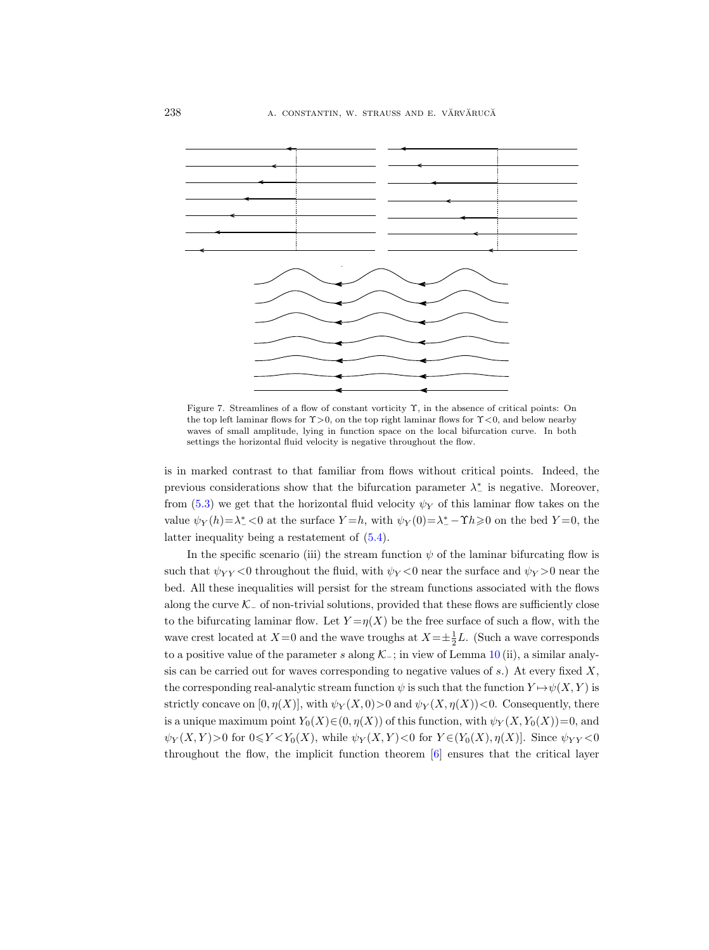

<span id="page-43-0"></span>Figure 7. Streamlines of a flow of constant vorticity Υ, in the absence of critical points: On the top left laminar flows for  $\gamma > 0$ , on the top right laminar flows for  $\gamma < 0$ , and below nearby waves of small amplitude, lying in function space on the local bifurcation curve. In both settings the horizontal fluid velocity is negative throughout the flow.

is in marked contrast to that familiar from flows without critical points. Indeed, the previous considerations show that the bifurcation parameter  $\lambda^*$  is negative. Moreover, from [\(5.3\)](#page-42-1) we get that the horizontal fluid velocity  $\psi_Y$  of this laminar flow takes on the value  $\psi_Y(h) = \lambda^*_- < 0$  at the surface  $Y = h$ , with  $\psi_Y(0) = \lambda^*_- - \Upsilon h \ge 0$  on the bed  $Y = 0$ , the latter inequality being a restatement of [\(5.4\)](#page-42-0).

In the specific scenario (iii) the stream function  $\psi$  of the laminar bifurcating flow is such that  $\psi_{YY} < 0$  throughout the fluid, with  $\psi_Y < 0$  near the surface and  $\psi_Y > 0$  near the bed. All these inequalities will persist for the stream functions associated with the flows along the curve  $K_-\,$  of non-trivial solutions, provided that these flows are sufficiently close to the bifurcating laminar flow. Let  $Y = \eta(X)$  be the free surface of such a flow, with the wave crest located at  $X=0$  and the wave troughs at  $X=\pm \frac{1}{2}L$ . (Such a wave corresponds to a positive value of the parameter s along  $\mathcal{K}_-$ ; in view of Lemma [10](#page-27-1) (ii), a similar analysis can be carried out for waves corresponding to negative values of  $s$ .) At every fixed  $X$ , the corresponding real-analytic stream function  $\psi$  is such that the function  $Y \mapsto \psi(X, Y)$  is strictly concave on  $[0, \eta(X)]$ , with  $\psi_Y(X, 0) > 0$  and  $\psi_Y(X, \eta(X)) < 0$ . Consequently, there is a unique maximum point  $Y_0(X) \in (0, \eta(X))$  of this function, with  $\psi_Y(X, Y_0(X)) = 0$ , and  $\psi_Y(X,Y) > 0$  for  $0 \le Y \le Y_0(X)$ , while  $\psi_Y(X,Y) < 0$  for  $Y \in (Y_0(X), \eta(X)]$ . Since  $\psi_{YY} < 0$ throughout the flow, the implicit function theorem [\[6\]](#page-65-12) ensures that the critical layer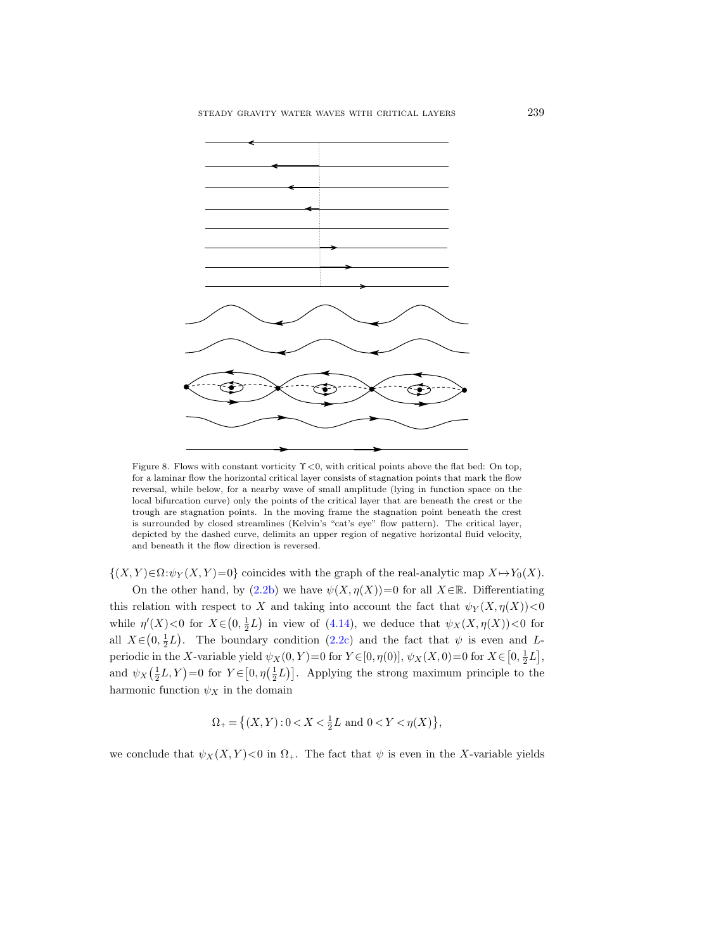

<span id="page-44-0"></span>Figure 8. Flows with constant vorticity  $\Upsilon < 0$ , with critical points above the flat bed: On top, for a laminar flow the horizontal critical layer consists of stagnation points that mark the flow reversal, while below, for a nearby wave of small amplitude (lying in function space on the local bifurcation curve) only the points of the critical layer that are beneath the crest or the trough are stagnation points. In the moving frame the stagnation point beneath the crest is surrounded by closed streamlines (Kelvin's "cat's eye" flow pattern). The critical layer, depicted by the dashed curve, delimits an upper region of negative horizontal fluid velocity, and beneath it the flow direction is reversed.

 $\{(X,Y)\in\Omega:\psi_Y(X,Y)=0\}$  coincides with the graph of the real-analytic map  $X\mapsto Y_0(X)$ .

On the other hand, by  $(2.2b)$  we have  $\psi(X, \eta(X))=0$  for all  $X\in\mathbb{R}$ . Differentiating this relation with respect to X and taking into account the fact that  $\psi_Y(X, \eta(X))$ <0 while  $\eta'(X) < 0$  for  $X \in (0, \frac{1}{2}L)$  in view of [\(4.14\)](#page-30-2), we deduce that  $\psi_X(X, \eta(X)) < 0$  for all  $X \in (0, \frac{1}{2}L)$ . The boundary condition [\(2.2c\)](#page-5-7) and the fact that  $\psi$  is even and Lperiodic in the X-variable yield  $\psi_X(0, Y) = 0$  for  $Y \in [0, \eta(0)], \psi_X(X, 0) = 0$  for  $X \in [0, \frac{1}{2}L],$ and  $\psi_X(\frac{1}{2}L, Y) = 0$  for  $Y \in [0, \eta(\frac{1}{2}L)]$ . Applying the strong maximum principle to the harmonic function  $\psi_X$  in the domain

$$
\Omega_+ = \left\{ (X, Y) : 0 < X < \frac{1}{2}L \text{ and } 0 < Y < \eta(X) \right\},
$$

we conclude that  $\psi_X(X, Y) < 0$  in  $\Omega_+$ . The fact that  $\psi$  is even in the X-variable yields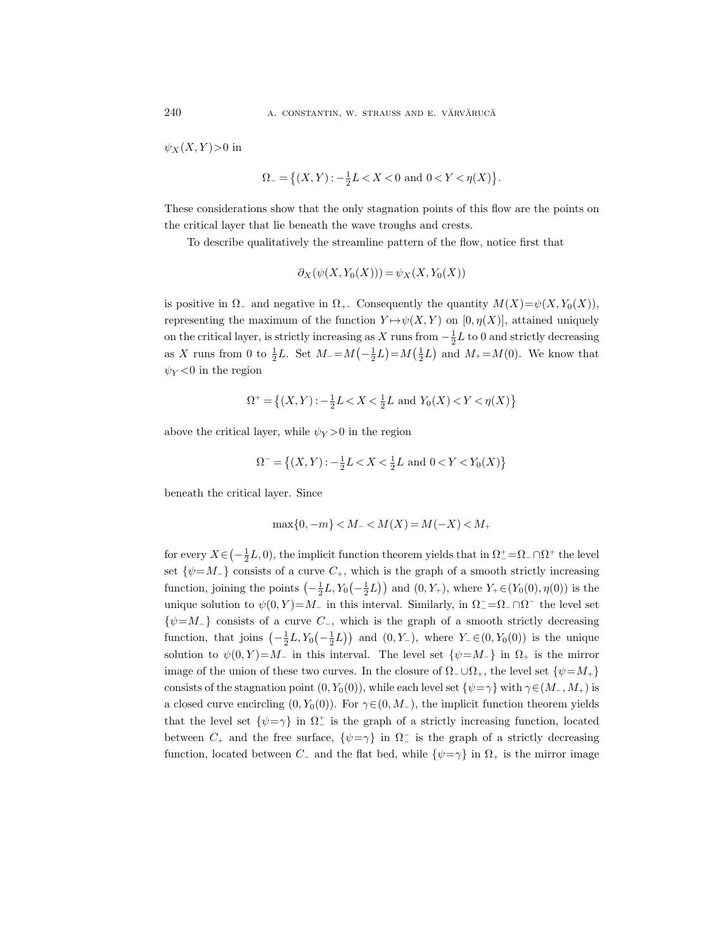$\psi_X(X, Y)$  > 0 in

$$
\Omega_{-} = \{(X, Y) : -\frac{1}{2}L < X < 0 \text{ and } 0 < Y < \eta(X) \}.
$$

These considerations show that the only stagnation points of this flow are the points on the critical layer that lie beneath the wave troughs and crests.

To describe qualitatively the streamline pattern of the flow, notice first that

$$
\partial_X(\psi(X, Y_0(X))) = \psi_X(X, Y_0(X))
$$

is positive in  $\Omega$ <sub>-</sub> and negative in  $\Omega$ <sub>+</sub>. Consequently the quantity  $M(X)=\psi(X, Y_0(X)),$ representing the maximum of the function  $Y \mapsto \psi(X, Y)$  on [0,  $\eta(X)$ ], attained uniquely on the critical layer, is strictly increasing as X runs from  $-\frac{1}{2}L$  to 0 and strictly decreasing as X runs from 0 to  $\frac{1}{2}L$ . Set  $M_{-} = M(-\frac{1}{2}L) = M(\frac{1}{2}L)$  and  $M_{+} = M(0)$ . We know that  $\psi_Y < 0$  in the region

$$
\Omega^+ = \left\{ (X,Y) : -\frac{1}{2}L < X < \frac{1}{2}L \text{ and } Y_0(X) < Y < \eta(X) \right\}
$$

above the critical layer, while  $\psi_Y > 0$  in the region

$$
\Omega^- = \left\{ (X, Y) : -\frac{1}{2}L < X < \frac{1}{2}L \text{ and } 0 < Y < Y_0(X) \right\}
$$

beneath the critical layer. Since

$$
\max\{0, -m\} < M_- < M(X) = M(-X) < M_+
$$

for every  $X \in \left(-\frac{1}{2}L, 0\right)$ , the implicit function theorem yields that in  $\Omega_{-}^{+} = \Omega_{-} \cap \Omega_{+}^{+}$  the level set  $\{\psi = M_{-}\}\)$  consists of a curve  $C_{+}$ , which is the graph of a smooth strictly increasing function, joining the points  $\left(-\frac{1}{2}L, Y_0\left(-\frac{1}{2}L\right)\right)$  and  $(0, Y_+)$ , where  $Y_+ \in (Y_0(0), \eta(0))$  is the unique solution to  $\psi(0, Y) = M_-\$  in this interval. Similarly, in  $\Omega^- = \Omega^- \cap \Omega^-$  the level set  $\{\psi = M_-\}$  consists of a curve  $C_-,$  which is the graph of a smooth strictly decreasing function, that joins  $\left(-\frac{1}{2}L, Y_0\left(-\frac{1}{2}L\right)\right)$  and  $(0, Y_-)$ , where  $Y_-\in (0, Y_0(0))$  is the unique solution to  $\psi(0, Y) = M_-\$  in this interval. The level set  $\{\psi = M_-\}$  in  $\Omega_+$  is the mirror image of the union of these two curves. In the closure of  $\Omega$ <sub>-</sub>∪ $\Omega$ <sub>+</sub>, the level set  $\{\psi = M_+\}$ consists of the stagnation point  $(0, Y_0(0))$ , while each level set  $\{\psi = \gamma\}$  with  $\gamma \in (M_-, M_+)$  is a closed curve encircling  $(0, Y_0(0))$ . For  $\gamma \in (0, M_-)$ , the implicit function theorem yields that the level set  $\{\psi = \gamma\}$  in  $\Omega^+$  is the graph of a strictly increasing function, located between  $C_+$  and the free surface,  $\{\psi = \gamma\}$  in  $\Omega^-$  is the graph of a strictly decreasing function, located between  $C_-\$  and the flat bed, while  $\{\psi = \gamma\}$  in  $\Omega_+$  is the mirror image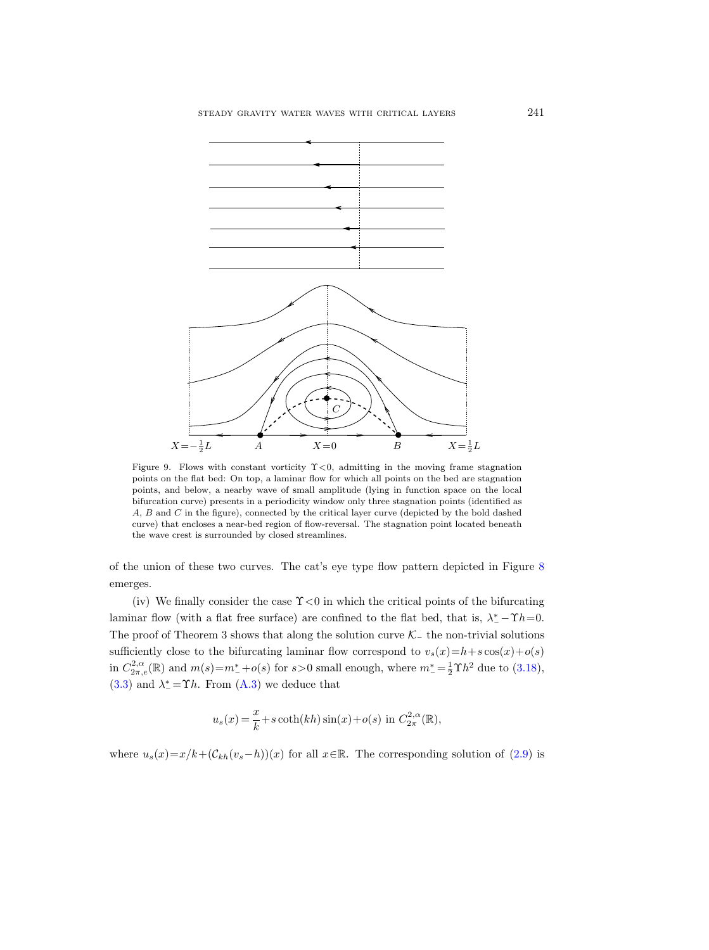

<span id="page-46-0"></span>Figure 9. Flows with constant vorticity  $\Upsilon < 0$ , admitting in the moving frame stagnation points on the flat bed: On top, a laminar flow for which all points on the bed are stagnation points, and below, a nearby wave of small amplitude (lying in function space on the local bifurcation curve) presents in a periodicity window only three stagnation points (identified as A, B and C in the figure), connected by the critical layer curve (depicted by the bold dashed curve) that encloses a near-bed region of flow-reversal. The stagnation point located beneath the wave crest is surrounded by closed streamlines.

of the union of these two curves. The cat's eye type flow pattern depicted in Figure [8](#page-44-0) emerges.

(iv) We finally consider the case  $\Upsilon$  < 0 in which the critical points of the bifurcating laminar flow (with a flat free surface) are confined to the flat bed, that is,  $\lambda^* - \Upsilon h = 0$ . The proof of Theorem 3 shows that along the solution curve  $\mathcal{K}_-$  the non-trivial solutions sufficiently close to the bifurcating laminar flow correspond to  $v_s(x)=h+s\cos(x)+o(s)$ in  $C^{2,\alpha}_{2\pi,e}(\mathbb{R})$  and  $m(s) = m^* + o(s)$  for  $s > 0$  small enough, where  $m^* = \frac{1}{2}\Upsilon h^2$  due to  $(3.18)$ , [\(3.3\)](#page-19-1) and  $\lambda^* = \Upsilon h$ . From [\(A.3\)](#page-49-2) we deduce that

$$
u_s(x) = \frac{x}{k} + s \coth(kh) \sin(x) + o(s) \text{ in } C^{2,\alpha}_{2\pi}(\mathbb{R}),
$$

where  $u_s(x)=x/k+(\mathcal{C}_{kh}(v_s-h))(x)$  for all  $x\in\mathbb{R}$ . The corresponding solution of [\(2.9\)](#page-7-4) is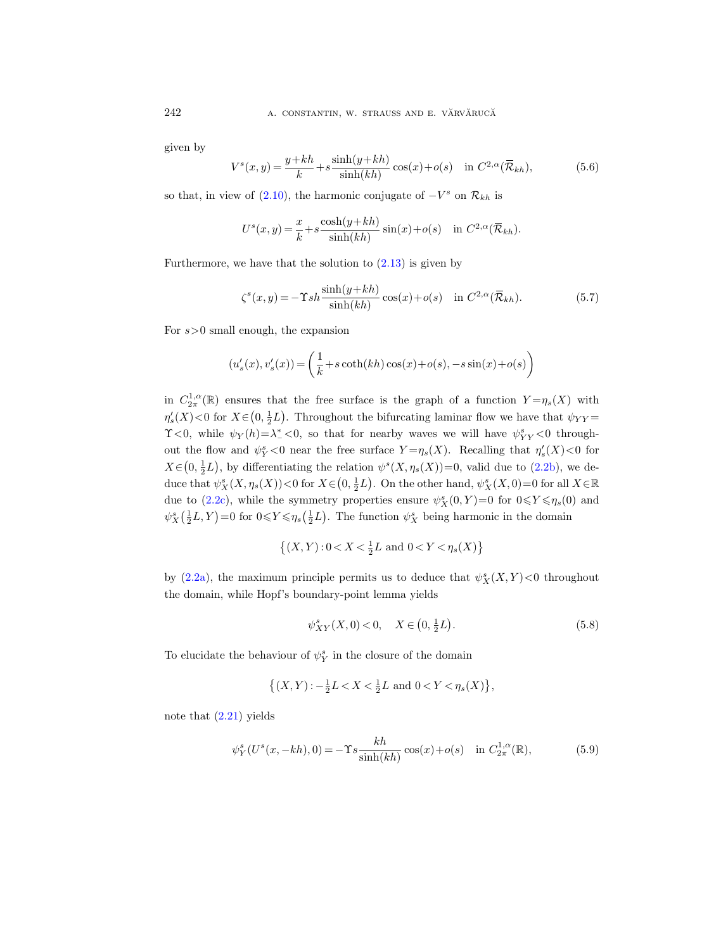given by

<span id="page-47-0"></span>
$$
V^s(x,y) = \frac{y+kh}{k} + s \frac{\sinh(y+kh)}{\sinh(kh)} \cos(x) + o(s) \quad \text{in } C^{2,\alpha}(\overline{\mathcal{R}}_{kh}),\tag{5.6}
$$

so that, in view of  $(2.10)$ , the harmonic conjugate of  $-V^s$  on  $\mathcal{R}_{kh}$  is

$$
U^{s}(x, y) = \frac{x}{k} + s \frac{\cosh(y+kh)}{\sinh(kh)} \sin(x) + o(s) \quad \text{in } C^{2,\alpha}(\overline{\mathcal{R}}_{kh}).
$$

Furthermore, we have that the solution to  $(2.13)$  is given by

<span id="page-47-1"></span>
$$
\zeta^{s}(x,y) = -\Upsilon sh \frac{\sinh(y+kh)}{\sinh(kh)} \cos(x) + o(s) \quad \text{in } C^{2,\alpha}(\overline{\mathcal{R}}_{kh}).
$$
 (5.7)

For  $s>0$  small enough, the expansion

$$
(u_s'(x), v_s'(x)) = \left(\frac{1}{k} + s \coth(kh)\cos(x) + o(s), -s \sin(x) + o(s)\right)
$$

in  $C_{2\pi}^{1,\alpha}(\mathbb{R})$  ensures that the free surface is the graph of a function  $Y=\eta_s(X)$  with  $\eta_s'(X)$  < 0 for  $X \in (0, \frac{1}{2}L)$ . Throughout the bifurcating laminar flow we have that  $\psi_{YY} =$  $\Upsilon$ <0, while  $\psi_Y(h) = \lambda^*$  <0, so that for nearby waves we will have  $\psi^s_{YY}$  <0 throughout the flow and  $\psi_Y^s$  <0 near the free surface  $Y = \eta_s(X)$ . Recalling that  $\eta_s'(X)$  <0 for  $X \in (0, \frac{1}{2}L)$ , by differentiating the relation  $\psi^s(X, \eta_s(X)) = 0$ , valid due to  $(2.2b)$ , we deduce that  $\psi_X^s(X, \eta_s(X)) < 0$  for  $X \in (0, \frac{1}{2}L)$ . On the other hand,  $\psi_X^s(X, 0) = 0$  for all  $X \in \mathbb{R}$ due to [\(2.2c\)](#page-5-7), while the symmetry properties ensure  $\psi^s_X(0,Y)=0$  for  $0 \leq Y \leq \eta_s(0)$  and  $\psi_X^s(\frac{1}{2}L, Y) = 0$  for  $0 \leq Y \leq \eta_s(\frac{1}{2}L)$ . The function  $\psi_X^s$  being harmonic in the domain

$$
\{(X,Y): 0 < X < \frac{1}{2}L \text{ and } 0 < Y < \eta_s(X)\}
$$

by [\(2.2a\)](#page-5-6), the maximum principle permits us to deduce that  $\psi_X^s(X, Y) < 0$  throughout the domain, while Hopf's boundary-point lemma yields

<span id="page-47-3"></span>
$$
\psi_{XY}^s(X,0) < 0, \quad X \in \left(0, \frac{1}{2}L\right). \tag{5.8}
$$

To elucidate the behaviour of  $\psi^s_Y$  in the closure of the domain

$$
\{(X,Y) : -\frac{1}{2}L < X < \frac{1}{2}L \text{ and } 0 < Y < \eta_s(X) \},
$$

note that  $(2.21)$  yields

<span id="page-47-2"></span>
$$
\psi_Y^s(U^s(x, -kh), 0) = -\Upsilon s \frac{kh}{\sinh(kh)} \cos(x) + o(s) \quad \text{in } C_{2\pi}^{1,\alpha}(\mathbb{R}),
$$
 (5.9)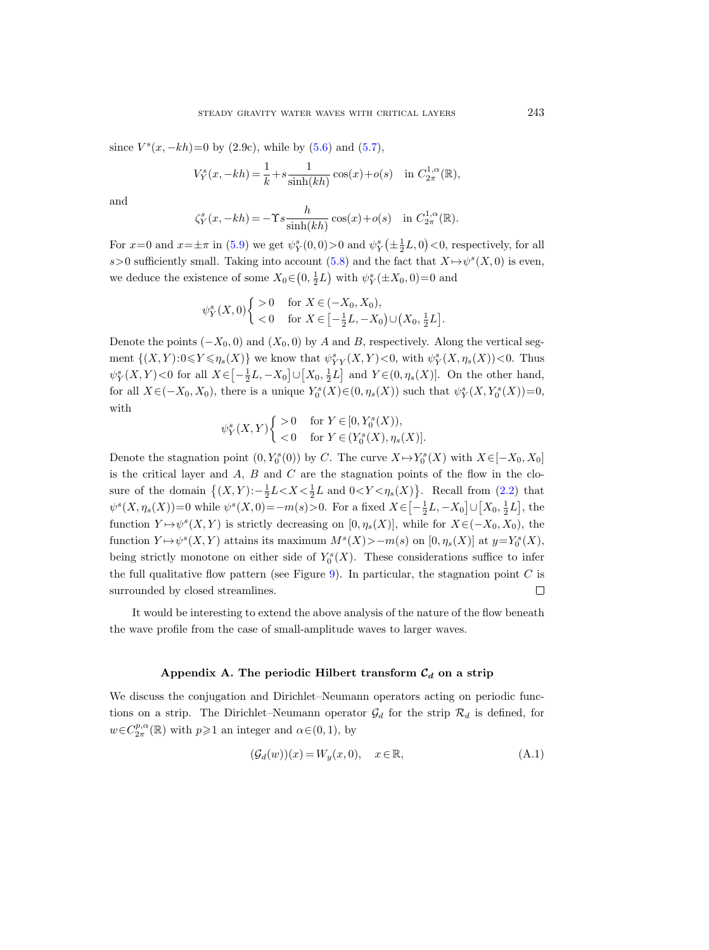since  $V^s(x, -kh) = 0$  by (2.9c), while by [\(5.6\)](#page-47-0) and [\(5.7\)](#page-47-1),

$$
V_Y^s(x, -kh) = \frac{1}{k} + s \frac{1}{\sinh(kh)} \cos(x) + o(s) \quad \text{in } C_{2\pi}^{1,\alpha}(\mathbb{R}),
$$

and

$$
\zeta_Y^s(x, -kh) = -\Upsilon s \frac{h}{\sinh(kh)} \cos(x) + o(s) \quad \text{in } C_{2\pi}^{1,\alpha}(\mathbb{R}).
$$

For  $x=0$  and  $x=\pm \pi$  in [\(5.9\)](#page-47-2) we get  $\psi_Y^s(0,0) > 0$  and  $\psi_Y^s(\pm \frac{1}{2}L,0) < 0$ , respectively, for all s>0 sufficiently small. Taking into account [\(5.8\)](#page-47-3) and the fact that  $X \mapsto \psi^s(X,0)$  is even, we deduce the existence of some  $X_0 \in (0, \frac{1}{2}L)$  with  $\psi_Y^s(\pm X_0, 0) = 0$  and

$$
\psi_Y^s(X,0) \begin{cases} > 0 \quad \text{for } X \in (-X_0, X_0), \\ < 0 \quad \text{for } X \in \left[-\frac{1}{2}L, -X_0\right) \cup \left(X_0, \frac{1}{2}L\right]. \end{cases}
$$

Denote the points  $(-X_0, 0)$  and  $(X_0, 0)$  by A and B, respectively. Along the vertical segment  $\{(X,Y): 0 \leq Y \leq \eta_s(X)\}\$  we know that  $\psi^s_{YY}(X,Y) < 0$ , with  $\psi^s_Y(X, \eta_s(X)) < 0$ . Thus  $\psi_Y^s(X,Y) < 0$  for all  $X \in \left[-\frac{1}{2}L, -X_0\right] \cup \left[X_0, \frac{1}{2}L\right]$  and  $Y \in (0, \eta_s(X)]$ . On the other hand, for all  $X \in (-X_0, X_0)$ , there is a unique  $Y_0^s(X) \in (0, \eta_s(X))$  such that  $\psi_Y^s(X, Y_0^s(X)) = 0$ , with

$$
\psi_Y^s(X, Y) \begin{cases} > 0 & \text{for } Y \in [0, Y_0^s(X)), \\ < 0 & \text{for } Y \in (Y_0^s(X), \eta_s(X)]. \end{cases}
$$

Denote the stagnation point  $(0, Y_0^s(0))$  by C. The curve  $X \mapsto Y_0^s(X)$  with  $X \in [-X_0, X_0]$ is the critical layer and  $A$ ,  $B$  and  $C$  are the stagnation points of the flow in the closure of the domain  $\{(X,Y): -\frac{1}{2}L < X < \frac{1}{2}L$  and  $0 < Y < \eta_s(X)\}$ . Recall from [\(2.2\)](#page-5-3) that  $\psi^{s}(X,\eta_{s}(X))=0$  while  $\psi^{s}(X,0)=-m(s)>0$ . For a fixed  $X \in \left[-\frac{1}{2}L, -X_{0}\right] \cup \left[X_{0}, \frac{1}{2}L\right]$ , the function  $Y \mapsto \psi^s(X, Y)$  is strictly decreasing on  $[0, \eta_s(X)]$ , while for  $X \in (-X_0, X_0)$ , the function  $Y \mapsto \psi^s(X, Y)$  attains its maximum  $M^s(X) > -m(s)$  on  $[0, \eta_s(X)]$  at  $y=Y_0^s(X)$ , being strictly monotone on either side of  $Y_0^s(X)$ . These considerations suffice to infer the full qualitative flow pattern (see Figure [9\)](#page-46-0). In particular, the stagnation point  $C$  is surrounded by closed streamlines.  $\Box$ 

It would be interesting to extend the above analysis of the nature of the flow beneath the wave profile from the case of small-amplitude waves to larger waves.

## Appendix A. The periodic Hilbert transform  $C_d$  on a strip

<span id="page-48-0"></span>We discuss the conjugation and Dirichlet–Neumann operators acting on periodic functions on a strip. The Dirichlet–Neumann operator  $\mathcal{G}_d$  for the strip  $\mathcal{R}_d$  is defined, for  $w \in C^{p,\alpha}_{2\pi}(\mathbb{R})$  with  $p \geq 1$  an integer and  $\alpha \in (0,1)$ , by

<span id="page-48-1"></span>
$$
(\mathcal{G}_d(w))(x) = W_y(x,0), \quad x \in \mathbb{R}, \tag{A.1}
$$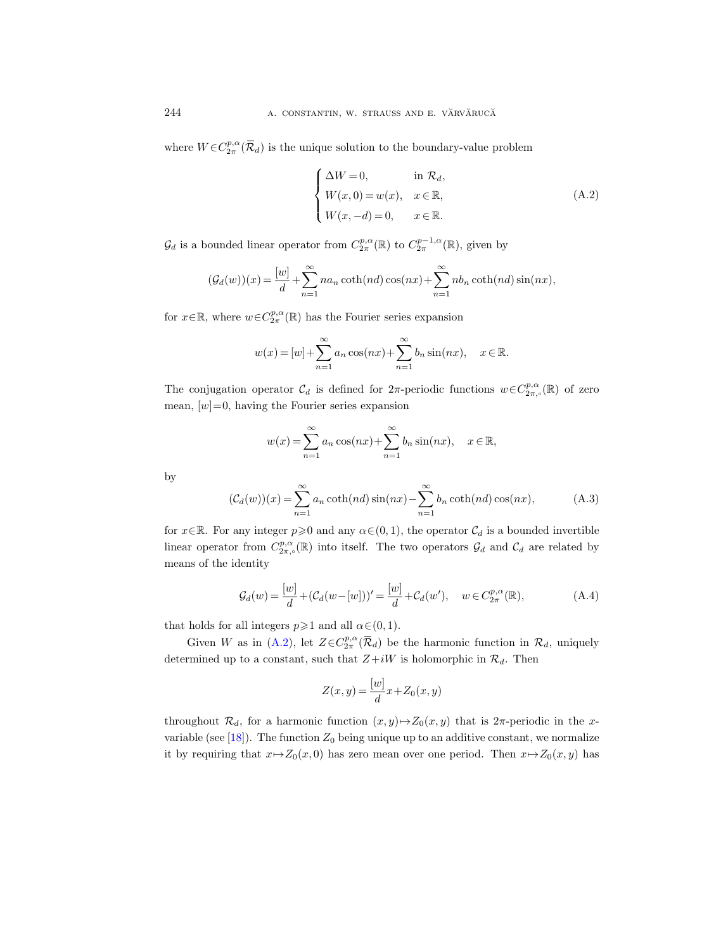where  $W \in C^{p,\alpha}_{2\pi}(\overline{\mathcal{R}}_d)$  is the unique solution to the boundary-value problem

<span id="page-49-1"></span>
$$
\begin{cases}\n\Delta W = 0, & \text{in } \mathcal{R}_d, \\
W(x, 0) = w(x), & x \in \mathbb{R}, \\
W(x, -d) = 0, & x \in \mathbb{R}.\n\end{cases}
$$
\n(A.2)

 $\mathcal{G}_d$  is a bounded linear operator from  $C^{p,\alpha}_{2\pi}(\mathbb{R})$  to  $C^{p-1,\alpha}_{2\pi}(\mathbb{R})$ , given by

$$
(\mathcal{G}_d(w))(x) = \frac{[w]}{d} + \sum_{n=1}^{\infty} na_n \coth(nd) \cos(nx) + \sum_{n=1}^{\infty} nb_n \coth(nd) \sin(nx),
$$

for  $x \in \mathbb{R}$ , where  $w \in C^{p,\alpha}_{2\pi}(\mathbb{R})$  has the Fourier series expansion

$$
w(x) = [w] + \sum_{n=1}^{\infty} a_n \cos(nx) + \sum_{n=1}^{\infty} b_n \sin(nx), \quad x \in \mathbb{R}.
$$

The conjugation operator  $\mathcal{C}_d$  is defined for  $2\pi$ -periodic functions  $w \in C^{p,\alpha}_{2\pi,\circ}(\mathbb{R})$  of zero mean,  $[w]=0$ , having the Fourier series expansion

$$
w(x) = \sum_{n=1}^{\infty} a_n \cos(nx) + \sum_{n=1}^{\infty} b_n \sin(nx), \quad x \in \mathbb{R},
$$

by

<span id="page-49-2"></span>
$$
(\mathcal{C}_d(w))(x) = \sum_{n=1}^{\infty} a_n \coth(nd) \sin(nx) - \sum_{n=1}^{\infty} b_n \coth(nd) \cos(nx), \tag{A.3}
$$

for  $x \in \mathbb{R}$ . For any integer  $p \geq 0$  and any  $\alpha \in (0, 1)$ , the operator  $\mathcal{C}_d$  is a bounded invertible linear operator from  $C^{p,\alpha}_{2\pi,\circ}(\mathbb{R})$  into itself. The two operators  $\mathcal{G}_d$  and  $\mathcal{C}_d$  are related by means of the identity

<span id="page-49-0"></span>
$$
\mathcal{G}_d(w) = \frac{[w]}{d} + (\mathcal{C}_d(w - [w]))' = \frac{[w]}{d} + \mathcal{C}_d(w'), \quad w \in C_{2\pi}^{p,\alpha}(\mathbb{R}),
$$
\n(A.4)

that holds for all integers  $p \ge 1$  and all  $\alpha \in (0, 1)$ .

Given W as in [\(A.2\)](#page-49-1), let  $Z \in C_{2\pi}^{p,\alpha}(\overline{\mathcal{R}}_d)$  be the harmonic function in  $\mathcal{R}_d$ , uniquely determined up to a constant, such that  $Z+iW$  is holomorphic in  $\mathcal{R}_d$ . Then

$$
Z(x,y) = \frac{[w]}{d}x + Z_0(x,y)
$$

throughout  $\mathcal{R}_d$ , for a harmonic function  $(x, y) \mapsto Z_0(x, y)$  that is 2π-periodic in the x-variable (see [\[18\]](#page-65-5)). The function  $Z_0$  being unique up to an additive constant, we normalize it by requiring that  $x \mapsto Z_0(x, 0)$  has zero mean over one period. Then  $x \mapsto Z_0(x, y)$  has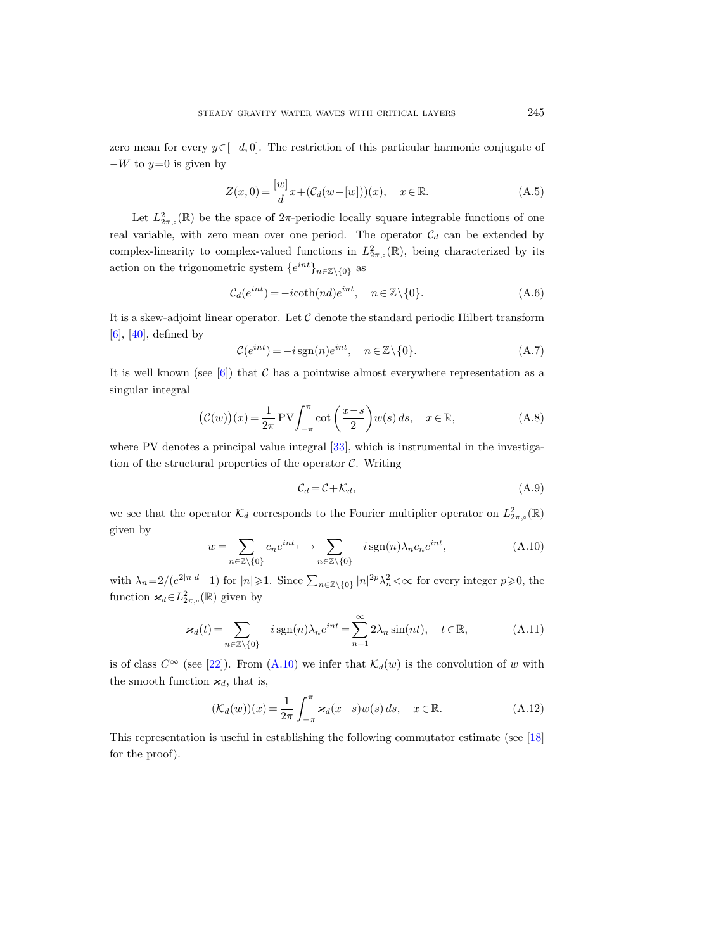zero mean for every  $y \in [-d, 0]$ . The restriction of this particular harmonic conjugate of  $-W$  to  $y=0$  is given by

<span id="page-50-0"></span>
$$
Z(x,0) = \frac{[w]}{d}x + (C_d(w - [w]))(x), \quad x \in \mathbb{R}.
$$
 (A.5)

Let  $L^2_{2\pi,\circ}(\mathbb{R})$  be the space of  $2\pi$ -periodic locally square integrable functions of one real variable, with zero mean over one period. The operator  $C_d$  can be extended by complex-linearity to complex-valued functions in  $L^2_{2\pi,\circ}(\mathbb{R})$ , being characterized by its action on the trigonometric system  $\{e^{int}\}_{n\in\mathbb{Z}\setminus\{0\}}$  as

$$
\mathcal{C}_d(e^{int}) = -icoth(nd)e^{int}, \quad n \in \mathbb{Z} \setminus \{0\}.
$$
 (A.6)

It is a skew-adjoint linear operator. Let  $C$  denote the standard periodic Hilbert transform  $[6]$ ,  $[40]$ , defined by

$$
\mathcal{C}(e^{int}) = -i \operatorname{sgn}(n)e^{int}, \quad n \in \mathbb{Z} \setminus \{0\}.
$$
 (A.7)

It is well known (see  $[6]$ ) that C has a pointwise almost everywhere representation as a singular integral

<span id="page-50-3"></span>
$$
(\mathcal{C}(w))(x) = \frac{1}{2\pi} \text{PV} \int_{-\pi}^{\pi} \cot\left(\frac{x-s}{2}\right) w(s) \, ds, \quad x \in \mathbb{R},\tag{A.8}
$$

where PV denotes a principal value integral [\[33\]](#page-66-19), which is instrumental in the investigation of the structural properties of the operator  $C$ . Writing

$$
\mathcal{C}_d = \mathcal{C} + \mathcal{K}_d,\tag{A.9}
$$

we see that the operator  $\mathcal{K}_d$  corresponds to the Fourier multiplier operator on  $L^2_{2\pi,\circ}(\mathbb{R})$ given by

<span id="page-50-2"></span>
$$
w = \sum_{n \in \mathbb{Z} \setminus \{0\}} c_n e^{int} \longrightarrow \sum_{n \in \mathbb{Z} \setminus \{0\}} -i \operatorname{sgn}(n) \lambda_n c_n e^{int}, \tag{A.10}
$$

with  $\lambda_n = 2/(e^{2|n|d}-1)$  for  $|n| \geq 1$ . Since  $\sum_{n \in \mathbb{Z}\setminus\{0\}} |n|^{2p} \lambda_n^2 < \infty$  for every integer  $p \geqslant 0$ , the function  $\varkappa_d \in L^2_{2\pi,\circ}(\mathbb{R})$  given by

<span id="page-50-4"></span>
$$
\varkappa_d(t) = \sum_{n \in \mathbb{Z} \setminus \{0\}} -i \operatorname{sgn}(n) \lambda_n e^{int} = \sum_{n=1}^{\infty} 2\lambda_n \sin(nt), \quad t \in \mathbb{R},
$$
 (A.11)

is of class  $C^{\infty}$  (see [\[22\]](#page-65-18)). From [\(A.10\)](#page-50-2) we infer that  $\mathcal{K}_d(w)$  is the convolution of w with the smooth function  $\varkappa_d$ , that is,

$$
(\mathcal{K}_d(w))(x) = \frac{1}{2\pi} \int_{-\pi}^{\pi} \varkappa_d(x-s)w(s) ds, \quad x \in \mathbb{R}.
$$
 (A.12)

<span id="page-50-1"></span>This representation is useful in establishing the following commutator estimate (see [\[18\]](#page-65-5) for the proof).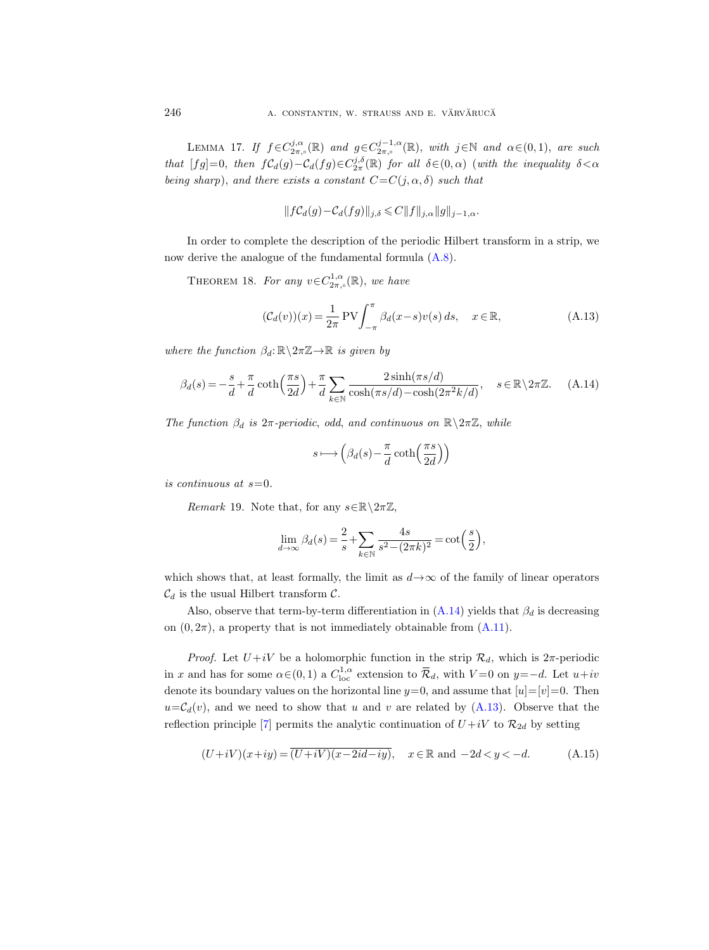LEMMA 17. If  $f \in C^{j,\alpha}_{2\pi,\circ}(\mathbb{R})$  and  $g \in C^{j-1,\alpha}_{2\pi,\circ}(\mathbb{R})$ , with  $j \in \mathbb{N}$  and  $\alpha \in (0,1)$ , are such that  $[fg]=0$ , then  $fC_d(g)-C_d(fg)\in C_{2\pi}^{j,\delta}(\mathbb{R})$  for all  $\delta \in (0,\alpha)$  (with the inequality  $\delta < \alpha$ being sharp), and there exists a constant  $C=C(j,\alpha,\delta)$  such that

$$
||f\mathcal{C}_d(g)-\mathcal{C}_d(fg)||_{j,\delta}\leqslant C||f||_{j,\alpha}||g||_{j-1,\alpha}.
$$

In order to complete the description of the periodic Hilbert transform in a strip, we now derive the analogue of the fundamental formula [\(A.8\)](#page-50-3).

THEOREM 18. For any  $v \in C^{1,\alpha}_{2\pi,\circ}(\mathbb{R})$ , we have

<span id="page-51-1"></span>
$$
(\mathcal{C}_d(v))(x) = \frac{1}{2\pi} \text{PV} \int_{-\pi}^{\pi} \beta_d(x-s)v(s) \, ds, \quad x \in \mathbb{R}, \tag{A.13}
$$

where the function  $\beta_d: \mathbb{R} \setminus 2\pi \mathbb{Z} \to \mathbb{R}$  is given by

<span id="page-51-0"></span>
$$
\beta_d(s) = -\frac{s}{d} + \frac{\pi}{d} \coth\left(\frac{\pi s}{2d}\right) + \frac{\pi}{d} \sum_{k \in \mathbb{N}} \frac{2 \sinh(\pi s/d)}{\cosh(\pi s/d) - \cosh(2\pi^2 k/d)}, \quad s \in \mathbb{R} \setminus 2\pi \mathbb{Z}. \tag{A.14}
$$

The function  $\beta_d$  is  $2\pi$ -periodic, odd, and continuous on  $\mathbb{R}\setminus 2\pi\mathbb{Z}$ , while

$$
s\longmapsto \left(\beta_d(s)-\frac{\pi}{d}\coth\!\left(\frac{\pi s}{2d}\right)\right)
$$

is continuous at  $s=0$ .

Remark 19. Note that, for any  $s \in \mathbb{R} \setminus 2\pi \mathbb{Z}$ ,

$$
\lim_{d \to \infty} \beta_d(s) = \frac{2}{s} + \sum_{k \in \mathbb{N}} \frac{4s}{s^2 - (2\pi k)^2} = \cot\left(\frac{s}{2}\right),
$$

which shows that, at least formally, the limit as  $d \rightarrow \infty$  of the family of linear operators  $\mathcal{C}_d$  is the usual Hilbert transform  $\mathcal{C}$ .

Also, observe that term-by-term differentiation in  $(A.14)$  yields that  $\beta_d$  is decreasing on  $(0, 2\pi)$ , a property that is not immediately obtainable from  $(A.11)$ .

*Proof.* Let  $U + iV$  be a holomorphic function in the strip  $\mathcal{R}_d$ , which is  $2\pi$ -periodic in x and has for some  $\alpha \in (0,1)$  a  $C^{1,\alpha}_{loc}$  extension to  $\overline{\mathcal{R}}_d$ , with  $V=0$  on  $y=-d$ . Let  $u+iv$ denote its boundary values on the horizontal line  $y=0$ , and assume that  $[u]=[v]=0$ . Then  $u=\mathcal{C}_d(v)$ , and we need to show that u and v are related by [\(A.13\)](#page-51-1). Observe that the reflection principle [\[7\]](#page-65-17) permits the analytic continuation of  $U+iV$  to  $\mathcal{R}_{2d}$  by setting

<span id="page-51-2"></span>
$$
(U+iV)(x+iy) = \overline{(U+iV)(x-2id-iy)}, \quad x \in \mathbb{R} \text{ and } -2d < y < -d.
$$
 (A.15)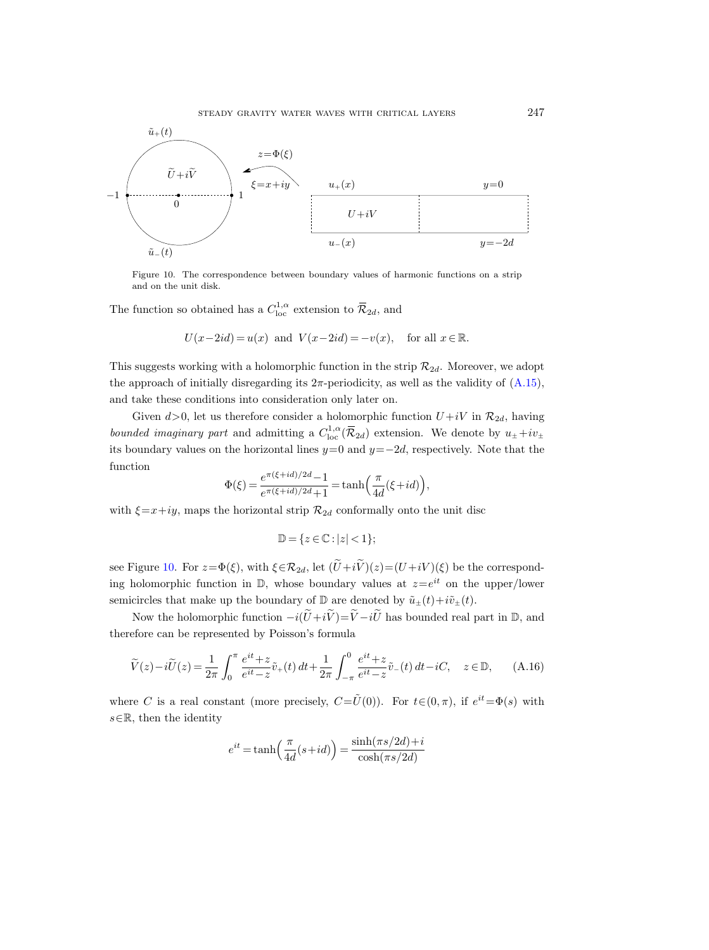

<span id="page-52-0"></span>Figure 10. The correspondence between boundary values of harmonic functions on a strip and on the unit disk.

The function so obtained has a  $C^{1,\alpha}_{\text{loc}}$  extension to  $\bar{\mathcal{R}}_{2d}$ , and

$$
U(x-2id) = u(x) \text{ and } V(x-2id) = -v(x), \text{ for all } x \in \mathbb{R}.
$$

This suggests working with a holomorphic function in the strip  $\mathcal{R}_{2d}$ . Moreover, we adopt the approach of initially disregarding its  $2\pi$ -periodicity, as well as the validity of  $(A.15)$ , and take these conditions into consideration only later on.

Given  $d > 0$ , let us therefore consider a holomorphic function  $U + iV$  in  $\mathcal{R}_{2d}$ , having bounded imaginary part and admitting a  $C^{1,\alpha}_{loc}(\overline{\mathcal{R}}_{2d})$  extension. We denote by  $u_{\pm}+iv_{\pm}$ its boundary values on the horizontal lines  $y=0$  and  $y=-2d$ , respectively. Note that the function

$$
\Phi(\xi) = \frac{e^{\pi(\xi + id)/2d} - 1}{e^{\pi(\xi + id)/2d} + 1} = \tanh\left(\frac{\pi}{4d}(\xi + id)\right),
$$

with  $\xi=x+iy$ , maps the horizontal strip  $\mathcal{R}_{2d}$  conformally onto the unit disc

$$
\mathbb{D} = \{ z \in \mathbb{C} : |z| < 1 \};
$$

see Figure [10.](#page-52-0) For  $z=\Phi(\xi)$ , with  $\xi \in \mathcal{R}_{2d}$ , let  $(\widetilde{U}+i\widetilde{V})(z)=(U+iV)(\xi)$  be the corresponding holomorphic function in  $\mathbb{D}$ , whose boundary values at  $z=e^{it}$  on the upper/lower semicircles that make up the boundary of  $\mathbb D$  are denoted by  $\tilde u_{\pm}(t)+i\tilde v_{\pm}(t)$ .

Now the holomorphic function  $-i(\tilde{U}+i\tilde{V})=\tilde{V}-i\tilde{U}$  has bounded real part in D, and therefore can be represented by Poisson's formula

<span id="page-52-1"></span>
$$
\widetilde{V}(z) - i\widetilde{U}(z) = \frac{1}{2\pi} \int_0^{\pi} \frac{e^{it} + z}{e^{it} - z} \widetilde{v}_+(t) dt + \frac{1}{2\pi} \int_{-\pi}^0 \frac{e^{it} + z}{e^{it} - z} \widetilde{v}_-(t) dt - iC, \quad z \in \mathbb{D}, \qquad (A.16)
$$

where C is a real constant (more precisely,  $C = \tilde{U}(0)$ ). For  $t \in (0, \pi)$ , if  $e^{it} = \Phi(s)$  with  $s \in \mathbb{R}$ , then the identity

$$
e^{it} = \tanh\left(\frac{\pi}{4d}(s+id)\right) = \frac{\sinh(\pi s/2d) + i}{\cosh(\pi s/2d)}
$$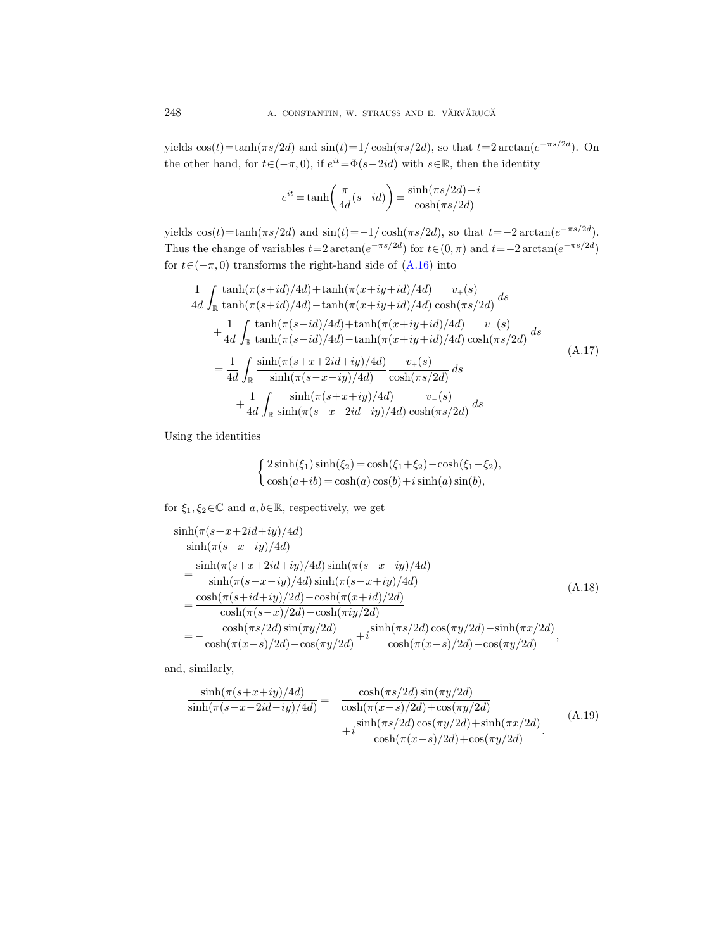yields  $cos(t) = tanh(\pi s/2d)$  and  $sin(t) = 1/cosh(\pi s/2d)$ , so that  $t = 2arctan(e^{-\pi s/2d})$ . On the other hand, for  $t \in (-\pi, 0)$ , if  $e^{it} = \Phi(s-2id)$  with  $s \in \mathbb{R}$ , then the identity

$$
e^{it} = \tanh\left(\frac{\pi}{4d}(s - id)\right) = \frac{\sinh(\pi s/2d) - i}{\cosh(\pi s/2d)}
$$

yields  $cos(t) = tanh(\pi s/2d)$  and  $sin(t) = -1/cosh(\pi s/2d)$ , so that  $t = -2arctan(e^{-\pi s/2d})$ . Thus the change of variables  $t=2 \arctan(e^{-\pi s/2d})$  for  $t \in (0, \pi)$  and  $t=-2 \arctan(e^{-\pi s/2d})$ for  $t\in(-\pi,0)$  transforms the right-hand side of  $(A.16)$  into

<span id="page-53-2"></span>
$$
\frac{1}{4d} \int_{\mathbb{R}} \frac{\tanh(\pi(s+id)/4d) + \tanh(\pi(x+iy+id)/4d)}{\tanh(\pi(s+id)/4d) - \tanh(\pi(x+iy+id)/4d)} \frac{v_{+}(s)}{\cosh(\pi s/2d)} ds \n+ \frac{1}{4d} \int_{\mathbb{R}} \frac{\tanh(\pi(s-id)/4d) + \tanh(\pi(x+iy+id)/4d)}{\tanh(\pi(s-id)/4d) - \tanh(\pi(x+iy+id)/4d)} \frac{v_{-}(s)}{\cosh(\pi s/2d)} ds \n= \frac{1}{4d} \int_{\mathbb{R}} \frac{\sinh(\pi(s+x+2id+iy)/4d)}{\sinh(\pi(s-x-iy)/4d)} \frac{v_{+}(s)}{\cosh(\pi s/2d)} ds \n+ \frac{1}{4d} \int_{\mathbb{R}} \frac{\sinh(\pi(s+x+iy)/4d)}{\sinh(\pi(s-x-2id-iy)/4d)} \frac{v_{-}(s)}{\cosh(\pi s/2d)} ds
$$
\n(A.17)

Using the identities

$$
\begin{cases} 2\sinh(\xi_1)\sinh(\xi_2) = \cosh(\xi_1 + \xi_2) - \cosh(\xi_1 - \xi_2), \\ \cosh(a+ib) = \cosh(a)\cos(b) + i\sinh(a)\sin(b), \end{cases}
$$

for  $\xi_1, \xi_2 \in \mathbb{C}$  and  $a, b \in \mathbb{R}$ , respectively, we get

<span id="page-53-0"></span>
$$
\frac{\sinh(\pi(s+x+2id+iy)/4d)}{\sinh(\pi(s-x-iy)/4d)} \n= \frac{\sinh(\pi(s+x+2id+iy)/4d)\sinh(\pi(s-x+iy)/4d)}{\sinh(\pi(s-x-iy)/4d)\sinh(\pi(s-x+iy)/4d)} \n= \frac{\cosh(\pi(s+id+iy)/2d) - \cosh(\pi(x+id)/2d)}{\cosh(\pi(s-x)/2d) - \cosh(\pi iy/2d)} \n= -\frac{\cosh(\pi s/2d)\sin(\pi y/2d)}{\cosh(\pi(x-s)/2d) - \cos(\pi y/2d)} + i\frac{\sinh(\pi s/2d)\cos(\pi y/2d) - \sinh(\pi x/2d)}{\cosh(\pi(x-s)/2d) - \cos(\pi y/2d)},
$$
\n(A.18)

and, similarly,

<span id="page-53-1"></span>
$$
\frac{\sinh(\pi(s+x+iy)/4d)}{\sinh(\pi(s-x-2id-iy)/4d)} = -\frac{\cosh(\pi s/2d)\sin(\pi y/2d)}{\cosh(\pi(x-s)/2d) + \cos(\pi y/2d)} + i\frac{\sinh(\pi s/2d)\cos(\pi y/2d) + \sinh(\pi x/2d)}{\cosh(\pi(x-s)/2d) + \cos(\pi y/2d)}.
$$
\n(A.19)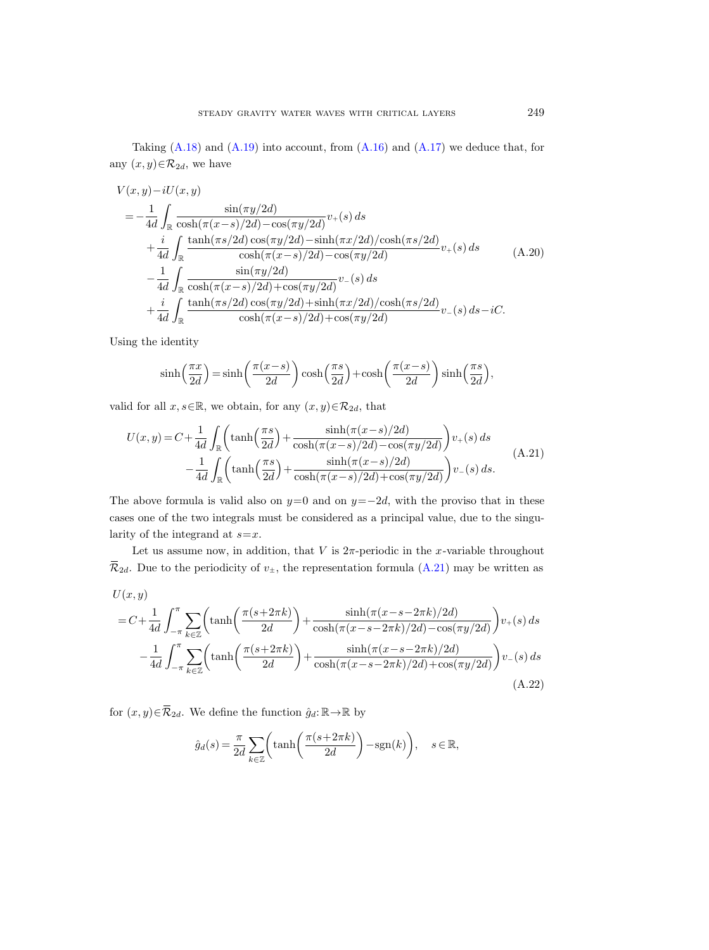Taking  $(A.18)$  and  $(A.19)$  into account, from  $(A.16)$  and  $(A.17)$  we deduce that, for any  $(x, y) \in \mathcal{R}_{2d}$ , we have

$$
V(x,y)-iU(x,y)
$$
  
=  $-\frac{1}{4d} \int_{\mathbb{R}} \frac{\sin(\pi y/2d)}{\cosh(\pi (x-s)/2d) - \cos(\pi y/2d)} v_+(s) ds$   
+  $\frac{i}{4d} \int_{\mathbb{R}} \frac{\tanh(\pi s/2d) \cos(\pi y/2d) - \sinh(\pi x/2d)/\cosh(\pi s/2d)}{\cosh(\pi (x-s)/2d) - \cos(\pi y/2d)} v_+(s) ds$   
-  $\frac{1}{4d} \int_{\mathbb{R}} \frac{\sin(\pi y/2d)}{\cosh(\pi (x-s)/2d) + \cos(\pi y/2d)} v_-(s) ds$   
+  $\frac{i}{4d} \int_{\mathbb{R}} \frac{\tanh(\pi s/2d) \cos(\pi y/2d) + \sinh(\pi x/2d)/\cosh(\pi s/2d)}{\cosh(\pi (x-s)/2d) + \cos(\pi y/2d)} v_-(s) ds - iC.$  (4.20)

Using the identity

$$
\sinh\left(\frac{\pi x}{2d}\right) = \sinh\left(\frac{\pi(x-s)}{2d}\right)\cosh\left(\frac{\pi s}{2d}\right) + \cosh\left(\frac{\pi(x-s)}{2d}\right)\sinh\left(\frac{\pi s}{2d}\right),\,
$$

valid for all  $x, s \in \mathbb{R}$ , we obtain, for any  $(x, y) \in \mathcal{R}_{2d}$ , that

<span id="page-54-0"></span>
$$
U(x,y) = C + \frac{1}{4d} \int_{\mathbb{R}} \left( \tanh\left(\frac{\pi s}{2d}\right) + \frac{\sinh(\pi(x-s)/2d)}{\cosh(\pi(x-s)/2d) - \cos(\pi y/2d)} \right) v_{+}(s) ds - \frac{1}{4d} \int_{\mathbb{R}} \left( \tanh\left(\frac{\pi s}{2d}\right) + \frac{\sinh(\pi(x-s)/2d)}{\cosh(\pi(x-s)/2d) + \cos(\pi y/2d)} \right) v_{-}(s) ds. \tag{A.21}
$$

The above formula is valid also on  $y=0$  and on  $y=-2d$ , with the proviso that in these cases one of the two integrals must be considered as a principal value, due to the singularity of the integrand at  $s=x$ .

Let us assume now, in addition, that V is  $2\pi$ -periodic in the x-variable throughout  $\overline{\mathcal{R}}_{2d}$ . Due to the periodicity of  $v_{\pm}$ , the representation formula [\(A.21\)](#page-54-0) may be written as

<span id="page-54-1"></span>
$$
U(x, y)
$$
  
=  $C + \frac{1}{4d} \int_{-\pi}^{\pi} \sum_{k \in \mathbb{Z}} \left( \tanh\left(\frac{\pi(s+2\pi k)}{2d}\right) + \frac{\sinh(\pi(x-s-2\pi k)/2d)}{\cosh(\pi(x-s-2\pi k)/2d) - \cos(\pi y/2d)} \right) v_{+}(s) ds$   

$$
- \frac{1}{4d} \int_{-\pi}^{\pi} \sum_{k \in \mathbb{Z}} \left( \tanh\left(\frac{\pi(s+2\pi k)}{2d}\right) + \frac{\sinh(\pi(x-s-2\pi k)/2d)}{\cosh(\pi(x-s-2\pi k)/2d) + \cos(\pi y/2d)} \right) v_{-}(s) ds
$$
(A.22)

for  $(x, y) \in \overline{\mathcal{R}}_{2d}$ . We define the function  $\hat{g}_d : \mathbb{R} \to \mathbb{R}$  by

$$
\hat{g}_d(s) = \frac{\pi}{2d} \sum_{k \in \mathbb{Z}} \left( \tanh\left(\frac{\pi(s + 2\pi k)}{2d}\right) - \text{sgn}(k) \right), \quad s \in \mathbb{R},
$$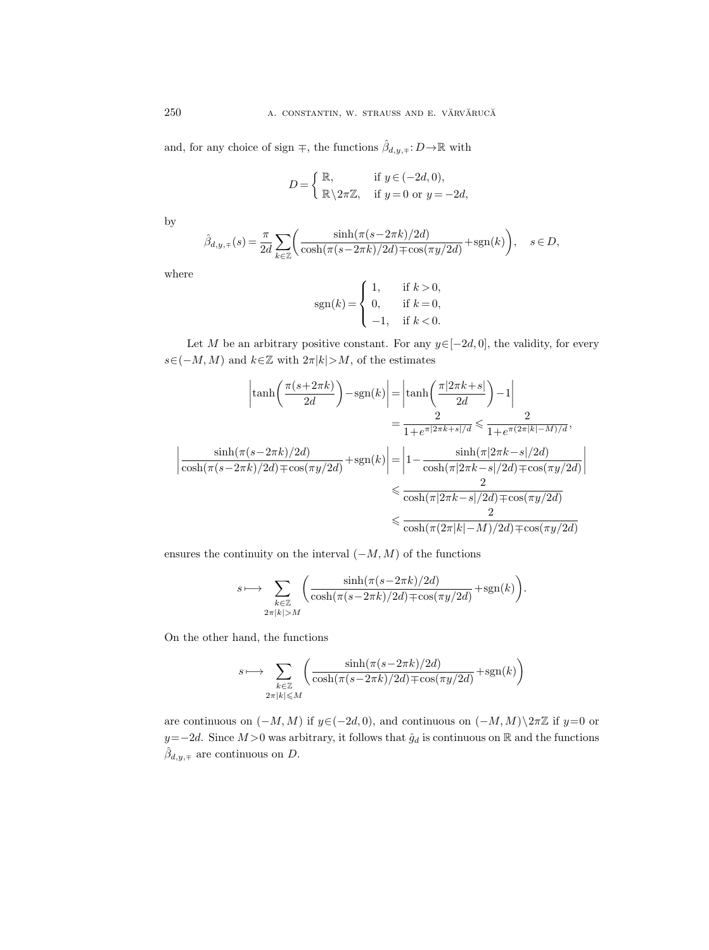and, for any choice of sign  $\mp$ , the functions  $\hat{\beta}_{d,y,\mp}$ :  $D \rightarrow \mathbb{R}$  with

$$
D = \begin{cases} \mathbb{R}, & \text{if } y \in (-2d, 0), \\ \mathbb{R} \setminus 2\pi \mathbb{Z}, & \text{if } y = 0 \text{ or } y = -2d, \end{cases}
$$

by

$$
\hat{\beta}_{d,y,\mp}(s) = \frac{\pi}{2d} \sum_{k \in \mathbb{Z}} \biggl( \frac{\sinh(\pi(s-2\pi k)/2d)}{\cosh(\pi(s-2\pi k)/2d)\mp \cos(\pi y/2d)} + \text{sgn}(k) \biggr), \quad s \in D,
$$

where

$$
sgn(k) = \begin{cases} 1, & \text{if } k > 0, \\ 0, & \text{if } k = 0, \\ -1, & \text{if } k < 0. \end{cases}
$$

Let M be an arbitrary positive constant. For any  $y \in [-2d, 0]$ , the validity, for every  $s\in(-M, M)$  and  $k\in\mathbb{Z}$  with  $2\pi|k|>M$ , of the estimates

$$
\left|\tanh\left(\frac{\pi(s+2\pi k)}{2d}\right) - \operatorname{sgn}(k)\right| = \left|\tanh\left(\frac{\pi|2\pi k + s|}{2d}\right) - 1\right|
$$

$$
= \frac{2}{1 + e^{\pi|2\pi k + s|/d}} \le \frac{2}{1 + e^{\pi(2\pi|k| - M)/d}},
$$

$$
\left|\frac{\sinh(\pi(s-2\pi k)/2d)}{\cosh(\pi(s-2\pi k)/2d) \mp \cos(\pi y/2d)}\right| + \operatorname{sgn}(k)\right| = \left|1 - \frac{\sinh(\pi|2\pi k - s|/2d)}{\cosh(\pi|2\pi k - s|/2d) \mp \cos(\pi y/2d)}\right|
$$

$$
\le \frac{2}{\cosh(\pi|2\pi k - s|/2d) \mp \cos(\pi y/2d)}
$$

$$
\le \frac{2}{\cosh(\pi(2\pi|k| - M)/2d) \mp \cos(\pi y/2d)}
$$

ensures the continuity on the interval  $(-M, M)$  of the functions

$$
s \longmapsto \sum_{\substack{k \in \mathbb{Z} \\ 2\pi |k| > M}} \left( \frac{\sinh(\pi(s - 2\pi k)/2d)}{\cosh(\pi(s - 2\pi k)/2d) \mp \cos(\pi y/2d)} + \operatorname{sgn}(k) \right).
$$

On the other hand, the functions

$$
s\longmapsto \sum_{\substack{k\in\mathbb{Z}\\2\pi|k|\leqslant M}}\left(\frac{\sinh(\pi(s-2\pi k)/2d)}{\cosh(\pi(s-2\pi k)/2d)\mp\cos(\pi y/2d)}+\operatorname{sgn}(k)\right)
$$

are continuous on  $(-M, M)$  if  $y \in (-2d, 0)$ , and continuous on  $(-M, M) \ge \pi \mathbb{Z}$  if  $y=0$  or  $y=-2d$ . Since  $M>0$  was arbitrary, it follows that  $\hat{g}_d$  is continuous on R and the functions  $\hat{\beta}_{d,y,\mp}$  are continuous on D.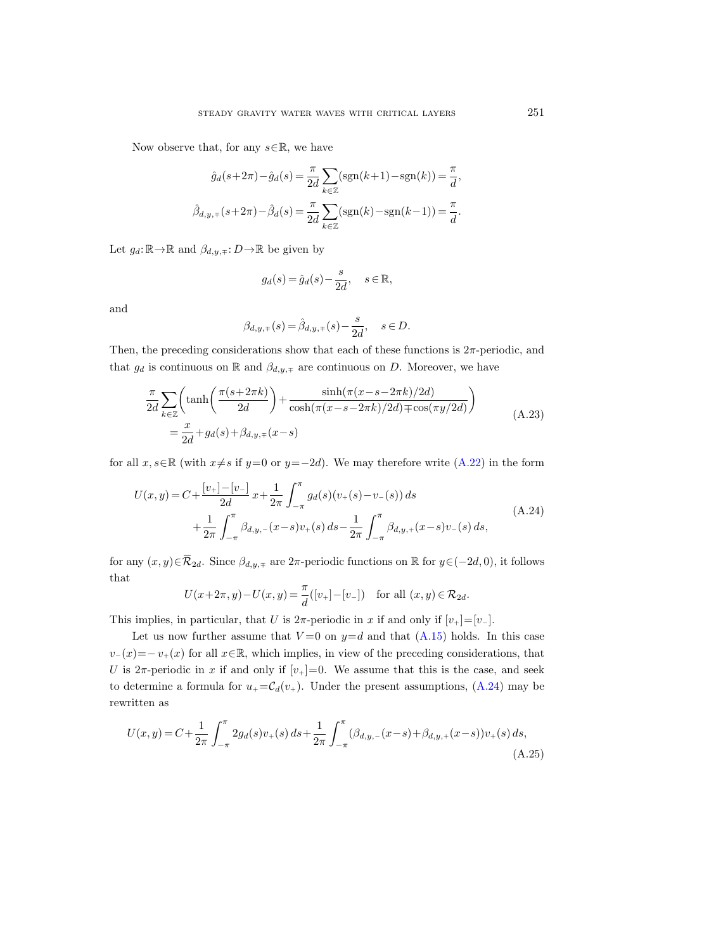Now observe that, for any  $s \in \mathbb{R}$ , we have

$$
\hat{g}_d(s+2\pi) - \hat{g}_d(s) = \frac{\pi}{2d} \sum_{k \in \mathbb{Z}} (\text{sgn}(k+1) - \text{sgn}(k)) = \frac{\pi}{d},
$$

$$
\hat{\beta}_{d,y,\mp}(s+2\pi) - \hat{\beta}_d(s) = \frac{\pi}{2d} \sum_{k \in \mathbb{Z}} (\text{sgn}(k) - \text{sgn}(k-1)) = \frac{\pi}{d}.
$$

Let  $g_d: \mathbb{R} \to \mathbb{R}$  and  $\beta_{d,y,\mp}: D \to \mathbb{R}$  be given by

$$
g_d(s) = \hat{g}_d(s) - \frac{s}{2d}, \quad s \in \mathbb{R},
$$

and

$$
\beta_{d,y,\mp}(s) = \hat{\beta}_{d,y,\mp}(s) - \frac{s}{2d}, \quad s \in D.
$$

Then, the preceding considerations show that each of these functions is  $2\pi$ -periodic, and that  $g_d$  is continuous on R and  $\beta_{d,y,\mp}$  are continuous on D. Moreover, we have

$$
\frac{\pi}{2d} \sum_{k \in \mathbb{Z}} \left( \tanh\left(\frac{\pi(s+2\pi k)}{2d}\right) + \frac{\sinh(\pi(x-s-2\pi k)/2d)}{\cosh(\pi(x-s-2\pi k)/2d) + \cos(\pi y/2d)} \right)
$$
\n
$$
= \frac{x}{2d} + g_d(s) + \beta_{d,y,\mp}(x-s)
$$
\n(A.23)

for all  $x, s \in \mathbb{R}$  (with  $x \neq s$  if  $y=0$  or  $y=-2d$ ). We may therefore write [\(A.22\)](#page-54-1) in the form

<span id="page-56-0"></span>
$$
U(x,y) = C + \frac{\left[v_+\right] - \left[v_-\right]}{2d} x + \frac{1}{2\pi} \int_{-\pi}^{\pi} g_d(s) (v_+(s) - v_-(s)) ds
$$
  
+ 
$$
\frac{1}{2\pi} \int_{-\pi}^{\pi} \beta_{d,y,-}(x-s) v_+(s) ds - \frac{1}{2\pi} \int_{-\pi}^{\pi} \beta_{d,y,+}(x-s) v_-(s) ds,
$$
 (A.24)

for any  $(x, y) \in \overline{\mathcal{R}}_{2d}$ . Since  $\beta_{d, y, \mp}$  are  $2\pi$ -periodic functions on  $\mathbb{R}$  for  $y \in (-2d, 0)$ , it follows that

$$
U(x+2\pi, y) - U(x, y) = \frac{\pi}{d}([v_+] - [v_-]) \text{ for all } (x, y) \in \mathcal{R}_{2d}.
$$

This implies, in particular, that U is  $2\pi$ -periodic in x if and only if  $[v_{+}]=[v_{-}].$ 

Let us now further assume that  $V=0$  on  $y=d$  and that  $(A.15)$  holds. In this case  $v_-(x)=-v_+(x)$  for all  $x\in\mathbb{R}$ , which implies, in view of the preceding considerations, that U is  $2\pi$ -periodic in x if and only if  $[v_+] = 0$ . We assume that this is the case, and seek to determine a formula for  $u_+ = C_d(v_+)$ . Under the present assumptions, [\(A.24\)](#page-56-0) may be rewritten as

$$
U(x,y) = C + \frac{1}{2\pi} \int_{-\pi}^{\pi} 2g_d(s)v_+(s) \, ds + \frac{1}{2\pi} \int_{-\pi}^{\pi} (\beta_{d,y,-}(x-s) + \beta_{d,y,+}(x-s))v_+(s) \, ds,
$$
\n(A.25)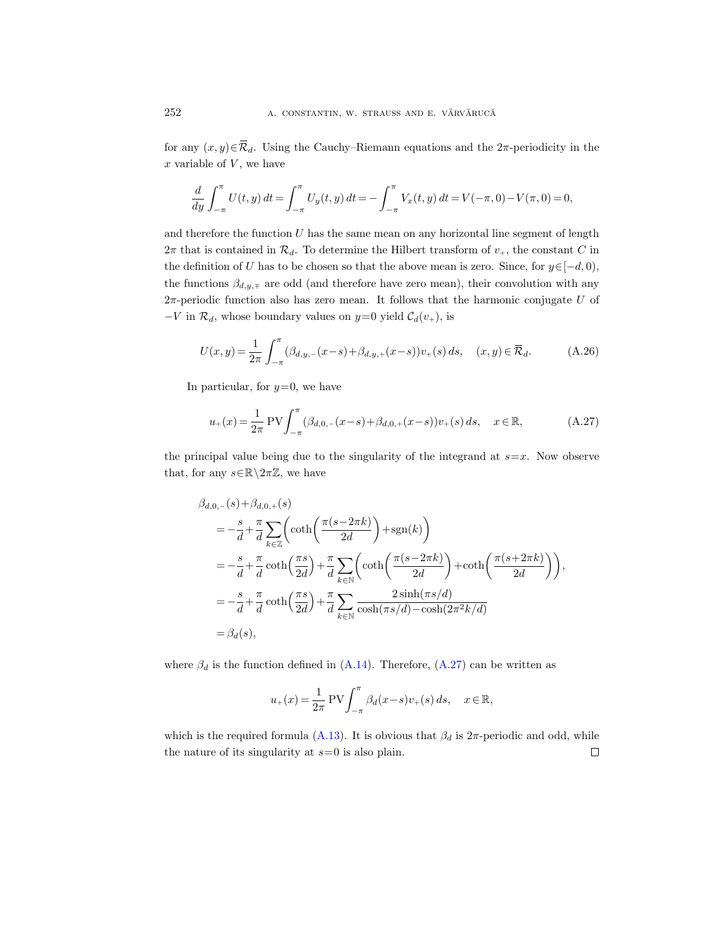for any  $(x, y) \in \overline{\mathcal{R}}_d$ . Using the Cauchy–Riemann equations and the 2π-periodicity in the  $x$  variable of  $V$ , we have

$$
\frac{d}{dy} \int_{-\pi}^{\pi} U(t, y) dt = \int_{-\pi}^{\pi} U_y(t, y) dt = - \int_{-\pi}^{\pi} V_x(t, y) dt = V(-\pi, 0) - V(\pi, 0) = 0,
$$

and therefore the function  $U$  has the same mean on any horizontal line segment of length  $2\pi$  that is contained in  $\mathcal{R}_d$ . To determine the Hilbert transform of  $v_+$ , the constant C in the definition of U has to be chosen so that the above mean is zero. Since, for  $y \in [-d, 0)$ , the functions  $\beta_{d,y,\mp}$  are odd (and therefore have zero mean), their convolution with any  $2\pi$ -periodic function also has zero mean. It follows that the harmonic conjugate U of  $-V$  in  $\mathcal{R}_d$ , whose boundary values on  $y=0$  yield  $\mathcal{C}_d(v_+)$ , is

$$
U(x,y) = \frac{1}{2\pi} \int_{-\pi}^{\pi} (\beta_{d,y,-}(x-s) + \beta_{d,y,+}(x-s))v_+(s) ds, \quad (x,y) \in \overline{\mathcal{R}}_d.
$$
 (A.26)

In particular, for  $y=0$ , we have

<span id="page-57-0"></span>
$$
u_{+}(x) = \frac{1}{2\pi} \text{PV} \int_{-\pi}^{\pi} (\beta_{d,0,-}(x-s) + \beta_{d,0,+}(x-s)) v_{+}(s) \, ds, \quad x \in \mathbb{R}, \tag{A.27}
$$

the principal value being due to the singularity of the integrand at  $s=x$ . Now observe that, for any  $s \in \mathbb{R} \backslash 2\pi \mathbb{Z}$ , we have

$$
\beta_{d,0,-}(s) + \beta_{d,0,+}(s)
$$
\n
$$
= -\frac{s}{d} + \frac{\pi}{d} \sum_{k \in \mathbb{Z}} \left( \coth\left(\frac{\pi(s - 2\pi k)}{2d}\right) + \operatorname{sgn}(k) \right)
$$
\n
$$
= -\frac{s}{d} + \frac{\pi}{d} \coth\left(\frac{\pi s}{2d}\right) + \frac{\pi}{d} \sum_{k \in \mathbb{N}} \left( \coth\left(\frac{\pi(s - 2\pi k)}{2d}\right) + \coth\left(\frac{\pi(s + 2\pi k)}{2d}\right) \right),
$$
\n
$$
= -\frac{s}{d} + \frac{\pi}{d} \coth\left(\frac{\pi s}{2d}\right) + \frac{\pi}{d} \sum_{k \in \mathbb{N}} \frac{2 \sinh(\pi s/d)}{\cosh(\pi s/d) - \cosh(2\pi^2 k/d)}
$$
\n
$$
= \beta_d(s),
$$

where  $\beta_d$  is the function defined in [\(A.14\)](#page-51-0). Therefore, [\(A.27\)](#page-57-0) can be written as

$$
u_+(x) = \frac{1}{2\pi} \text{PV} \int_{-\pi}^{\pi} \beta_d(x-s) v_+(s) \, ds, \quad x \in \mathbb{R},
$$

which is the required formula [\(A.13\)](#page-51-1). It is obvious that  $\beta_d$  is  $2\pi$ -periodic and odd, while the nature of its singularity at  $s=0$  is also plain.  $\Box$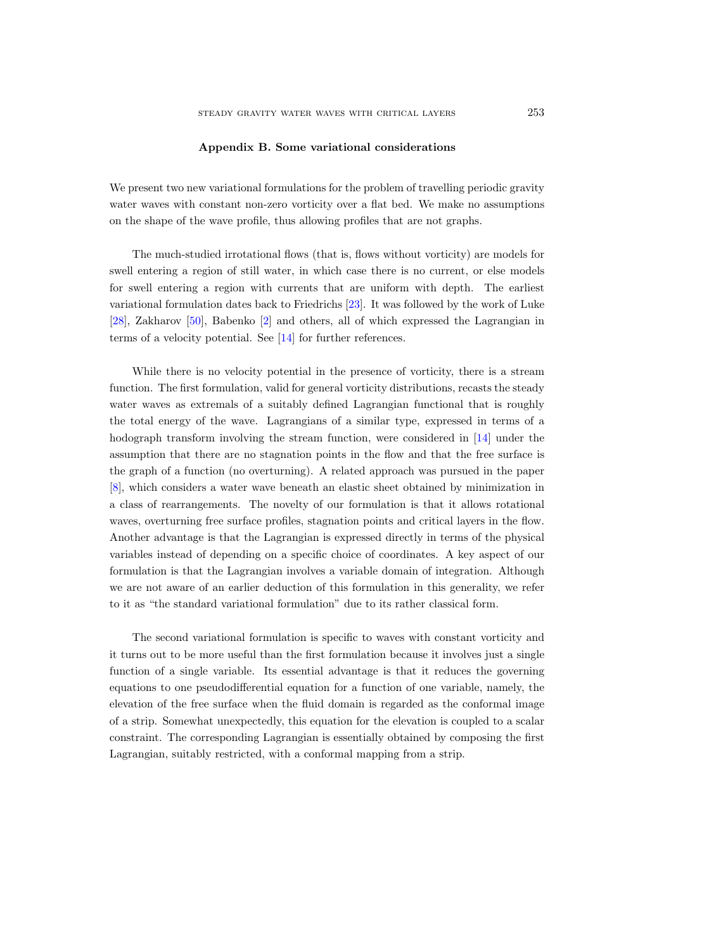## Appendix B. Some variational considerations

<span id="page-58-0"></span>We present two new variational formulations for the problem of travelling periodic gravity water waves with constant non-zero vorticity over a flat bed. We make no assumptions on the shape of the wave profile, thus allowing profiles that are not graphs.

The much-studied irrotational flows (that is, flows without vorticity) are models for swell entering a region of still water, in which case there is no current, or else models for swell entering a region with currents that are uniform with depth. The earliest variational formulation dates back to Friedrichs [\[23\]](#page-65-19). It was followed by the work of Luke [\[28\]](#page-66-20), Zakharov [\[50\]](#page-67-1), Babenko [\[2\]](#page-65-8) and others, all of which expressed the Lagrangian in terms of a velocity potential. See [\[14\]](#page-65-20) for further references.

While there is no velocity potential in the presence of vorticity, there is a stream function. The first formulation, valid for general vorticity distributions, recasts the steady water waves as extremals of a suitably defined Lagrangian functional that is roughly the total energy of the wave. Lagrangians of a similar type, expressed in terms of a hodograph transform involving the stream function, were considered in [\[14\]](#page-65-20) under the assumption that there are no stagnation points in the flow and that the free surface is the graph of a function (no overturning). A related approach was pursued in the paper [\[8\]](#page-65-21), which considers a water wave beneath an elastic sheet obtained by minimization in a class of rearrangements. The novelty of our formulation is that it allows rotational waves, overturning free surface profiles, stagnation points and critical layers in the flow. Another advantage is that the Lagrangian is expressed directly in terms of the physical variables instead of depending on a specific choice of coordinates. A key aspect of our formulation is that the Lagrangian involves a variable domain of integration. Although we are not aware of an earlier deduction of this formulation in this generality, we refer to it as "the standard variational formulation" due to its rather classical form.

The second variational formulation is specific to waves with constant vorticity and it turns out to be more useful than the first formulation because it involves just a single function of a single variable. Its essential advantage is that it reduces the governing equations to one pseudodifferential equation for a function of one variable, namely, the elevation of the free surface when the fluid domain is regarded as the conformal image of a strip. Somewhat unexpectedly, this equation for the elevation is coupled to a scalar constraint. The corresponding Lagrangian is essentially obtained by composing the first Lagrangian, suitably restricted, with a conformal mapping from a strip.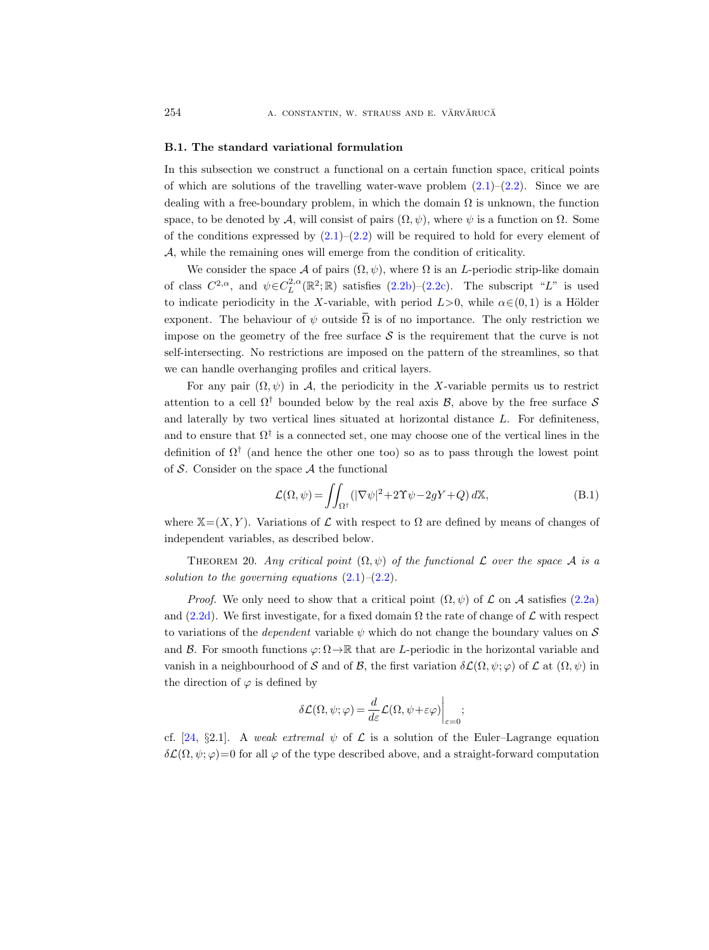#### <span id="page-59-0"></span>B.1. The standard variational formulation

In this subsection we construct a functional on a certain function space, critical points of which are solutions of the travelling water-wave problem  $(2.1)$ – $(2.2)$ . Since we are dealing with a free-boundary problem, in which the domain  $\Omega$  is unknown, the function space, to be denoted by A, will consist of pairs  $(\Omega, \psi)$ , where  $\psi$  is a function on  $\Omega$ . Some of the conditions expressed by  $(2.1)$ – $(2.2)$  will be required to hold for every element of A, while the remaining ones will emerge from the condition of criticality.

We consider the space A of pairs  $(\Omega, \psi)$ , where  $\Omega$  is an L-periodic strip-like domain of class  $C^{2,\alpha}$ , and  $\psi \in C_L^{2,\alpha}(\mathbb{R}^2;\mathbb{R})$  satisfies  $(2.2b)-(2.2c)$  $(2.2b)-(2.2c)$  $(2.2b)-(2.2c)$ . The subscript "L" is used to indicate periodicity in the X-variable, with period  $L>0$ , while  $\alpha \in (0,1)$  is a Hölder exponent. The behaviour of  $\psi$  outside  $\overline{\Omega}$  is of no importance. The only restriction we impose on the geometry of the free surface  $\mathcal S$  is the requirement that the curve is not self-intersecting. No restrictions are imposed on the pattern of the streamlines, so that we can handle overhanging profiles and critical layers.

For any pair  $(\Omega, \psi)$  in A, the periodicity in the X-variable permits us to restrict attention to a cell  $\Omega^{\dagger}$  bounded below by the real axis B, above by the free surface S and laterally by two vertical lines situated at horizontal distance  $L$ . For definiteness, and to ensure that  $\Omega^{\dagger}$  is a connected set, one may choose one of the vertical lines in the definition of  $\Omega^{\dagger}$  (and hence the other one too) so as to pass through the lowest point of  $S$ . Consider on the space  $A$  the functional

<span id="page-59-2"></span>
$$
\mathcal{L}(\Omega, \psi) = \iint_{\Omega^{\dagger}} (|\nabla \psi|^2 + 2\Upsilon \psi - 2gY + Q) d\mathbb{X},
$$
 (B.1)

where  $X=(X, Y)$ . Variations of  $\mathcal L$  with respect to  $\Omega$  are defined by means of changes of independent variables, as described below.

<span id="page-59-1"></span>THEOREM 20. Any critical point  $(\Omega, \psi)$  of the functional L over the space A is a solution to the governing equations  $(2.1)$ – $(2.2)$ .

*Proof.* We only need to show that a critical point  $(\Omega, \psi)$  of  $\mathcal L$  on  $\mathcal A$  satisfies [\(2.2a\)](#page-5-6) and [\(2.2d\)](#page-5-1). We first investigate, for a fixed domain  $\Omega$  the rate of change of  $\mathcal L$  with respect to variations of the *dependent* variable  $\psi$  which do not change the boundary values on S and B. For smooth functions  $\varphi: \Omega \to \mathbb{R}$  that are L-periodic in the horizontal variable and vanish in a neighbourhood of S and of B, the first variation  $\delta\mathcal{L}(\Omega,\psi;\varphi)$  of  $\mathcal{L}$  at  $(\Omega,\psi)$  in the direction of  $\varphi$  is defined by

$$
\delta \mathcal{L}(\Omega, \psi; \varphi) = \frac{d}{d\varepsilon} \mathcal{L}(\Omega, \psi + \varepsilon \varphi) \Big|_{\varepsilon=0};
$$

cf. [\[24,](#page-66-21) §2.1]. A weak extremal  $\psi$  of  $\mathcal L$  is a solution of the Euler–Lagrange equation  $\delta\mathcal{L}(\Omega,\psi;\varphi)=0$  for all  $\varphi$  of the type described above, and a straight-forward computation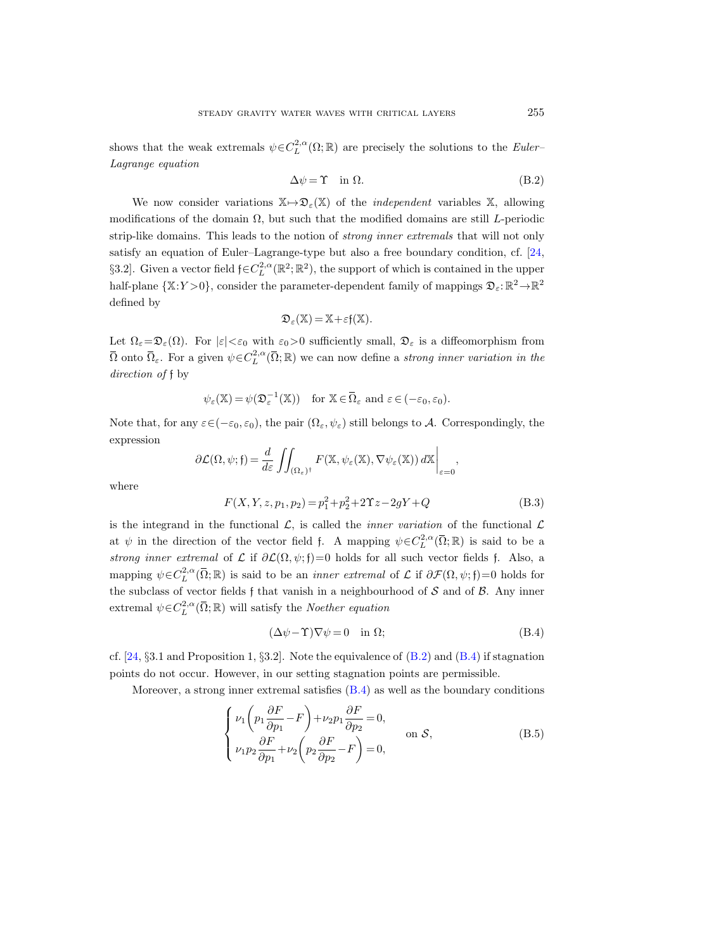shows that the weak extremals  $\psi \in C^{2,\alpha}_{L}(\Omega;\mathbb{R})$  are precisely the solutions to the *Euler*-Lagrange equation

<span id="page-60-0"></span>
$$
\Delta \psi = \Upsilon \quad \text{in } \Omega. \tag{B.2}
$$

We now consider variations  $X \mapsto \mathfrak{D}_{\varepsilon}(X)$  of the *independent* variables X, allowing modifications of the domain  $\Omega$ , but such that the modified domains are still L-periodic strip-like domains. This leads to the notion of strong inner extremals that will not only satisfy an equation of Euler–Lagrange-type but also a free boundary condition, cf. [\[24,](#page-66-21) §3.2]. Given a vector field  $\mathfrak{f} \in C_L^{2,\alpha}(\mathbb{R}^2;\mathbb{R}^2)$ , the support of which is contained in the upper half-plane  $\{X:Y>0\}$ , consider the parameter-dependent family of mappings  $\mathfrak{D}_{\varepsilon}:\mathbb{R}^2\to\mathbb{R}^2$ defined by

$$
\mathfrak{D}_{\varepsilon}(\mathbb{X}) = \mathbb{X} + \varepsilon f(\mathbb{X}).
$$

Let  $\Omega_{\varepsilon}=\mathfrak{D}_{\varepsilon}(\Omega)$ . For  $|\varepsilon|<\varepsilon_0$  with  $\varepsilon_0>0$  sufficiently small,  $\mathfrak{D}_{\varepsilon}$  is a diffeomorphism from  $\overline{\Omega}$  onto  $\overline{\Omega}_{\varepsilon}$ . For a given  $\psi \in C^{2,\alpha}_{L}(\overline{\Omega};\mathbb{R})$  we can now define a *strong inner variation in the* direction of f by

$$
\psi_{\varepsilon}(\mathbb{X}) = \psi(\mathfrak{D}_{\varepsilon}^{-1}(\mathbb{X})) \text{ for } \mathbb{X} \in \overline{\Omega}_{\varepsilon} \text{ and } \varepsilon \in (-\varepsilon_0, \varepsilon_0).
$$

Note that, for any  $\varepsilon \in (-\varepsilon_0, \varepsilon_0)$ , the pair  $(\Omega_{\varepsilon}, \psi_{\varepsilon})$  still belongs to A. Correspondingly, the expression

$$
\partial \mathcal{L}(\Omega, \psi; \mathfrak{f}) = \frac{d}{d\varepsilon} \iint_{(\Omega_{\varepsilon})^{\dagger}} F(\mathbb{X}, \psi_{\varepsilon}(\mathbb{X}), \nabla \psi_{\varepsilon}(\mathbb{X})) d\mathbb{X} \bigg|_{\varepsilon=0},
$$

where

<span id="page-60-2"></span>
$$
F(X, Y, z, p_1, p_2) = p_1^2 + p_2^2 + 2\Upsilon z - 2gY + Q \tag{B.3}
$$

is the integrand in the functional  $\mathcal{L}$ , is called the *inner variation* of the functional  $\mathcal{L}$ at  $\psi$  in the direction of the vector field f. A mapping  $\psi \in C_L^{2,\alpha}(\overline{\Omega};\mathbb{R})$  is said to be a strong inner extremal of  $\mathcal L$  if  $\partial \mathcal L(\Omega, \psi; \mathfrak{f})=0$  holds for all such vector fields f. Also, a mapping  $\psi \in C^{2,\alpha}_L(\overline{\Omega};\mathbb{R})$  is said to be an *inner extremal* of  $\mathcal L$  if  $\partial \mathcal F(\Omega,\psi;\mathfrak f)=0$  holds for the subclass of vector fields f that vanish in a neighbourhood of  $S$  and of  $B$ . Any inner extremal  $\psi \in C^{2,\alpha}_L(\overline{\Omega};\mathbb{R})$  will satisfy the *Noether equation* 

<span id="page-60-1"></span>
$$
(\Delta \psi - \Upsilon)\nabla \psi = 0 \quad \text{in } \Omega; \tag{B.4}
$$

cf.  $[24, §3.1]$  $[24, §3.1]$  and Proposition 1, §3.2]. Note the equivalence of  $(B.2)$  and  $(B.4)$  if stagnation points do not occur. However, in our setting stagnation points are permissible.

Moreover, a strong inner extremal satisfies  $(B.4)$  as well as the boundary conditions

<span id="page-60-3"></span>
$$
\begin{cases}\n\nu_1 \left( p_1 \frac{\partial F}{\partial p_1} - F \right) + \nu_2 p_1 \frac{\partial F}{\partial p_2} = 0, \\
\nu_1 p_2 \frac{\partial F}{\partial p_1} + \nu_2 \left( p_2 \frac{\partial F}{\partial p_2} - F \right) = 0,\n\end{cases}
$$
 on  $\mathcal{S}$ , (B.5)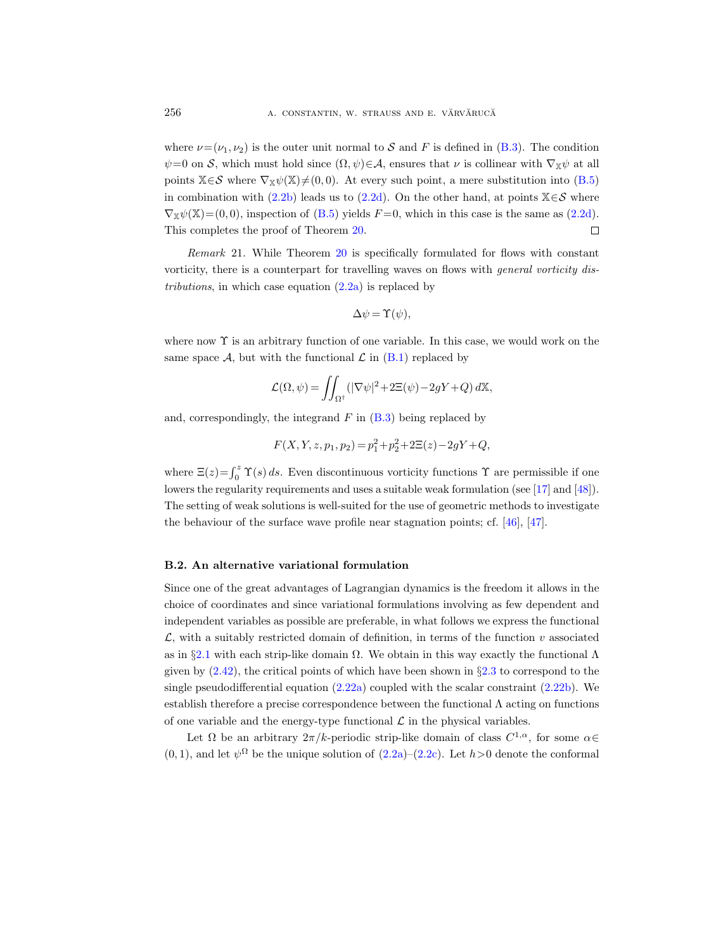where  $\nu=(\nu_1,\nu_2)$  is the outer unit normal to S and F is defined in [\(B.3\)](#page-60-2). The condition  $\psi=0$  on S, which must hold since  $(\Omega, \psi) \in \mathcal{A}$ , ensures that  $\nu$  is collinear with  $\nabla_{\mathbb{X}} \psi$  at all points  $X \in \mathcal{S}$  where  $\nabla_X \psi(X) \neq (0, 0)$ . At every such point, a mere substitution into [\(B.5\)](#page-60-3) in combination with [\(2.2b\)](#page-5-8) leads us to [\(2.2d\)](#page-5-1). On the other hand, at points  $\mathbb{X} \in \mathcal{S}$  where  $\nabla_{\mathbb{X}} \psi(\mathbb{X}) = (0, 0)$ , inspection of [\(B.5\)](#page-60-3) yields  $F = 0$ , which in this case is the same as [\(2.2d\)](#page-5-1).  $\Box$ This completes the proof of Theorem [20.](#page-59-1)

Remark 21. While Theorem [20](#page-59-1) is specifically formulated for flows with constant vorticity, there is a counterpart for travelling waves on flows with general vorticity distributions, in which case equation  $(2.2a)$  is replaced by

$$
\Delta \psi = \Upsilon(\psi),
$$

where now  $\Upsilon$  is an arbitrary function of one variable. In this case, we would work on the same space A, but with the functional  $\mathcal L$  in  $(B.1)$  replaced by

$$
\mathcal{L}(\Omega, \psi) = \iint_{\Omega^{\dagger}} (|\nabla \psi|^2 + 2\Xi(\psi) - 2gY + Q) d\mathbb{X},
$$

and, correspondingly, the integrand  $F$  in  $(B.3)$  being replaced by

$$
F(X, Y, z, p_1, p_2) = p_1^2 + p_2^2 + 2\Xi(z) - 2gY + Q,
$$

where  $\Xi(z) = \int_0^z \Upsilon(s) ds$ . Even discontinuous vorticity functions  $\Upsilon$  are permissible if one lowers the regularity requirements and uses a suitable weak formulation (see [\[17\]](#page-65-22) and [\[48\]](#page-67-2)). The setting of weak solutions is well-suited for the use of geometric methods to investigate the behaviour of the surface wave profile near stagnation points; cf. [\[46\]](#page-66-22), [\[47\]](#page-66-23).

## <span id="page-61-0"></span>B.2. An alternative variational formulation

Since one of the great advantages of Lagrangian dynamics is the freedom it allows in the choice of coordinates and since variational formulations involving as few dependent and independent variables as possible are preferable, in what follows we express the functional  $\mathcal{L}$ , with a suitably restricted domain of definition, in terms of the function v associated as in §[2.1](#page-6-0) with each strip-like domain  $\Omega$ . We obtain in this way exactly the functional  $\Lambda$ given by  $(2.42)$ , the critical points of which have been shown in §[2.3](#page-13-0) to correspond to the single pseudodifferential equation  $(2.22a)$  coupled with the scalar constraint  $(2.22b)$ . We establish therefore a precise correspondence between the functional  $\Lambda$  acting on functions of one variable and the energy-type functional  $\mathcal L$  in the physical variables.

Let  $\Omega$  be an arbitrary  $2\pi/k$ -periodic strip-like domain of class  $C^{1,\alpha}$ , for some  $\alpha \in$  $(0, 1)$ , and let  $\psi^{\Omega}$  be the unique solution of  $(2.2a)-(2.2c)$  $(2.2a)-(2.2c)$  $(2.2a)-(2.2c)$ . Let  $h>0$  denote the conformal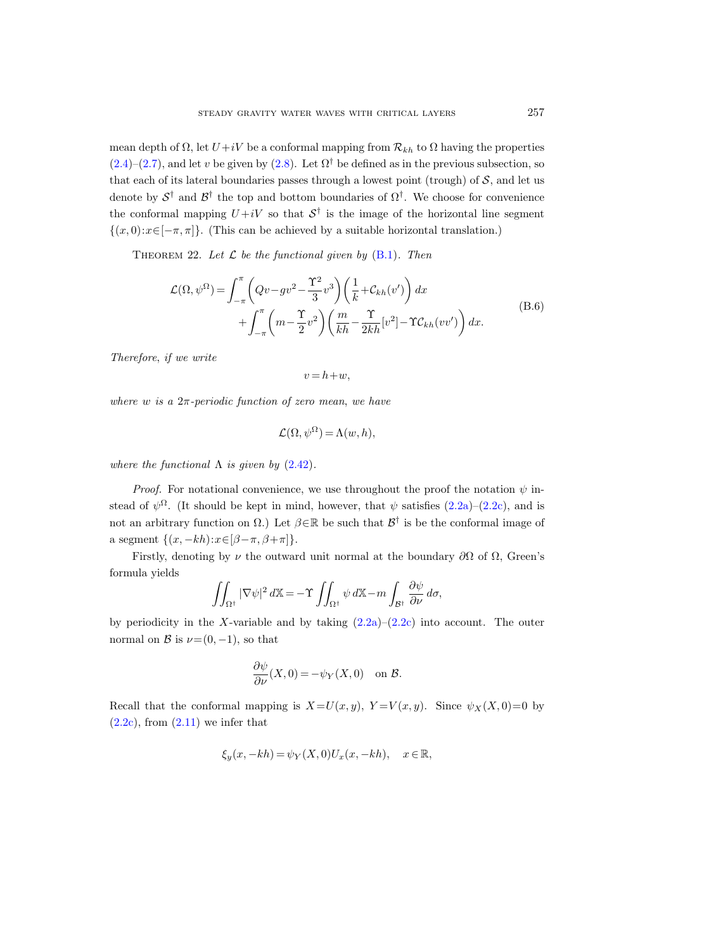mean depth of  $\Omega$ , let  $U+iV$  be a conformal mapping from  $\mathcal{R}_{kh}$  to  $\Omega$  having the properties  $(2.4)$ – $(2.7)$ , and let v be given by  $(2.8)$ . Let  $\Omega^{\dagger}$  be defined as in the previous subsection, so that each of its lateral boundaries passes through a lowest point (trough) of  $S$ , and let us denote by  $S^{\dagger}$  and  $\mathcal{B}^{\dagger}$  the top and bottom boundaries of  $\Omega^{\dagger}$ . We choose for convenience the conformal mapping  $U+iV$  so that  $S^{\dagger}$  is the image of the horizontal line segment  $\{(x, 0): x \in [-\pi, \pi]\}.$  (This can be achieved by a suitable horizontal translation.)

<span id="page-62-0"></span>THEOREM 22. Let  $\mathcal L$  be the functional given by  $(B.1)$ . Then

$$
\mathcal{L}(\Omega, \psi^{\Omega}) = \int_{-\pi}^{\pi} \left( Qv - gv^2 - \frac{\Upsilon^2}{3} v^3 \right) \left( \frac{1}{k} + \mathcal{C}_{kh}(v') \right) dx \n+ \int_{-\pi}^{\pi} \left( m - \frac{\Upsilon}{2} v^2 \right) \left( \frac{m}{kh} - \frac{\Upsilon}{2kh} [v^2] - \Upsilon \mathcal{C}_{kh}(vv') \right) dx.
$$
\n(B.6)

Therefore, if we write

 $v = h + w$ ,

where w is a  $2\pi$ -periodic function of zero mean, we have

$$
\mathcal{L}(\Omega, \psi^{\Omega}) = \Lambda(w, h),
$$

where the functional  $\Lambda$  is given by  $(2.42)$ .

*Proof.* For notational convenience, we use throughout the proof the notation  $\psi$  instead of  $\psi^{\Omega}$ . (It should be kept in mind, however, that  $\psi$  satisfies  $(2.2a)-(2.2c)$  $(2.2a)-(2.2c)$  $(2.2a)-(2.2c)$ , and is not an arbitrary function on  $\Omega$ .) Let  $\beta \in \mathbb{R}$  be such that  $\mathcal{B}^{\dagger}$  is be the conformal image of a segment  $\{(x, -kh):x\in[\beta-\pi,\beta+\pi]\}.$ 

Firstly, denoting by  $\nu$  the outward unit normal at the boundary  $\partial\Omega$  of  $\Omega$ , Green's formula yields

$$
\iint_{\Omega^{\dagger}} |\nabla \psi|^2 d\mathbb{X} = -\Upsilon \iint_{\Omega^{\dagger}} \psi d\mathbb{X} - m \int_{\mathcal{B}^{\dagger}} \frac{\partial \psi}{\partial \nu} d\sigma,
$$

by periodicity in the X-variable and by taking  $(2.2a)-(2.2c)$  $(2.2a)-(2.2c)$  $(2.2a)-(2.2c)$  into account. The outer normal on B is  $\nu=(0,-1)$ , so that

$$
\frac{\partial \psi}{\partial \nu}(X,0) = -\psi_Y(X,0) \quad \text{on } \mathcal{B}.
$$

Recall that the conformal mapping is  $X=U(x, y)$ ,  $Y=V(x, y)$ . Since  $\psi_X(X, 0)=0$  by  $(2.2c)$ , from  $(2.11)$  we infer that

$$
\xi_y(x, -kh) = \psi_Y(X, 0)U_x(x, -kh), \quad x \in \mathbb{R},
$$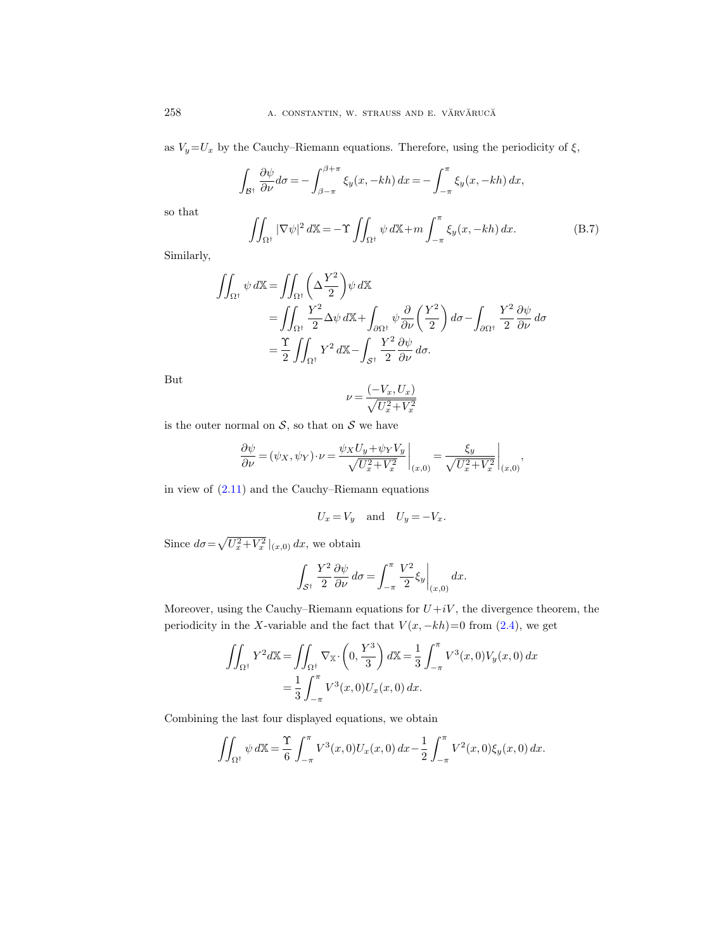as  $V_y=U_x$  by the Cauchy–Riemann equations. Therefore, using the periodicity of  $\xi$ ,

<span id="page-63-0"></span>
$$
\int_{\mathcal{B}^{\dagger}} \frac{\partial \psi}{\partial \nu} d\sigma = -\int_{\beta - \pi}^{\beta + \pi} \xi_y(x, -kh) dx = -\int_{-\pi}^{\pi} \xi_y(x, -kh) dx,
$$

$$
\iint_{\Omega^{\dagger}} |\nabla \psi|^2 d\mathbb{X} = -\Upsilon \iint_{\Omega^{\dagger}} \psi d\mathbb{X} + m \int_{-\pi}^{\pi} \xi_y(x, -kh) dx.
$$
(B.7)

Similarly,

so that

$$
\iint_{\Omega^{\dagger}} \psi \, d\mathbb{X} = \iint_{\Omega^{\dagger}} \left( \Delta \frac{Y^2}{2} \right) \psi \, d\mathbb{X}
$$
  
= 
$$
\iint_{\Omega^{\dagger}} \frac{Y^2}{2} \Delta \psi \, d\mathbb{X} + \int_{\partial \Omega^{\dagger}} \psi \frac{\partial}{\partial \nu} \left( \frac{Y^2}{2} \right) d\sigma - \int_{\partial \Omega^{\dagger}} \frac{Y^2}{2} \frac{\partial \psi}{\partial \nu} d\sigma
$$
  
= 
$$
\frac{\Upsilon}{2} \iint_{\Omega^{\dagger}} Y^2 \, d\mathbb{X} - \int_{S^{\dagger}} \frac{Y^2}{2} \frac{\partial \psi}{\partial \nu} d\sigma.
$$

But

$$
\nu=\frac{(-V_x,U_x)}{\sqrt{U_x^2+V_x^2}}
$$

is the outer normal on  $S$ , so that on  $S$  we have

$$
\frac{\partial \psi}{\partial \nu} = (\psi_X, \psi_Y) \cdot \nu = \frac{\psi_X U_y + \psi_Y V_y}{\sqrt{U_x^2 + V_x^2}} \bigg|_{(x,0)} = \frac{\xi_y}{\sqrt{U_x^2 + V_x^2}} \bigg|_{(x,0)},
$$

in view of [\(2.11\)](#page-8-8) and the Cauchy–Riemann equations

$$
U_x = V_y \quad \text{and} \quad U_y = -V_x.
$$

Since  $d\sigma = \sqrt{U_x^2 + V_x^2}|_{(x,0)} dx$ , we obtain

$$
\int_{\mathcal{S}^{\dagger}} \frac{Y^2}{2} \frac{\partial \psi}{\partial \nu} d\sigma = \int_{-\pi}^{\pi} \frac{V^2}{2} \xi_y \bigg|_{(x,0)} dx.
$$

Moreover, using the Cauchy–Riemann equations for  $U+iV$ , the divergence theorem, the periodicity in the X-variable and the fact that  $V(x, -kh)=0$  from [\(2.4\)](#page-7-5), we get

$$
\iint_{\Omega^{\dagger}} Y^2 d\mathbb{X} = \iint_{\Omega^{\dagger}} \nabla_{\mathbb{X}} \cdot \left(0, \frac{Y^3}{3}\right) d\mathbb{X} = \frac{1}{3} \int_{-\pi}^{\pi} V^3(x, 0) V_y(x, 0) dx \n= \frac{1}{3} \int_{-\pi}^{\pi} V^3(x, 0) U_x(x, 0) dx.
$$

Combining the last four displayed equations, we obtain

$$
\iint_{\Omega^{\dagger}} \psi \, d\mathbb{X} = \frac{\Upsilon}{6} \int_{-\pi}^{\pi} V^3(x,0) U_x(x,0) \, dx - \frac{1}{2} \int_{-\pi}^{\pi} V^2(x,0) \xi_y(x,0) \, dx.
$$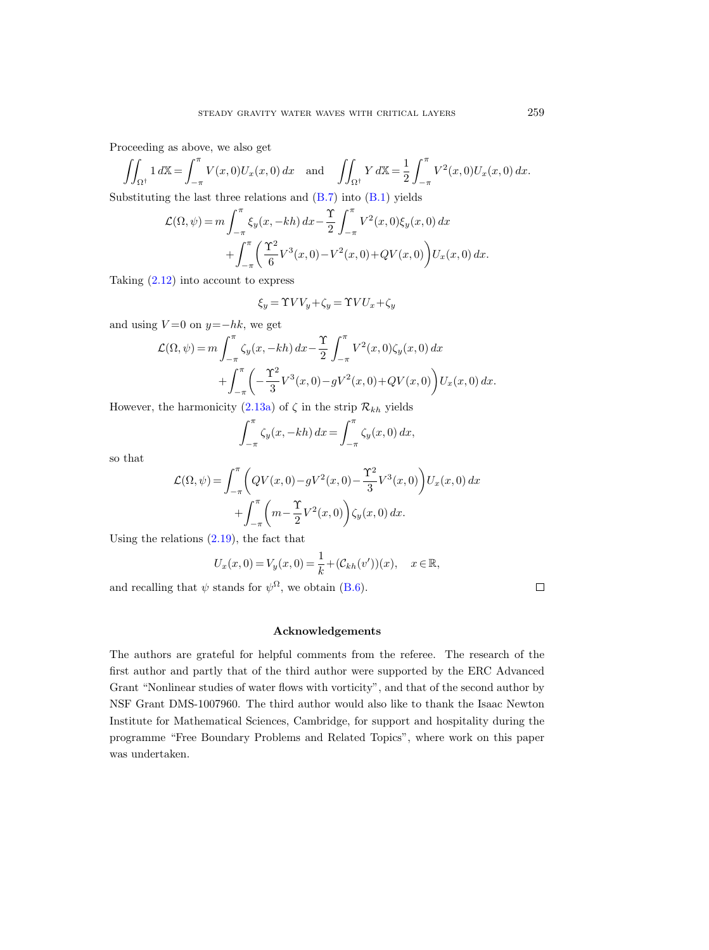Proceeding as above, we also get

$$
\iint_{\Omega^{\dagger}} 1 d\mathbb{X} = \int_{-\pi}^{\pi} V(x,0) U_x(x,0) dx \text{ and } \iint_{\Omega^{\dagger}} Y d\mathbb{X} = \frac{1}{2} \int_{-\pi}^{\pi} V^2(x,0) U_x(x,0) dx.
$$

Substituting the last three relations and  $(B.7)$  into  $(B.1)$  yields

$$
\mathcal{L}(\Omega, \psi) = m \int_{-\pi}^{\pi} \xi_y(x, -kh) dx - \frac{\Upsilon}{2} \int_{-\pi}^{\pi} V^2(x, 0) \xi_y(x, 0) dx + \int_{-\pi}^{\pi} \left( \frac{\Upsilon^2}{6} V^3(x, 0) - V^2(x, 0) + QV(x, 0) \right) U_x(x, 0) dx.
$$

Taking  $(2.12)$  into account to express

$$
\xi_y = \Upsilon V V_y + \zeta_y = \Upsilon V U_x + \zeta_y
$$

and using  $V=0$  on  $y=-hk$ , we get

$$
\mathcal{L}(\Omega, \psi) = m \int_{-\pi}^{\pi} \zeta_y(x, -kh) dx - \frac{\Upsilon}{2} \int_{-\pi}^{\pi} V^2(x, 0) \zeta_y(x, 0) dx + \int_{-\pi}^{\pi} \left( -\frac{\Upsilon^2}{3} V^3(x, 0) - g V^2(x, 0) + Q V(x, 0) \right) U_x(x, 0) dx.
$$

However, the harmonicity  $(2.13a)$  of  $\zeta$  in the strip  $\mathcal{R}_{kh}$  yields

$$
\int_{-\pi}^{\pi} \zeta_y(x, -kh) dx = \int_{-\pi}^{\pi} \zeta_y(x, 0) dx,
$$

so that

$$
\mathcal{L}(\Omega, \psi) = \int_{-\pi}^{\pi} \left( QV(x, 0) - gV^2(x, 0) - \frac{\Upsilon^2}{3} V^3(x, 0) \right) U_x(x, 0) dx \n+ \int_{-\pi}^{\pi} \left( m - \frac{\Upsilon}{2} V^2(x, 0) \right) \zeta_y(x, 0) dx.
$$

Using the relations [\(2.19\)](#page-9-6), the fact that

$$
U_x(x, 0) = V_y(x, 0) = \frac{1}{k} + (\mathcal{C}_{kh}(v'))(x), \quad x \in \mathbb{R},
$$

and recalling that  $\psi$  stands for  $\psi^{\Omega}$ , we obtain [\(B.6\)](#page-62-0).

 $\Box$ 

# Acknowledgements

The authors are grateful for helpful comments from the referee. The research of the first author and partly that of the third author were supported by the ERC Advanced Grant "Nonlinear studies of water flows with vorticity", and that of the second author by NSF Grant DMS-1007960. The third author would also like to thank the Isaac Newton Institute for Mathematical Sciences, Cambridge, for support and hospitality during the programme "Free Boundary Problems and Related Topics", where work on this paper was undertaken.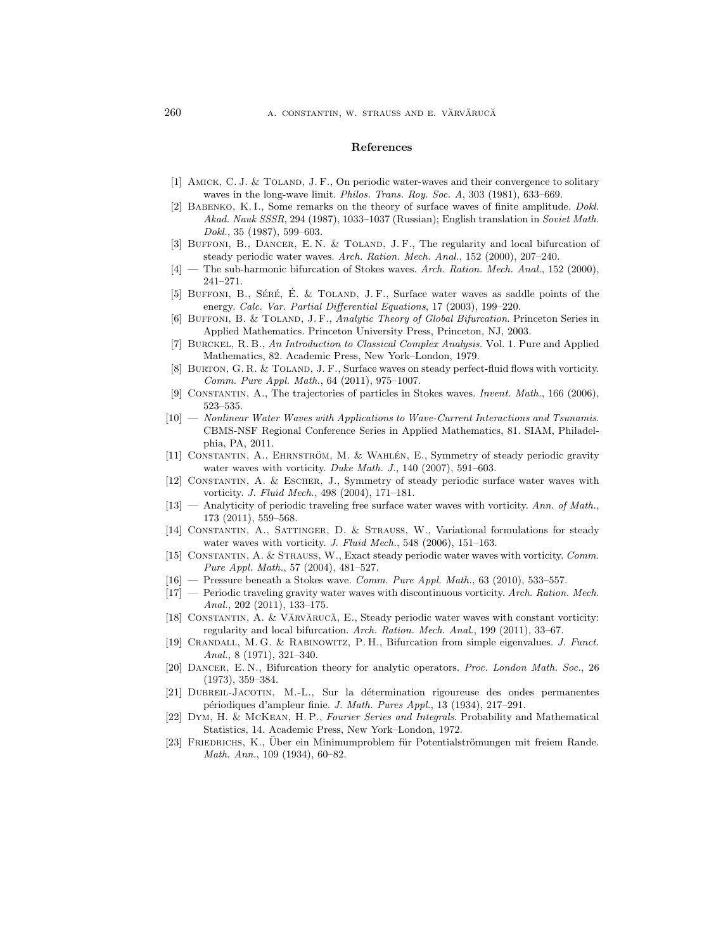#### References

- <span id="page-65-0"></span>[1] AMICK, C. J. & TOLAND, J. F., On periodic water-waves and their convergence to solitary waves in the long-wave limit. Philos. Trans. Roy. Soc. A, 303 (1981), 633–669.
- <span id="page-65-8"></span>[2] BABENKO, K. I., Some remarks on the theory of surface waves of finite amplitude. Dokl. Akad. Nauk SSSR, 294 (1987), 1033–1037 (Russian); English translation in Soviet Math. Dokl., 35 (1987), 599–603.
- <span id="page-65-9"></span>[3] BUFFONI, B., DANCER, E.N. & TOLAND, J.F., The regularity and local bifurcation of steady periodic water waves. Arch. Ration. Mech. Anal., 152 (2000), 207–240.
- <span id="page-65-10"></span>[4] — The sub-harmonic bifurcation of Stokes waves. Arch. Ration. Mech. Anal., 152 (2000), 241–271.
- <span id="page-65-11"></span>[5] BUFFONI, B., SÉRÉ, É. & TOLAND, J. F., Surface water waves as saddle points of the energy. Calc. Var. Partial Differential Equations, 17 (2003), 199–220.
- <span id="page-65-12"></span>[6] BUFFONI, B. & TOLAND, J. F., Analytic Theory of Global Bifurcation. Princeton Series in Applied Mathematics. Princeton University Press, Princeton, NJ, 2003.
- <span id="page-65-17"></span>[7] Burckel, R. B., An Introduction to Classical Complex Analysis. Vol. 1. Pure and Applied Mathematics, 82. Academic Press, New York–London, 1979.
- <span id="page-65-21"></span>[8] BURTON, G. R. & TOLAND, J. F., Surface waves on steady perfect-fluid flows with vorticity. Comm. Pure Appl. Math., 64 (2011), 975–1007.
- <span id="page-65-2"></span>[9] Constantin, A., The trajectories of particles in Stokes waves. Invent. Math., 166 (2006), 523–535.
- <span id="page-65-1"></span>[10] — Nonlinear Water Waves with Applications to Wave-Current Interactions and Tsunamis. CBMS-NSF Regional Conference Series in Applied Mathematics, 81. SIAM, Philadelphia, PA, 2011.
- <span id="page-65-15"></span>[11] CONSTANTIN, A., EHRNSTRÖM, M. & WAHLEN, E., Symmetry of steady periodic gravity water waves with vorticity. Duke Math. J., 140 (2007), 591-603.
- <span id="page-65-14"></span>[12] Constantin, A. & Escher, J., Symmetry of steady periodic surface water waves with vorticity. J. Fluid Mech., 498 (2004), 171–181.
- <span id="page-65-4"></span> $[13]$  — Analyticity of periodic traveling free surface water waves with vorticity. Ann. of Math., 173 (2011), 559–568.
- <span id="page-65-20"></span>[14] Constantin, A., Sattinger, D. & Strauss, W., Variational formulations for steady water waves with vorticity. J. Fluid Mech., 548 (2006), 151-163.
- <span id="page-65-6"></span>[15] Constantin, A. & Strauss, W., Exact steady periodic water waves with vorticity. Comm. Pure Appl. Math., 57 (2004), 481–527.
- <span id="page-65-3"></span> $[16]$  — Pressure beneath a Stokes wave. Comm. Pure Appl. Math., 63 (2010), 533–557.
- <span id="page-65-22"></span> $[17]$  — Periodic traveling gravity water waves with discontinuous vorticity. Arch. Ration. Mech. Anal., 202 (2011), 133–175.
- <span id="page-65-5"></span>[18] CONSTANTIN, A. & VĂRVĂRUCĂ, E., Steady periodic water waves with constant vorticity: regularity and local bifurcation. Arch. Ration. Mech. Anal., 199 (2011), 33–67.
- <span id="page-65-16"></span>[19] Crandall, M. G. & Rabinowitz, P. H., Bifurcation from simple eigenvalues. J. Funct. Anal., 8 (1971), 321–340.
- <span id="page-65-13"></span>[20] DANCER, E.N., Bifurcation theory for analytic operators. Proc. London Math. Soc., 26 (1973), 359–384.
- <span id="page-65-7"></span>[21] Dubreil-Jacotin, M.-L., Sur la d´etermination rigoureuse des ondes permanentes p´eriodiques d'ampleur finie. J. Math. Pures Appl., 13 (1934), 217–291.
- <span id="page-65-18"></span>[22] Dym, H. & McKean, H. P., Fourier Series and Integrals. Probability and Mathematical Statistics, 14. Academic Press, New York–London, 1972.
- <span id="page-65-19"></span>[23] FRIEDRICHS, K., Über ein Minimumproblem für Potentialströmungen mit freiem Rande. Math. Ann., 109 (1934), 60–82.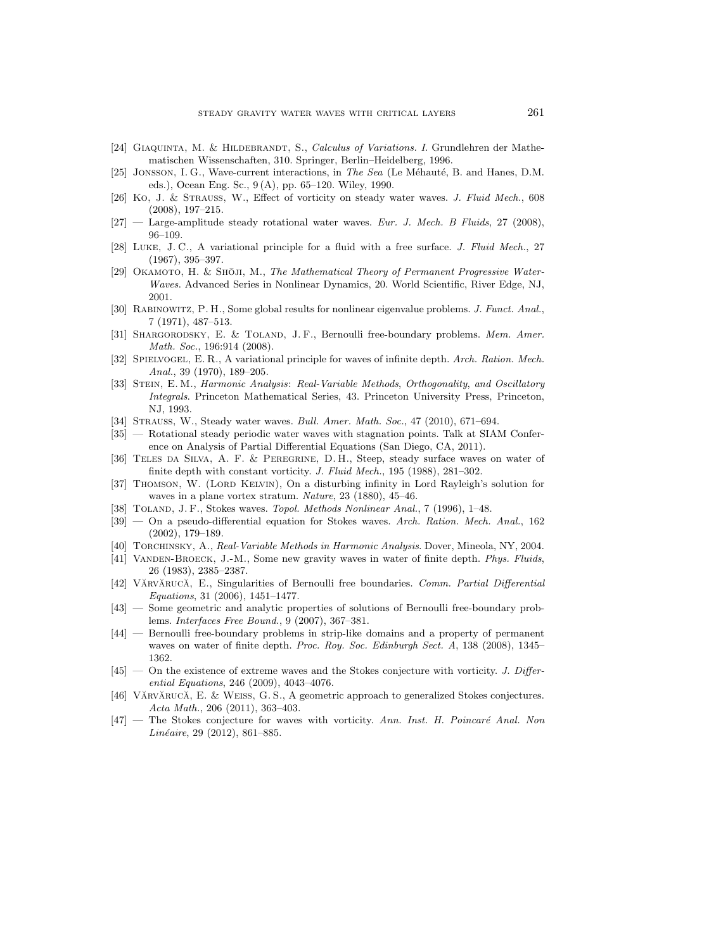- <span id="page-66-21"></span>[24] GIAQUINTA, M. & HILDEBRANDT, S., Calculus of Variations. I. Grundlehren der Mathematischen Wissenschaften, 310. Springer, Berlin–Heidelberg, 1996.
- <span id="page-66-6"></span>[25] JONSSON, I. G., Wave-current interactions, in The Sea (Le Méhauté, B. and Hanes, D.M. eds.), Ocean Eng. Sc., 9 (A), pp. 65–120. Wiley, 1990.
- <span id="page-66-10"></span>[26] Ko, J. & Strauss, W., Effect of vorticity on steady water waves. J. Fluid Mech., 608 (2008), 197–215.
- <span id="page-66-11"></span> $[27]$  — Large-amplitude steady rotational water waves. Eur. J. Mech. B Fluids, 27 (2008), 96–109.
- <span id="page-66-20"></span>[28] Luke, J. C., A variational principle for a fluid with a free surface. J. Fluid Mech., 27 (1967), 395–397.
- <span id="page-66-12"></span>[29] OKAMOTO, H. & SHOJI, M., The Mathematical Theory of Permanent Progressive Water-Waves. Advanced Series in Nonlinear Dynamics, 20. World Scientific, River Edge, NJ, 2001.
- <span id="page-66-16"></span>[30] Rabinowitz, P. H., Some global results for nonlinear eigenvalue problems. J. Funct. Anal., 7 (1971), 487–513.
- <span id="page-66-14"></span>[31] SHARGORODSKY, E. & TOLAND, J. F., Bernoulli free-boundary problems. Mem. Amer. Math. Soc., 196:914 (2008).
- <span id="page-66-0"></span>[32] SPIELVOGEL, E. R., A variational principle for waves of infinite depth. Arch. Ration. Mech. Anal., 39 (1970), 189–205.
- <span id="page-66-19"></span>[33] STEIN, E. M., Harmonic Analysis: Real-Variable Methods, Orthogonality, and Oscillatory Integrals. Princeton Mathematical Series, 43. Princeton University Press, Princeton, NJ, 1993.
- <span id="page-66-8"></span>[34] Strauss, W., Steady water waves. Bull. Amer. Math. Soc., 47 (2010), 671–694.
- <span id="page-66-17"></span>[35] — Rotational steady periodic water waves with stagnation points. Talk at SIAM Conference on Analysis of Partial Differential Equations (San Diego, CA, 2011).
- <span id="page-66-5"></span>[36] Teles da Silva, A. F. & Peregrine, D. H., Steep, steady surface waves on water of finite depth with constant vorticity. J. Fluid Mech., 195 (1988), 281-302.
- <span id="page-66-7"></span>[37] THOMSON, W. (LORD KELVIN), On a disturbing infinity in Lord Rayleigh's solution for waves in a plane vortex stratum. Nature, 23 (1880), 45–46.
- <span id="page-66-1"></span>[38] Toland, J. F., Stokes waves. Topol. Methods Nonlinear Anal., 7 (1996), 1–48.
- <span id="page-66-15"></span>[39] — On a pseudo-differential equation for Stokes waves. Arch. Ration. Mech. Anal., 162 (2002), 179–189.
- <span id="page-66-18"></span>[40] TORCHINSKY, A., Real-Variable Methods in Harmonic Analysis. Dover, Mineola, NY, 2004.
- <span id="page-66-13"></span>[41] VANDEN-BROECK, J.-M., Some new gravity waves in water of finite depth. Phys. Fluids, 26 (1983), 2385–2387.
- <span id="page-66-4"></span>[42] VĂRVĂRUCĂ, E., Singularities of Bernoulli free boundaries. Comm. Partial Differential Equations, 31 (2006), 1451–1477.
- <span id="page-66-2"></span>[43] — Some geometric and analytic properties of solutions of Bernoulli free-boundary problems. Interfaces Free Bound., 9 (2007), 367–381.
- <span id="page-66-3"></span>[44] — Bernoulli free-boundary problems in strip-like domains and a property of permanent waves on water of finite depth. Proc. Roy. Soc. Edinburgh Sect. A, 138 (2008), 1345– 1362.
- <span id="page-66-9"></span>[45] — On the existence of extreme waves and the Stokes conjecture with vorticity. J. Differential Equations, 246 (2009), 4043–4076.
- <span id="page-66-22"></span>[46] VĂRVĂRUCĂ, E. & WEISS, G. S., A geometric approach to generalized Stokes conjectures. Acta Math., 206 (2011), 363–403.
- <span id="page-66-23"></span> $[47]$  — The Stokes conjecture for waves with vorticity. Ann. Inst. H. Poincaré Anal. Non Linéaire, 29 (2012), 861–885.